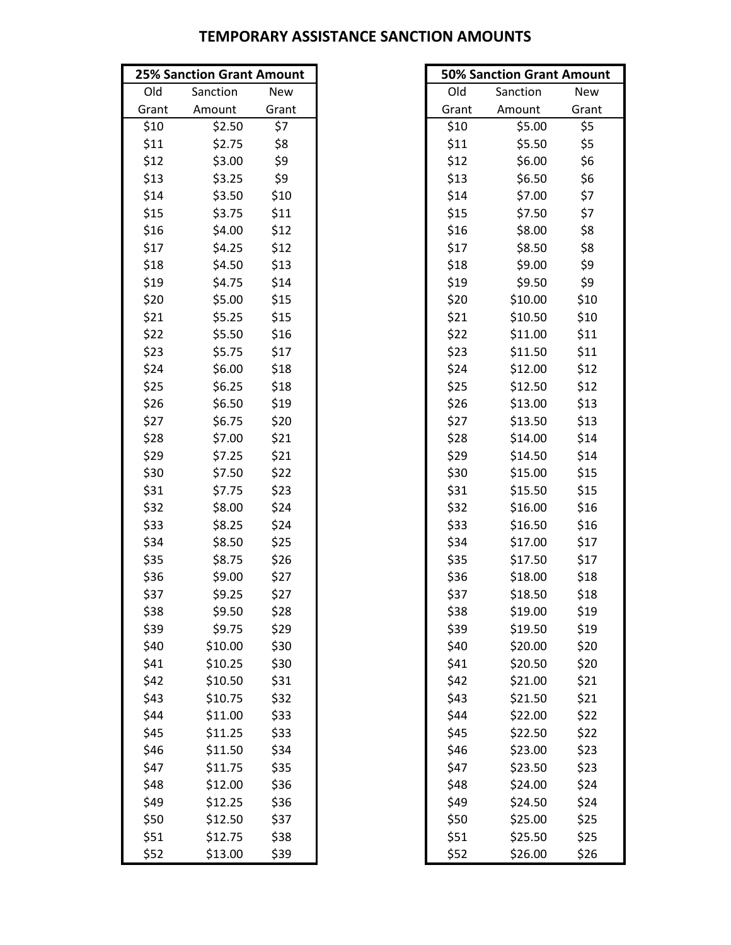|       | <b>25% Sanction Grant Amount</b> |       |       | <b>50% Sanction Grant Amount</b> |       |
|-------|----------------------------------|-------|-------|----------------------------------|-------|
| Old   | Sanction                         | New   | Old   | Sanction                         | New   |
| Grant | Amount                           | Grant | Grant | Amount                           | Grant |
| \$10  | \$2.50                           | \$7   | \$10  | \$5.00                           | \$5   |
| \$11  | \$2.75                           | \$8   | \$11  | \$5.50                           | \$5   |
| \$12  | \$3.00                           | \$9   | \$12  | \$6.00                           | \$6   |
| \$13  | \$3.25                           | \$9   | \$13  | \$6.50                           | \$6   |
| \$14  | \$3.50                           | \$10  | \$14  | \$7.00                           | \$7   |
| \$15  | \$3.75                           | \$11  | \$15  | \$7.50                           | \$7   |
| \$16  | \$4.00                           | \$12  | \$16  | \$8.00                           | \$8   |
| \$17  | \$4.25                           | \$12  | \$17  | \$8.50                           | \$8   |
| \$18  | \$4.50                           | \$13  | \$18  | \$9.00                           | \$9   |
| \$19  | \$4.75                           | \$14  | \$19  | \$9.50                           | \$9   |
| \$20  | \$5.00                           | \$15  | \$20  | \$10.00                          | \$10  |
| \$21  | \$5.25                           | \$15  | \$21  | \$10.50                          | \$10  |
| \$22  | \$5.50                           | \$16  | \$22  | \$11.00                          | \$11  |
| \$23  | \$5.75                           | \$17  | \$23  | \$11.50                          | \$11  |
| \$24  | \$6.00                           | \$18  | \$24  | \$12.00                          | \$12  |
| \$25  | \$6.25                           | \$18  | \$25  | \$12.50                          | \$12  |
| \$26  | \$6.50                           | \$19  | \$26  | \$13.00                          | \$13  |
| \$27  | \$6.75                           | \$20  | \$27  | \$13.50                          | \$13  |
| \$28  | \$7.00                           | \$21  | \$28  | \$14.00                          | \$14  |
| \$29  | \$7.25                           | \$21  | \$29  | \$14.50                          | \$14  |
| \$30  | \$7.50                           | \$22  | \$30  | \$15.00                          | \$15  |
| \$31  | \$7.75                           | \$23  | \$31  | \$15.50                          | \$15  |
| \$32  | \$8.00                           | \$24  | \$32  | \$16.00                          | \$16  |
| \$33  | \$8.25                           | \$24  | \$33  | \$16.50                          | \$16  |
| \$34  | \$8.50                           | \$25  | \$34  | \$17.00                          | \$17  |
| \$35  | \$8.75                           | \$26  | \$35  | \$17.50                          | \$17  |
| \$36  | \$9.00                           | \$27  | \$36  | \$18.00                          | \$18  |
| \$37  | \$9.25                           | \$27  | \$37  | \$18.50                          | \$18  |
| \$38  | \$9.50                           | \$28  | \$38  | \$19.00                          | \$19  |
| \$39  | \$9.75                           | \$29  | \$39  | \$19.50                          | \$19  |
| \$40  | \$10.00                          | \$30  | \$40  | \$20.00                          | \$20  |
| \$41  | \$10.25                          | \$30  | \$41  | \$20.50                          | \$20  |
| \$42  | \$10.50                          | \$31  | \$42  | \$21.00                          | \$21  |
| \$43  | \$10.75                          | \$32  | \$43  | \$21.50                          | \$21  |
| \$44  | \$11.00                          | \$33  | \$44  | \$22.00                          | \$22  |
| \$45  | \$11.25                          | \$33  | \$45  | \$22.50                          | \$22  |
| \$46  | \$11.50                          | \$34  | \$46  | \$23.00                          | \$23  |
| \$47  | \$11.75                          | \$35  | \$47  | \$23.50                          | \$23  |
| \$48  | \$12.00                          | \$36  | \$48  | \$24.00                          | \$24  |
| \$49  | \$12.25                          | \$36  | \$49  | \$24.50                          | \$24  |
| \$50  | \$12.50                          | \$37  | \$50  | \$25.00                          | \$25  |
| \$51  | \$12.75                          | \$38  | \$51  | \$25.50                          | \$25  |
| \$52  | \$13.00                          | \$39  | \$52  | \$26.00                          | \$26  |

| <b>50% Sanction Grant Amount</b> |          |            |  |  |  |
|----------------------------------|----------|------------|--|--|--|
| Old                              | Sanction | <b>New</b> |  |  |  |
| Grant                            | Amount   | Grant      |  |  |  |
| \$10                             | \$5.00   | \$5        |  |  |  |
| \$11                             | \$5.50   | \$5        |  |  |  |
| \$12                             | \$6.00   | \$6        |  |  |  |
| \$13                             | \$6.50   | \$6        |  |  |  |
| \$14                             | \$7.00   | \$7        |  |  |  |
| \$15                             | \$7.50   | \$7        |  |  |  |
| \$16                             | \$8.00   | \$8        |  |  |  |
| \$17                             | \$8.50   | \$8        |  |  |  |
| \$18                             | \$9.00   | \$9        |  |  |  |
| \$19                             | \$9.50   | \$9        |  |  |  |
| \$20                             | \$10.00  | \$10       |  |  |  |
| \$21                             | \$10.50  | \$10       |  |  |  |
| \$22                             | \$11.00  | \$11       |  |  |  |
| \$23                             | \$11.50  | \$11       |  |  |  |
| \$24                             | \$12.00  | \$12       |  |  |  |
| \$25                             | \$12.50  | \$12       |  |  |  |
| \$26                             | \$13.00  | \$13       |  |  |  |
| \$27                             | \$13.50  | \$13       |  |  |  |
| \$28                             | \$14.00  | \$14       |  |  |  |
| \$29                             | \$14.50  | \$14       |  |  |  |
| \$30                             | \$15.00  | \$15       |  |  |  |
| \$31                             | \$15.50  | \$15       |  |  |  |
| \$32                             | \$16.00  | \$16       |  |  |  |
| \$33                             | \$16.50  | \$16       |  |  |  |
| \$34                             | \$17.00  | \$17       |  |  |  |
| \$35                             | \$17.50  | \$17       |  |  |  |
| \$36                             | \$18.00  | \$18       |  |  |  |
| \$37                             | \$18.50  | \$18       |  |  |  |
| \$38                             | \$19.00  | \$19       |  |  |  |
| \$39                             | \$19.50  | \$19       |  |  |  |
| \$40                             | \$20.00  | \$20       |  |  |  |
| \$41                             | \$20.50  | \$20       |  |  |  |
| \$42                             | \$21.00  | \$21       |  |  |  |
| \$43                             | \$21.50  | \$21       |  |  |  |
| \$44                             | \$22.00  | \$22       |  |  |  |
| \$45                             | \$22.50  | \$22       |  |  |  |
| \$46                             | \$23.00  | \$23       |  |  |  |
| \$47                             | \$23.50  | \$23       |  |  |  |
| \$48                             | \$24.00  | \$24       |  |  |  |
| \$49                             | \$24.50  | \$24       |  |  |  |
| \$50                             | \$25.00  | \$25       |  |  |  |
| \$51                             | \$25.50  | \$25       |  |  |  |
| \$52                             | \$26.00  | \$26       |  |  |  |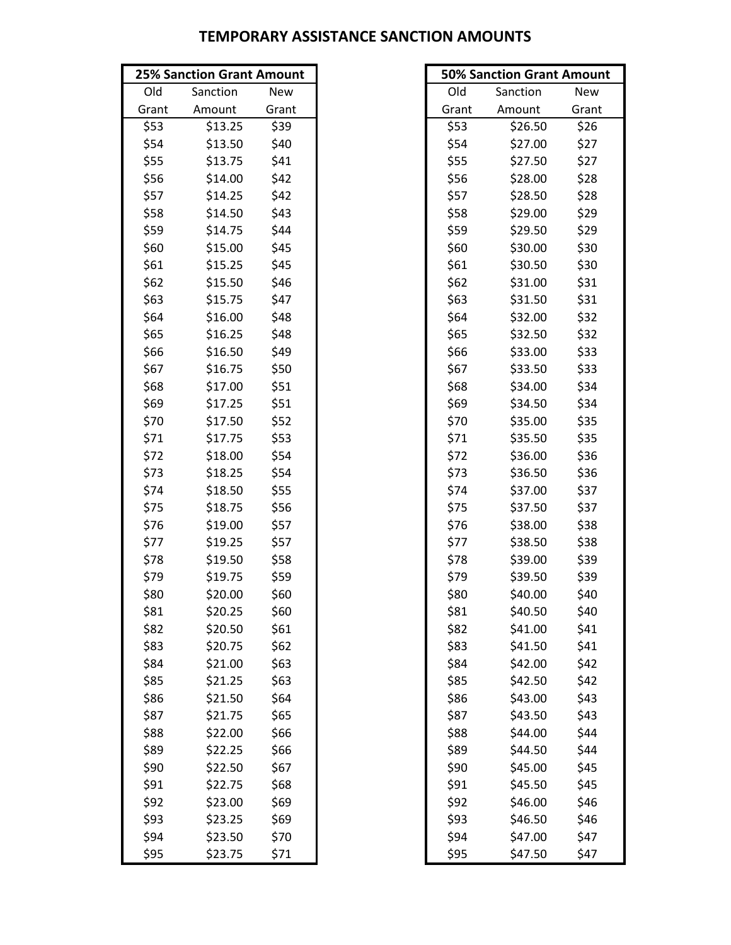|       | <b>25% Sanction Grant Amount</b> |            |       | <b>50% Sanction Grant Amount</b> |       |
|-------|----------------------------------|------------|-------|----------------------------------|-------|
| Old   | Sanction                         | <b>New</b> | Old   | Sanction                         | New   |
| Grant | Amount                           | Grant      | Grant | Amount                           | Grant |
| \$53  | \$13.25                          | \$39       | \$53  | \$26.50                          | \$26  |
| \$54  | \$13.50                          | \$40       | \$54  | \$27.00                          | \$27  |
| \$55  | \$13.75                          | \$41       | \$55  | \$27.50                          | \$27  |
| \$56  | \$14.00                          | \$42       | \$56  | \$28.00                          | \$28  |
| \$57  | \$14.25                          | \$42       | \$57  | \$28.50                          | \$28  |
| \$58  | \$14.50                          | \$43       | \$58  | \$29.00                          | \$29  |
| \$59  | \$14.75                          | \$44       | \$59  | \$29.50                          | \$29  |
| \$60  | \$15.00                          | \$45       | \$60  | \$30.00                          | \$30  |
| \$61  | \$15.25                          | \$45       | \$61  | \$30.50                          | \$30  |
| \$62  | \$15.50                          | \$46       | \$62  | \$31.00                          | \$31  |
| \$63  | \$15.75                          | \$47       | \$63  | \$31.50                          | \$31  |
| \$64  | \$16.00                          | \$48       | \$64  | \$32.00                          | \$32  |
| \$65  | \$16.25                          | \$48       | \$65  | \$32.50                          | \$32  |
| \$66  | \$16.50                          | \$49       | \$66  | \$33.00                          | \$33  |
| \$67  | \$16.75                          | \$50       | \$67  | \$33.50                          | \$33  |
| \$68  | \$17.00                          | \$51       | \$68  | \$34.00                          | \$34  |
| \$69  | \$17.25                          | \$51       | \$69  | \$34.50                          | \$34  |
| \$70  | \$17.50                          | \$52       | \$70  | \$35.00                          | \$35  |
| \$71  | \$17.75                          | \$53       | \$71  | \$35.50                          | \$35  |
| \$72  | \$18.00                          | \$54       | \$72  | \$36.00                          | \$36  |
| \$73  | \$18.25                          | \$54       | \$73  | \$36.50                          | \$36  |
| \$74  | \$18.50                          | \$55       | \$74  | \$37.00                          | \$37  |
| \$75  | \$18.75                          | \$56       | \$75  | \$37.50                          | \$37  |
| \$76  | \$19.00                          | \$57       | \$76  | \$38.00                          | \$38  |
| \$77  | \$19.25                          | \$57       | \$77  | \$38.50                          | \$38  |
| \$78  | \$19.50                          | \$58       | \$78  | \$39.00                          | \$39  |
| \$79  | \$19.75                          | \$59       | \$79  | \$39.50                          | \$39  |
| \$80  | \$20.00                          | \$60       | \$80  | \$40.00                          | \$40  |
| \$81  | \$20.25                          | \$60       | \$81  | \$40.50                          | \$40  |
| \$82  | \$20.50                          | \$61       | \$82  | \$41.00                          | \$41  |
| \$83  | \$20.75                          | \$62       | \$83  | \$41.50                          | \$41  |
| \$84  | \$21.00                          | \$63       | \$84  | \$42.00                          | \$42  |
| \$85  | \$21.25                          | \$63       | \$85  | \$42.50                          | \$42  |
| \$86  | \$21.50                          | \$64       | \$86  | \$43.00                          | \$43  |
| \$87  | \$21.75                          | \$65       | \$87  | \$43.50                          | \$43  |
| \$88  | \$22.00                          | \$66       | \$88  | \$44.00                          | \$44  |
| \$89  | \$22.25                          | \$66       | \$89  | \$44.50                          | \$44  |
| \$90  | \$22.50                          | \$67       | \$90  | \$45.00                          | \$45  |
| \$91  | \$22.75                          | \$68       | \$91  | \$45.50                          | \$45  |
| \$92  | \$23.00                          | \$69       | \$92  | \$46.00                          | \$46  |
| \$93  | \$23.25                          | \$69       | \$93  | \$46.50                          | \$46  |
| \$94  | \$23.50                          | \$70       | \$94  | \$47.00                          | \$47  |
| \$95  | \$23.75                          | \$71       | \$95  | \$47.50                          | \$47  |

| <b>50% Sanction Grant Amount</b> |          |            |  |  |
|----------------------------------|----------|------------|--|--|
| Old                              | Sanction | <b>New</b> |  |  |
| Grant                            | Amount   | Grant      |  |  |
| \$53                             | \$26.50  | \$26       |  |  |
| \$54                             | \$27.00  | \$27       |  |  |
| \$55                             | \$27.50  | \$27       |  |  |
| \$56                             | \$28.00  | \$28       |  |  |
| \$57                             | \$28.50  | \$28       |  |  |
| \$58                             | \$29.00  | \$29       |  |  |
| \$59                             | \$29.50  | \$29       |  |  |
| \$60                             | \$30.00  | \$30       |  |  |
| \$61                             | \$30.50  | \$30       |  |  |
| \$62                             | \$31.00  | \$31       |  |  |
| \$63                             | \$31.50  | \$31       |  |  |
| \$64                             | \$32.00  | \$32       |  |  |
| \$65                             | \$32.50  | \$32       |  |  |
| \$66                             | \$33.00  | \$33       |  |  |
| \$67                             | \$33.50  | \$33       |  |  |
| \$68                             | \$34.00  | \$34       |  |  |
| \$69                             | \$34.50  | \$34       |  |  |
| \$70                             | \$35.00  | \$35       |  |  |
| \$71                             | \$35.50  | \$35       |  |  |
| \$72                             | \$36.00  | \$36       |  |  |
| \$73                             | \$36.50  | \$36       |  |  |
| \$74                             | \$37.00  | \$37       |  |  |
| \$75                             | \$37.50  | \$37       |  |  |
| \$76                             | \$38.00  | \$38       |  |  |
| \$77                             | \$38.50  | \$38       |  |  |
| \$78                             | \$39.00  | \$39       |  |  |
| \$79                             | \$39.50  | \$39       |  |  |
| \$80                             | \$40.00  | \$40       |  |  |
| \$81                             | \$40.50  | \$40       |  |  |
| \$82                             | \$41.00  | \$41       |  |  |
| \$83                             | \$41.50  | \$41       |  |  |
| \$84                             | \$42.00  | \$42       |  |  |
| \$85                             | \$42.50  | \$42       |  |  |
| \$86                             | \$43.00  | \$43       |  |  |
| \$87                             | \$43.50  | \$43       |  |  |
| \$88                             | \$44.00  | \$44       |  |  |
| \$89                             | \$44.50  | \$44       |  |  |
| \$90                             | \$45.00  | \$45       |  |  |
| \$91                             | \$45.50  | \$45       |  |  |
| \$92                             | \$46.00  | \$46       |  |  |
| \$93                             | \$46.50  | \$46       |  |  |
| \$94                             | \$47.00  | \$47       |  |  |
| \$95                             | \$47.50  | \$47       |  |  |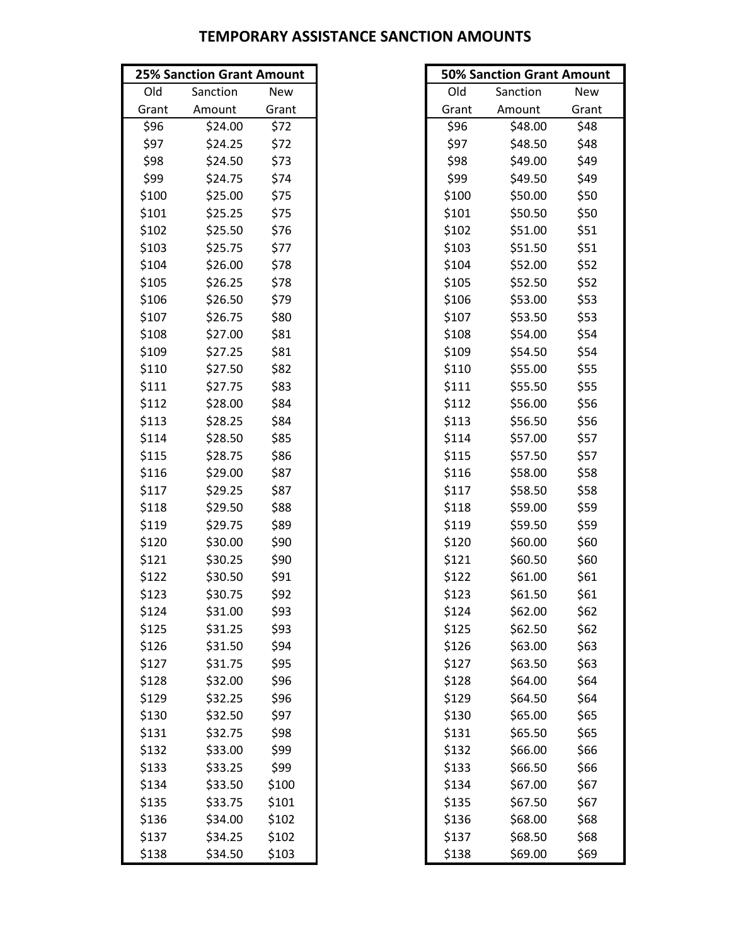|       | <b>25% Sanction Grant Amount</b> |       |       | <b>50% Sanction Grant Amount</b> |       |
|-------|----------------------------------|-------|-------|----------------------------------|-------|
| Old   | Sanction                         | New   | Old   | Sanction                         | New   |
| Grant | Amount                           | Grant | Grant | Amount                           | Grant |
| \$96  | \$24.00                          | \$72  | \$96  | \$48.00                          | \$48  |
| \$97  | \$24.25                          | \$72  | \$97  | \$48.50                          | \$48  |
| \$98  | \$24.50                          | \$73  | \$98  | \$49.00                          | \$49  |
| \$99  | \$24.75                          | \$74  | \$99  | \$49.50                          | \$49  |
| \$100 | \$25.00                          | \$75  | \$100 | \$50.00                          | \$50  |
| \$101 | \$25.25                          | \$75  | \$101 | \$50.50                          | \$50  |
| \$102 | \$25.50                          | \$76  | \$102 | \$51.00                          | \$51  |
| \$103 | \$25.75                          | \$77  | \$103 | \$51.50                          | \$51  |
| \$104 | \$26.00                          | \$78  | \$104 | \$52.00                          | \$52  |
| \$105 | \$26.25                          | \$78  | \$105 | \$52.50                          | \$52  |
| \$106 | \$26.50                          | \$79  | \$106 | \$53.00                          | \$53  |
| \$107 | \$26.75                          | \$80  | \$107 | \$53.50                          | \$53  |
| \$108 | \$27.00                          | \$81  | \$108 | \$54.00                          | \$54  |
| \$109 | \$27.25                          | \$81  | \$109 | \$54.50                          | \$54  |
| \$110 | \$27.50                          | \$82  | \$110 | \$55.00                          | \$55  |
| \$111 | \$27.75                          | \$83  | \$111 | \$55.50                          | \$55  |
| \$112 | \$28.00                          | \$84  | \$112 | \$56.00                          | \$56  |
| \$113 | \$28.25                          | \$84  | \$113 | \$56.50                          | \$56  |
| \$114 | \$28.50                          | \$85  | \$114 | \$57.00                          | \$57  |
| \$115 | \$28.75                          | \$86  | \$115 | \$57.50                          | \$57  |
| \$116 | \$29.00                          | \$87  | \$116 | \$58.00                          | \$58  |
| \$117 | \$29.25                          | \$87  | \$117 | \$58.50                          | \$58  |
| \$118 | \$29.50                          | \$88  | \$118 | \$59.00                          | \$59  |
| \$119 | \$29.75                          | \$89  | \$119 | \$59.50                          | \$59  |
| \$120 | \$30.00                          | \$90  | \$120 | \$60.00                          | \$60  |
| \$121 | \$30.25                          | \$90  | \$121 | \$60.50                          | \$60  |
| \$122 | \$30.50                          | \$91  | \$122 | \$61.00                          | \$61  |
| \$123 | \$30.75                          | \$92  | \$123 | \$61.50                          | \$61  |
| \$124 | \$31.00                          | \$93  | \$124 | \$62.00                          | \$62  |
| \$125 | \$31.25                          | \$93  | \$125 | \$62.50                          | \$62  |
| \$126 | \$31.50                          | \$94  | \$126 | \$63.00                          | \$63  |
| \$127 | \$31.75                          | \$95  | \$127 | \$63.50                          | \$63  |
| \$128 | \$32.00                          | \$96  | \$128 | \$64.00                          | \$64  |
| \$129 | \$32.25                          | \$96  | \$129 | \$64.50                          | \$64  |
| \$130 | \$32.50                          | \$97  | \$130 | \$65.00                          | \$65  |
| \$131 | \$32.75                          | \$98  | \$131 | \$65.50                          | \$65  |
| \$132 | \$33.00                          | \$99  | \$132 | \$66.00                          | \$66  |
| \$133 | \$33.25                          | \$99  | \$133 | \$66.50                          | \$66  |
| \$134 | \$33.50                          | \$100 | \$134 | \$67.00                          | \$67  |
| \$135 | \$33.75                          | \$101 | \$135 | \$67.50                          | \$67  |
| \$136 | \$34.00                          | \$102 | \$136 | \$68.00                          | \$68  |
| \$137 | \$34.25                          | \$102 | \$137 | \$68.50                          | \$68  |
| \$138 | \$34.50                          | \$103 | \$138 | \$69.00                          | \$69  |

| <b>50% Sanction Grant Amount</b> |          |            |  |  |  |
|----------------------------------|----------|------------|--|--|--|
| Old                              | Sanction | <b>New</b> |  |  |  |
| Grant                            | Amount   | Grant      |  |  |  |
| \$96                             | \$48.00  | \$48       |  |  |  |
| \$97                             | \$48.50  | \$48       |  |  |  |
| \$98                             | \$49.00  | \$49       |  |  |  |
| \$99                             | \$49.50  | \$49       |  |  |  |
| \$100                            | \$50.00  | \$50       |  |  |  |
| \$101                            | \$50.50  | \$50       |  |  |  |
| \$102                            | \$51.00  | \$51       |  |  |  |
| \$103                            | \$51.50  | \$51       |  |  |  |
| \$104                            | \$52.00  | \$52       |  |  |  |
| \$105                            | \$52.50  | \$52       |  |  |  |
| \$106                            | \$53.00  | \$53       |  |  |  |
| \$107                            | \$53.50  | \$53       |  |  |  |
| \$108                            | \$54.00  | \$54       |  |  |  |
| \$109                            | \$54.50  | \$54       |  |  |  |
| \$110                            | \$55.00  | \$55       |  |  |  |
| \$111                            | \$55.50  | \$55       |  |  |  |
| \$112                            | \$56.00  | \$56       |  |  |  |
| \$113                            | \$56.50  | \$56       |  |  |  |
| \$114                            | \$57.00  | \$57       |  |  |  |
| \$115                            | \$57.50  | \$57       |  |  |  |
| \$116                            | \$58.00  | \$58       |  |  |  |
| \$117                            | \$58.50  | \$58       |  |  |  |
| \$118                            | \$59.00  | \$59       |  |  |  |
| \$119                            | \$59.50  | \$59       |  |  |  |
| \$120                            | \$60.00  | \$60       |  |  |  |
| \$121                            | \$60.50  | \$60       |  |  |  |
| \$122                            | \$61.00  | \$61       |  |  |  |
| \$123                            | \$61.50  | \$61       |  |  |  |
| \$124                            | \$62.00  | \$62       |  |  |  |
| \$125                            | \$62.50  | \$62       |  |  |  |
| \$126                            | \$63.00  | \$63       |  |  |  |
| \$127                            | \$63.50  | \$63       |  |  |  |
| \$128                            | \$64.00  | \$64       |  |  |  |
| \$129                            | \$64.50  | \$64       |  |  |  |
| \$130                            | \$65.00  | \$65       |  |  |  |
| \$131                            | \$65.50  | \$65       |  |  |  |
| \$132                            | \$66.00  | \$66       |  |  |  |
| \$133                            | \$66.50  | \$66       |  |  |  |
| \$134                            | \$67.00  | \$67       |  |  |  |
| \$135                            | \$67.50  | \$67       |  |  |  |
| \$136                            | \$68.00  | \$68       |  |  |  |
| \$137                            | \$68.50  | \$68       |  |  |  |
| \$138                            | \$69.00  | \$69       |  |  |  |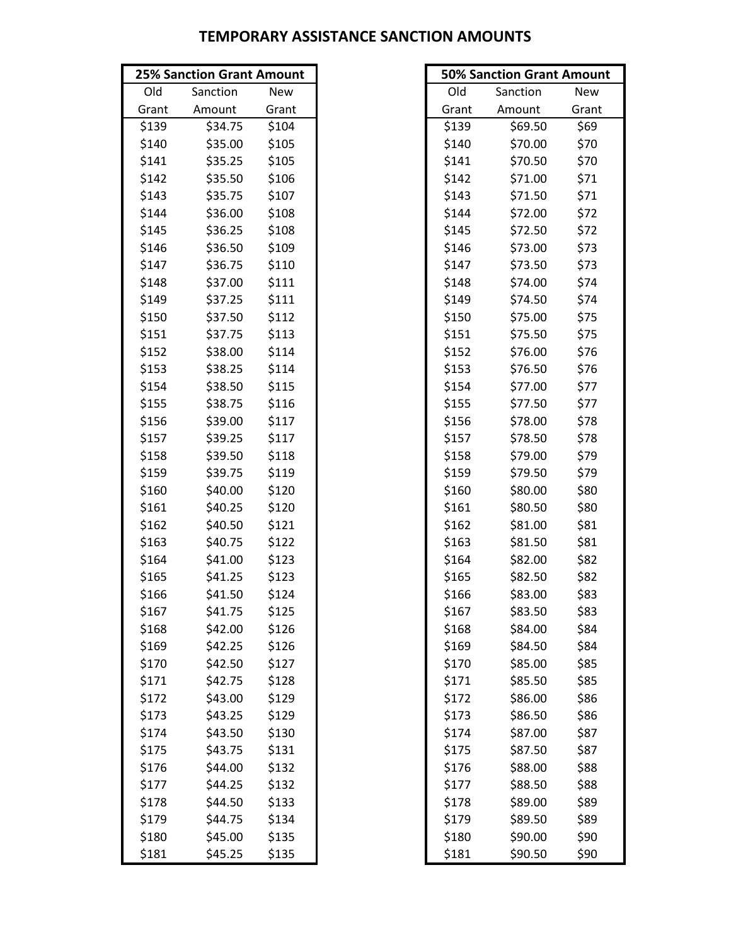|       | <b>25% Sanction Grant Amount</b> |       |       | <b>50% Sanction Grant Amount</b> |       |
|-------|----------------------------------|-------|-------|----------------------------------|-------|
| Old   | Sanction                         | New   | Old   | Sanction                         | New   |
| Grant | Amount                           | Grant | Grant | Amount                           | Grant |
| \$139 | \$34.75                          | \$104 | \$139 | \$69.50                          | \$69  |
| \$140 | \$35.00                          | \$105 | \$140 | \$70.00                          | \$70  |
| \$141 | \$35.25                          | \$105 | \$141 | \$70.50                          | \$70  |
| \$142 | \$35.50                          | \$106 | \$142 | \$71.00                          | \$71  |
| \$143 | \$35.75                          | \$107 | \$143 | \$71.50                          | \$71  |
| \$144 | \$36.00                          | \$108 | \$144 | \$72.00                          | \$72  |
| \$145 | \$36.25                          | \$108 | \$145 | \$72.50                          | \$72  |
| \$146 | \$36.50                          | \$109 | \$146 | \$73.00                          | \$73  |
| \$147 | \$36.75                          | \$110 | \$147 | \$73.50                          | \$73  |
| \$148 | \$37.00                          | \$111 | \$148 | \$74.00                          | \$74  |
| \$149 | \$37.25                          | \$111 | \$149 | \$74.50                          | \$74  |
| \$150 | \$37.50                          | \$112 | \$150 | \$75.00                          | \$75  |
| \$151 | \$37.75                          | \$113 | \$151 | \$75.50                          | \$75  |
| \$152 | \$38.00                          | \$114 | \$152 | \$76.00                          | \$76  |
| \$153 | \$38.25                          | \$114 | \$153 | \$76.50                          | \$76  |
| \$154 | \$38.50                          | \$115 | \$154 | \$77.00                          | \$77  |
| \$155 | \$38.75                          | \$116 | \$155 | \$77.50                          | \$77  |
| \$156 | \$39.00                          | \$117 | \$156 | \$78.00                          | \$78  |
| \$157 | \$39.25                          | \$117 | \$157 | \$78.50                          | \$78  |
| \$158 | \$39.50                          | \$118 | \$158 | \$79.00                          | \$79  |
| \$159 | \$39.75                          | \$119 | \$159 | \$79.50                          | \$79  |
| \$160 | \$40.00                          | \$120 | \$160 | \$80.00                          | \$80  |
| \$161 | \$40.25                          | \$120 | \$161 | \$80.50                          | \$80  |
| \$162 | \$40.50                          | \$121 | \$162 | \$81.00                          | \$81  |
| \$163 | \$40.75                          | \$122 | \$163 | \$81.50                          | \$81  |
| \$164 | \$41.00                          | \$123 | \$164 | \$82.00                          | \$82  |
| \$165 | \$41.25                          | \$123 | \$165 | \$82.50                          | \$82  |
| \$166 | \$41.50                          | \$124 | \$166 | \$83.00                          | \$83  |
| \$167 | \$41.75                          | \$125 | \$167 | \$83.50                          | \$83  |
| \$168 | \$42.00                          | \$126 | \$168 | \$84.00                          | \$84  |
| \$169 | \$42.25                          | \$126 | \$169 | \$84.50                          | \$84  |
| \$170 | \$42.50                          | \$127 | \$170 | \$85.00                          | \$85  |
| \$171 | \$42.75                          | \$128 | \$171 | \$85.50                          | \$85  |
| \$172 | \$43.00                          | \$129 | \$172 | \$86.00                          | \$86  |
| \$173 | \$43.25                          | \$129 | \$173 | \$86.50                          | \$86  |
| \$174 | \$43.50                          | \$130 | \$174 | \$87.00                          | \$87  |
| \$175 | \$43.75                          | \$131 | \$175 | \$87.50                          | \$87  |
| \$176 | \$44.00                          | \$132 | \$176 | \$88.00                          | \$88  |
| \$177 | \$44.25                          | \$132 | \$177 | \$88.50                          | \$88  |
| \$178 | \$44.50                          | \$133 | \$178 | \$89.00                          | \$89  |
| \$179 | \$44.75                          | \$134 | \$179 | \$89.50                          | \$89  |
| \$180 | \$45.00                          | \$135 | \$180 | \$90.00                          | \$90  |
| \$181 | \$45.25                          | \$135 | \$181 | \$90.50                          | \$90  |

| <b>50% Sanction Grant Amount</b> |          |            |  |  |
|----------------------------------|----------|------------|--|--|
| Old                              | Sanction | <b>New</b> |  |  |
| Grant                            | Amount   | Grant      |  |  |
| \$139                            | \$69.50  | \$69       |  |  |
| \$140                            | \$70.00  | \$70       |  |  |
| \$141                            | \$70.50  | \$70       |  |  |
| \$142                            | \$71.00  | \$71       |  |  |
| \$143                            | \$71.50  | \$71       |  |  |
| \$144                            | \$72.00  | \$72       |  |  |
| \$145                            | \$72.50  | \$72       |  |  |
| \$146                            | \$73.00  | \$73       |  |  |
| \$147                            | \$73.50  | \$73       |  |  |
| \$148                            | \$74.00  | \$74       |  |  |
| \$149                            | \$74.50  | \$74       |  |  |
| \$150                            | \$75.00  | \$75       |  |  |
| \$151                            | \$75.50  | \$75       |  |  |
| \$152                            | \$76.00  | \$76       |  |  |
| \$153                            | \$76.50  | \$76       |  |  |
| \$154                            | \$77.00  | \$77       |  |  |
| \$155                            | \$77.50  | \$77       |  |  |
| \$156                            | \$78.00  | \$78       |  |  |
| \$157                            | \$78.50  | \$78       |  |  |
| \$158                            | \$79.00  | \$79       |  |  |
| \$159                            | \$79.50  | \$79       |  |  |
| \$160                            | \$80.00  | \$80       |  |  |
| \$161                            | \$80.50  | \$80       |  |  |
| \$162                            | \$81.00  | \$81       |  |  |
| \$163                            | \$81.50  | \$81       |  |  |
| \$164                            | \$82.00  | \$82       |  |  |
| \$165                            | \$82.50  | \$82       |  |  |
| \$166                            | \$83.00  | \$83       |  |  |
| \$167                            | \$83.50  | \$83       |  |  |
| \$168                            | \$84.00  | \$84       |  |  |
| \$169                            | \$84.50  | \$84       |  |  |
| \$170                            | \$85.00  | \$85       |  |  |
| \$171                            | \$85.50  | \$85       |  |  |
| \$172                            | \$86.00  | \$86       |  |  |
| \$173                            | \$86.50  | \$86       |  |  |
| \$174                            | \$87.00  | \$87       |  |  |
| \$175                            | \$87.50  | \$87       |  |  |
| \$176                            | \$88.00  | \$88       |  |  |
| \$177                            | \$88.50  | \$88       |  |  |
| \$178                            | \$89.00  | \$89       |  |  |
| \$179                            | \$89.50  | \$89       |  |  |
| \$180                            | \$90.00  | \$90       |  |  |
| \$181                            | \$90.50  | \$90       |  |  |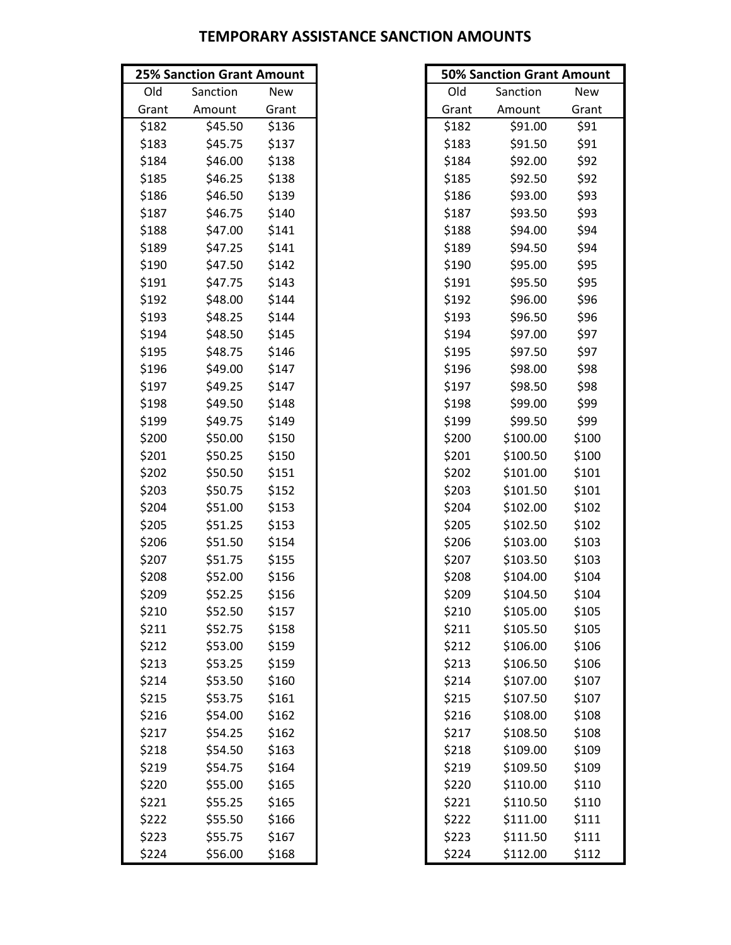|       | <b>25% Sanction Grant Amount</b> |            | <b>50% Sanction Grant Amount</b> |       |
|-------|----------------------------------|------------|----------------------------------|-------|
| Old   | Sanction                         | <b>New</b> | Old<br>Sanction                  | New   |
| Grant | Amount                           | Grant      | Amount<br>Grant                  | Grant |
| \$182 | \$45.50                          | \$136      | \$91.00<br>\$182                 | \$91  |
| \$183 | \$45.75                          | \$137      | \$183<br>\$91.50                 | \$91  |
| \$184 | \$46.00                          | \$138      | \$92.00<br>\$184                 | \$92  |
| \$185 | \$46.25                          | \$138      | \$185<br>\$92.50                 | \$92  |
| \$186 | \$46.50                          | \$139      | \$186<br>\$93.00                 | \$93  |
| \$187 | \$46.75                          | \$140      | \$187<br>\$93.50                 | \$93  |
| \$188 | \$47.00                          | \$141      | \$94.00<br>\$188                 | \$94  |
| \$189 | \$47.25                          | \$141      | \$189<br>\$94.50                 | \$94  |
| \$190 | \$47.50                          | \$142      | \$95.00<br>\$190                 | \$95  |
| \$191 | \$47.75                          | \$143      | \$191<br>\$95.50                 | \$95  |
| \$192 | \$48.00                          | \$144      | \$192<br>\$96.00                 | \$96  |
| \$193 | \$48.25                          | \$144      | \$193<br>\$96.50                 | \$96  |
| \$194 | \$48.50                          | \$145      | \$194<br>\$97.00                 | \$97  |
| \$195 | \$48.75                          | \$146      | \$195<br>\$97.50                 | \$97  |
| \$196 | \$49.00                          | \$147      | \$196<br>\$98.00                 | \$98  |
| \$197 | \$49.25                          | \$147      | \$197<br>\$98.50                 | \$98  |
| \$198 | \$49.50                          | \$148      | \$198<br>\$99.00                 | \$99  |
| \$199 | \$49.75                          | \$149      | \$199<br>\$99.50                 | \$99  |
| \$200 | \$50.00                          | \$150      | \$200<br>\$100.00                | \$100 |
| \$201 | \$50.25                          | \$150      | \$201<br>\$100.50                | \$100 |
| \$202 | \$50.50                          | \$151      | \$202<br>\$101.00                | \$101 |
| \$203 | \$50.75                          | \$152      | \$203<br>\$101.50                | \$101 |
| \$204 | \$51.00                          | \$153      | \$204<br>\$102.00                | \$102 |
| \$205 | \$51.25                          | \$153      | \$205<br>\$102.50                | \$102 |
| \$206 | \$51.50                          | \$154      | \$206<br>\$103.00                | \$103 |
| \$207 | \$51.75                          | \$155      | \$103.50<br>\$207                | \$103 |
| \$208 | \$52.00                          | \$156      | \$208<br>\$104.00                | \$104 |
| \$209 | \$52.25                          | \$156      | \$209<br>\$104.50                | \$104 |
| \$210 | \$52.50                          | \$157      | \$210<br>\$105.00                | \$105 |
| \$211 | \$52.75                          | \$158      | \$211<br>\$105.50                | \$105 |
| \$212 | \$53.00                          | \$159      | \$106.00<br>\$212                | \$106 |
| \$213 | \$53.25                          | \$159      | \$213<br>\$106.50                | \$106 |
| \$214 | \$53.50                          | \$160      | \$214<br>\$107.00                | \$107 |
| \$215 | \$53.75                          | \$161      | \$215<br>\$107.50                | \$107 |
| \$216 | \$54.00                          | \$162      | \$216<br>\$108.00                | \$108 |
| \$217 | \$54.25                          | \$162      | \$217<br>\$108.50                | \$108 |
| \$218 | \$54.50                          | \$163      | \$218<br>\$109.00                | \$109 |
| \$219 | \$54.75                          | \$164      | \$109.50<br>\$219                | \$109 |
| \$220 | \$55.00                          | \$165      | \$110.00<br>\$220                | \$110 |
| \$221 | \$55.25                          | \$165      | \$221<br>\$110.50                | \$110 |
| \$222 | \$55.50                          | \$166      | \$222<br>\$111.00                | \$111 |
| \$223 | \$55.75                          | \$167      | \$223<br>\$111.50                | \$111 |
| \$224 | \$56.00                          | \$168      | \$224<br>\$112.00                | \$112 |

| <b>50% Sanction Grant Amount</b> |          |            |  |  |  |
|----------------------------------|----------|------------|--|--|--|
| Old                              | Sanction | <b>New</b> |  |  |  |
| Grant                            | Amount   | Grant      |  |  |  |
| \$182                            | \$91.00  | \$91       |  |  |  |
| \$183                            | \$91.50  | \$91       |  |  |  |
| \$184                            | \$92.00  | \$92       |  |  |  |
| \$185                            | \$92.50  | \$92       |  |  |  |
| \$186                            | \$93.00  | \$93       |  |  |  |
| \$187                            | \$93.50  | \$93       |  |  |  |
| \$188                            | \$94.00  | \$94       |  |  |  |
| \$189                            | \$94.50  | \$94       |  |  |  |
| \$190                            | \$95.00  | \$95       |  |  |  |
| \$191                            | \$95.50  | \$95       |  |  |  |
| \$192                            | \$96.00  | \$96       |  |  |  |
| \$193                            | \$96.50  | \$96       |  |  |  |
| \$194                            | \$97.00  | \$97       |  |  |  |
| \$195                            | \$97.50  | \$97       |  |  |  |
| \$196                            | \$98.00  | \$98       |  |  |  |
| \$197                            | \$98.50  | \$98       |  |  |  |
| \$198                            | \$99.00  | \$99       |  |  |  |
| \$199                            | \$99.50  | \$99       |  |  |  |
| \$200                            | \$100.00 | \$100      |  |  |  |
| \$201                            | \$100.50 | \$100      |  |  |  |
| \$202                            | \$101.00 | \$101      |  |  |  |
| \$203                            | \$101.50 | \$101      |  |  |  |
| \$204                            | \$102.00 | \$102      |  |  |  |
| \$205                            | \$102.50 | \$102      |  |  |  |
| \$206                            | \$103.00 | \$103      |  |  |  |
| \$207                            | \$103.50 | \$103      |  |  |  |
| \$208                            | \$104.00 | \$104      |  |  |  |
| \$209                            | \$104.50 | \$104      |  |  |  |
| \$210                            | \$105.00 | \$105      |  |  |  |
| \$211                            | \$105.50 | \$105      |  |  |  |
| \$212                            | \$106.00 | \$106      |  |  |  |
| \$213                            | \$106.50 | \$106      |  |  |  |
| \$214                            | \$107.00 | \$107      |  |  |  |
| \$215                            | \$107.50 | \$107      |  |  |  |
| \$216                            | \$108.00 | \$108      |  |  |  |
| \$217                            | \$108.50 | \$108      |  |  |  |
| \$218                            | \$109.00 | \$109      |  |  |  |
| \$219                            | \$109.50 | \$109      |  |  |  |
| \$220                            | \$110.00 | \$110      |  |  |  |
| \$221                            | \$110.50 | \$110      |  |  |  |
| \$222                            | \$111.00 | \$111      |  |  |  |
| \$223                            | \$111.50 | \$111      |  |  |  |
| \$224                            | \$112.00 | \$112      |  |  |  |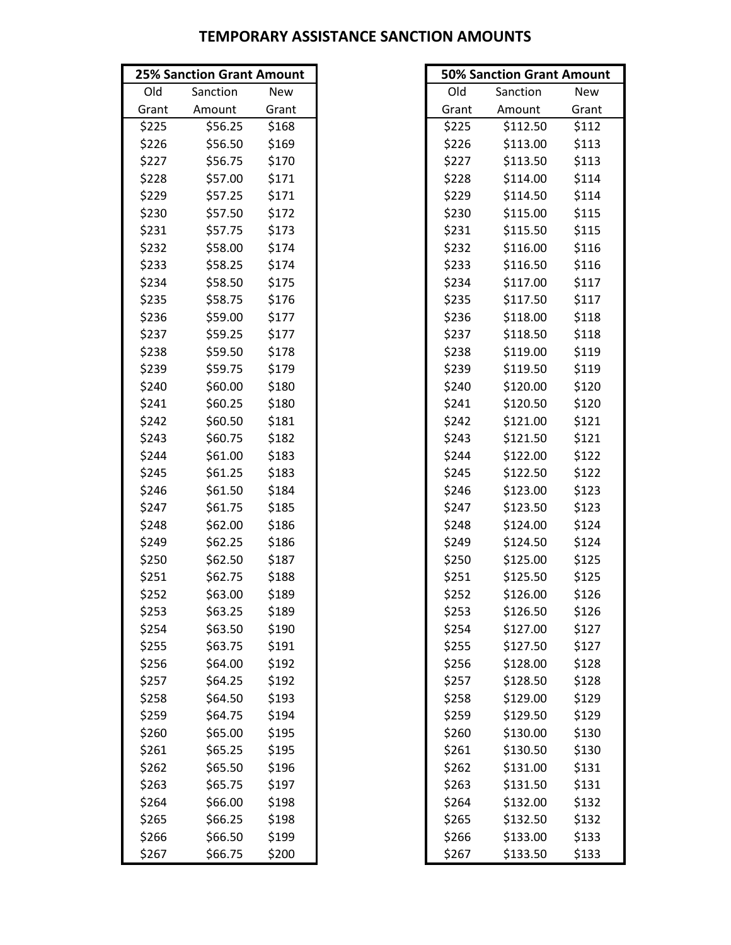|       | <b>25% Sanction Grant Amount</b> |       |       | <b>50% Sanction Grant Amount</b> |       |
|-------|----------------------------------|-------|-------|----------------------------------|-------|
| Old   | Sanction                         | New   | Old   | Sanction                         | New   |
| Grant | Amount                           | Grant | Grant | Amount                           | Grant |
| \$225 | \$56.25                          | \$168 | \$225 | \$112.50                         | \$112 |
| \$226 | \$56.50                          | \$169 | \$226 | \$113.00                         | \$113 |
| \$227 | \$56.75                          | \$170 | \$227 | \$113.50                         | \$113 |
| \$228 | \$57.00                          | \$171 | \$228 | \$114.00                         | \$114 |
| \$229 | \$57.25                          | \$171 | \$229 | \$114.50                         | \$114 |
| \$230 | \$57.50                          | \$172 | \$230 | \$115.00                         | \$115 |
| \$231 | \$57.75                          | \$173 | \$231 | \$115.50                         | \$115 |
| \$232 | \$58.00                          | \$174 | \$232 | \$116.00                         | \$116 |
| \$233 | \$58.25                          | \$174 | \$233 | \$116.50                         | \$116 |
| \$234 | \$58.50                          | \$175 | \$234 | \$117.00                         | \$117 |
| \$235 | \$58.75                          | \$176 | \$235 | \$117.50                         | \$117 |
| \$236 | \$59.00                          | \$177 | \$236 | \$118.00                         | \$118 |
| \$237 | \$59.25                          | \$177 | \$237 | \$118.50                         | \$118 |
| \$238 | \$59.50                          | \$178 | \$238 | \$119.00                         | \$119 |
| \$239 | \$59.75                          | \$179 | \$239 | \$119.50                         | \$119 |
| \$240 | \$60.00                          | \$180 | \$240 | \$120.00                         | \$120 |
| \$241 | \$60.25                          | \$180 | \$241 | \$120.50                         | \$120 |
| \$242 | \$60.50                          | \$181 | \$242 | \$121.00                         | \$121 |
| \$243 | \$60.75                          | \$182 | \$243 | \$121.50                         | \$121 |
| \$244 | \$61.00                          | \$183 | \$244 | \$122.00                         | \$122 |
| \$245 | \$61.25                          | \$183 | \$245 | \$122.50                         | \$122 |
| \$246 | \$61.50                          | \$184 | \$246 | \$123.00                         | \$123 |
| \$247 | \$61.75                          | \$185 | \$247 | \$123.50                         | \$123 |
| \$248 | \$62.00                          | \$186 | \$248 | \$124.00                         | \$124 |
| \$249 | \$62.25                          | \$186 | \$249 | \$124.50                         | \$124 |
| \$250 | \$62.50                          | \$187 | \$250 | \$125.00                         | \$125 |
| \$251 | \$62.75                          | \$188 | \$251 | \$125.50                         | \$125 |
| \$252 | \$63.00                          | \$189 | \$252 | \$126.00                         | \$126 |
| \$253 | \$63.25                          | \$189 | \$253 | \$126.50                         | \$126 |
| \$254 | \$63.50                          | \$190 | \$254 | \$127.00                         | \$127 |
| \$255 | \$63.75                          | \$191 | \$255 | \$127.50                         | \$127 |
| \$256 | \$64.00                          | \$192 | \$256 | \$128.00                         | \$128 |
| \$257 | \$64.25                          | \$192 | \$257 | \$128.50                         | \$128 |
| \$258 | \$64.50                          | \$193 | \$258 | \$129.00                         | \$129 |
| \$259 | \$64.75                          | \$194 | \$259 | \$129.50                         | \$129 |
| \$260 | \$65.00                          | \$195 | \$260 | \$130.00                         | \$130 |
| \$261 | \$65.25                          | \$195 | \$261 | \$130.50                         | \$130 |
| \$262 | \$65.50                          | \$196 | \$262 | \$131.00                         | \$131 |
| \$263 | \$65.75                          | \$197 | \$263 | \$131.50                         | \$131 |
| \$264 | \$66.00                          | \$198 | \$264 | \$132.00                         | \$132 |
| \$265 | \$66.25                          | \$198 | \$265 | \$132.50                         | \$132 |
| \$266 | \$66.50                          | \$199 | \$266 | \$133.00                         | \$133 |
| \$267 | \$66.75                          | \$200 | \$267 | \$133.50                         | \$133 |

|       | <b>50% Sanction Grant Amount</b> |            |
|-------|----------------------------------|------------|
| Old   | Sanction                         | <b>New</b> |
| Grant | Amount                           | Grant      |
| \$225 | \$112.50                         | \$112      |
| \$226 | \$113.00                         | \$113      |
| \$227 | \$113.50                         | \$113      |
| \$228 | \$114.00                         | \$114      |
| \$229 | \$114.50                         | \$114      |
| \$230 | \$115.00                         | \$115      |
| \$231 | \$115.50                         | \$115      |
| \$232 | \$116.00                         | \$116      |
| \$233 | \$116.50                         | \$116      |
| \$234 | \$117.00                         | \$117      |
| \$235 | \$117.50                         | \$117      |
| \$236 | \$118.00                         | \$118      |
| \$237 | \$118.50                         | \$118      |
| \$238 | \$119.00                         | \$119      |
| \$239 | \$119.50                         | \$119      |
| \$240 | \$120.00                         | \$120      |
| \$241 | \$120.50                         | \$120      |
| \$242 | \$121.00                         | \$121      |
| \$243 | \$121.50                         | \$121      |
| \$244 | \$122.00                         | \$122      |
| \$245 | \$122.50                         | \$122      |
| \$246 | \$123.00                         | \$123      |
| \$247 | \$123.50                         | \$123      |
| \$248 | \$124.00                         | \$124      |
| \$249 | \$124.50                         | \$124      |
| \$250 | \$125.00                         | \$125      |
| \$251 | \$125.50                         | \$125      |
| \$252 | \$126.00                         | \$126      |
| \$253 | \$126.50                         | \$126      |
| \$254 | \$127.00                         | \$127      |
| \$255 | \$127.50                         | \$127      |
| \$256 | \$128.00                         | \$128      |
| \$257 | \$128.50                         | \$128      |
| \$258 | \$129.00                         | \$129      |
| \$259 | \$129.50                         | \$129      |
| \$260 | \$130.00                         | \$130      |
| \$261 | \$130.50                         | \$130      |
| \$262 | \$131.00                         | \$131      |
| \$263 | \$131.50                         | \$131      |
| \$264 | \$132.00                         | \$132      |
| \$265 | \$132.50                         | \$132      |
| \$266 | \$133.00                         | \$133      |
| \$267 | \$133.50                         | \$133      |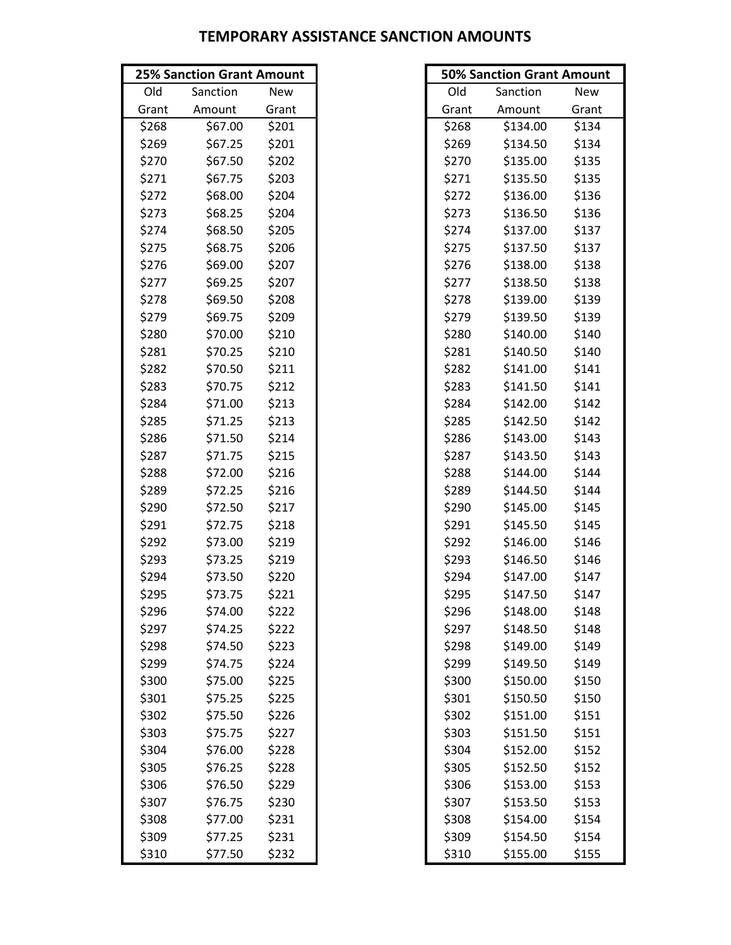|       | <b>25% Sanction Grant Amount</b> |       |       | <b>50% Sanction Grant Amount</b> |       |
|-------|----------------------------------|-------|-------|----------------------------------|-------|
| Old   | Sanction                         | New   | Old   | Sanction                         | New   |
| Grant | Amount                           | Grant | Grant | Amount                           | Grant |
| \$268 | \$67.00                          | \$201 | \$268 | \$134.00                         | \$134 |
| \$269 | \$67.25                          | \$201 | \$269 | \$134.50                         | \$134 |
| \$270 | \$67.50                          | \$202 | \$270 | \$135.00                         | \$135 |
| \$271 | \$67.75                          | \$203 | \$271 | \$135.50                         | \$135 |
| \$272 | \$68.00                          | \$204 | \$272 | \$136.00                         | \$136 |
| \$273 | \$68.25                          | \$204 | \$273 | \$136.50                         | \$136 |
| \$274 | \$68.50                          | \$205 | \$274 | \$137.00                         | \$137 |
| \$275 | \$68.75                          | \$206 | \$275 | \$137.50                         | \$137 |
| \$276 | \$69.00                          | \$207 | \$276 | \$138.00                         | \$138 |
| \$277 | \$69.25                          | \$207 | \$277 | \$138.50                         | \$138 |
| \$278 | \$69.50                          | \$208 | \$278 | \$139.00                         | \$139 |
| \$279 | \$69.75                          | \$209 | \$279 | \$139.50                         | \$139 |
| \$280 | \$70.00                          | \$210 | \$280 | \$140.00                         | \$140 |
| \$281 | \$70.25                          | \$210 | \$281 | \$140.50                         | \$140 |
| \$282 | \$70.50                          | \$211 | \$282 | \$141.00                         | \$141 |
| \$283 | \$70.75                          | \$212 | \$283 | \$141.50                         | \$141 |
| \$284 | \$71.00                          | \$213 | \$284 | \$142.00                         | \$142 |
| \$285 | \$71.25                          | \$213 | \$285 | \$142.50                         | \$142 |
| \$286 | \$71.50                          | \$214 | \$286 | \$143.00                         | \$143 |
| \$287 | \$71.75                          | \$215 | \$287 | \$143.50                         | \$143 |
| \$288 | \$72.00                          | \$216 | \$288 | \$144.00                         | \$144 |
| \$289 | \$72.25                          | \$216 | \$289 | \$144.50                         | \$144 |
| \$290 | \$72.50                          | \$217 | \$290 | \$145.00                         | \$145 |
| \$291 | \$72.75                          | \$218 | \$291 | \$145.50                         | \$145 |
| \$292 | \$73.00                          | \$219 | \$292 | \$146.00                         | \$146 |
| \$293 | \$73.25                          | \$219 | \$293 | \$146.50                         | \$146 |
| \$294 | \$73.50                          | \$220 | \$294 | \$147.00                         | \$147 |
| \$295 | \$73.75                          | \$221 | \$295 | \$147.50                         | \$147 |
| \$296 | \$74.00                          | \$222 | \$296 | \$148.00                         | \$148 |
| \$297 | \$74.25                          | \$222 | \$297 | \$148.50                         | \$148 |
| \$298 | \$74.50                          | \$223 | \$298 | \$149.00                         | \$149 |
| \$299 | \$74.75                          | \$224 | \$299 | \$149.50                         | \$149 |
| \$300 | \$75.00                          | \$225 | \$300 | \$150.00                         | \$150 |
| \$301 | \$75.25                          | \$225 | \$301 | \$150.50                         | \$150 |
| \$302 | \$75.50                          | \$226 | \$302 | \$151.00                         | \$151 |
| \$303 | \$75.75                          | \$227 | \$303 | \$151.50                         | \$151 |
| \$304 | \$76.00                          | \$228 | \$304 | \$152.00                         | \$152 |
| \$305 | \$76.25                          | \$228 | \$305 | \$152.50                         | \$152 |
| \$306 | \$76.50                          | \$229 | \$306 | \$153.00                         | \$153 |
| \$307 | \$76.75                          | \$230 | \$307 | \$153.50                         | \$153 |
| \$308 | \$77.00                          | \$231 | \$308 | \$154.00                         | \$154 |
| \$309 | \$77.25                          | \$231 | \$309 | \$154.50                         | \$154 |
| \$310 | \$77.50                          | \$232 | \$310 | \$155.00                         | \$155 |

| <b>50% Sanction Grant Amount</b> |          |            |  |  |  |  |  |
|----------------------------------|----------|------------|--|--|--|--|--|
| Old                              | Sanction | <b>New</b> |  |  |  |  |  |
| Grant                            | Amount   | Grant      |  |  |  |  |  |
| \$268                            | \$134.00 | \$134      |  |  |  |  |  |
| \$269                            | \$134.50 | \$134      |  |  |  |  |  |
| \$270                            | \$135.00 | \$135      |  |  |  |  |  |
| \$271                            | \$135.50 | \$135      |  |  |  |  |  |
| \$272                            | \$136.00 | \$136      |  |  |  |  |  |
| \$273                            | \$136.50 | \$136      |  |  |  |  |  |
| \$274                            | \$137.00 | \$137      |  |  |  |  |  |
| \$275                            | \$137.50 | \$137      |  |  |  |  |  |
| \$276                            | \$138.00 | \$138      |  |  |  |  |  |
| \$277                            | \$138.50 | \$138      |  |  |  |  |  |
| \$278                            | \$139.00 | \$139      |  |  |  |  |  |
| \$279                            | \$139.50 | \$139      |  |  |  |  |  |
| \$280                            | \$140.00 | \$140      |  |  |  |  |  |
| \$281                            | \$140.50 | \$140      |  |  |  |  |  |
| \$282                            | \$141.00 | \$141      |  |  |  |  |  |
| \$283                            | \$141.50 | \$141      |  |  |  |  |  |
| \$284                            | \$142.00 | \$142      |  |  |  |  |  |
| \$285                            | \$142.50 | \$142      |  |  |  |  |  |
| \$286                            | \$143.00 | \$143      |  |  |  |  |  |
| \$287                            | \$143.50 | \$143      |  |  |  |  |  |
| \$288                            | \$144.00 | \$144      |  |  |  |  |  |
| \$289                            | \$144.50 | \$144      |  |  |  |  |  |
| \$290                            | \$145.00 | \$145      |  |  |  |  |  |
| \$291                            | \$145.50 | \$145      |  |  |  |  |  |
| \$292                            | \$146.00 | \$146      |  |  |  |  |  |
| \$293                            | \$146.50 | \$146      |  |  |  |  |  |
| \$294                            | \$147.00 | \$147      |  |  |  |  |  |
| \$295                            | \$147.50 | \$147      |  |  |  |  |  |
| \$296                            | \$148.00 | \$148      |  |  |  |  |  |
| \$297                            | \$148.50 | \$148      |  |  |  |  |  |
| \$298                            | \$149.00 | \$149      |  |  |  |  |  |
| \$299                            | \$149.50 | \$149      |  |  |  |  |  |
| \$300                            | \$150.00 | \$150      |  |  |  |  |  |
| \$301                            | \$150.50 | \$150      |  |  |  |  |  |
| \$302                            | \$151.00 | \$151      |  |  |  |  |  |
| \$303                            | \$151.50 | \$151      |  |  |  |  |  |
| \$304                            | \$152.00 | \$152      |  |  |  |  |  |
| \$305                            | \$152.50 | \$152      |  |  |  |  |  |
| \$306                            | \$153.00 | \$153      |  |  |  |  |  |
| \$307                            | \$153.50 | \$153      |  |  |  |  |  |
| \$308                            | \$154.00 | \$154      |  |  |  |  |  |
| \$309                            | \$154.50 | \$154      |  |  |  |  |  |
| \$310                            | \$155.00 | \$155      |  |  |  |  |  |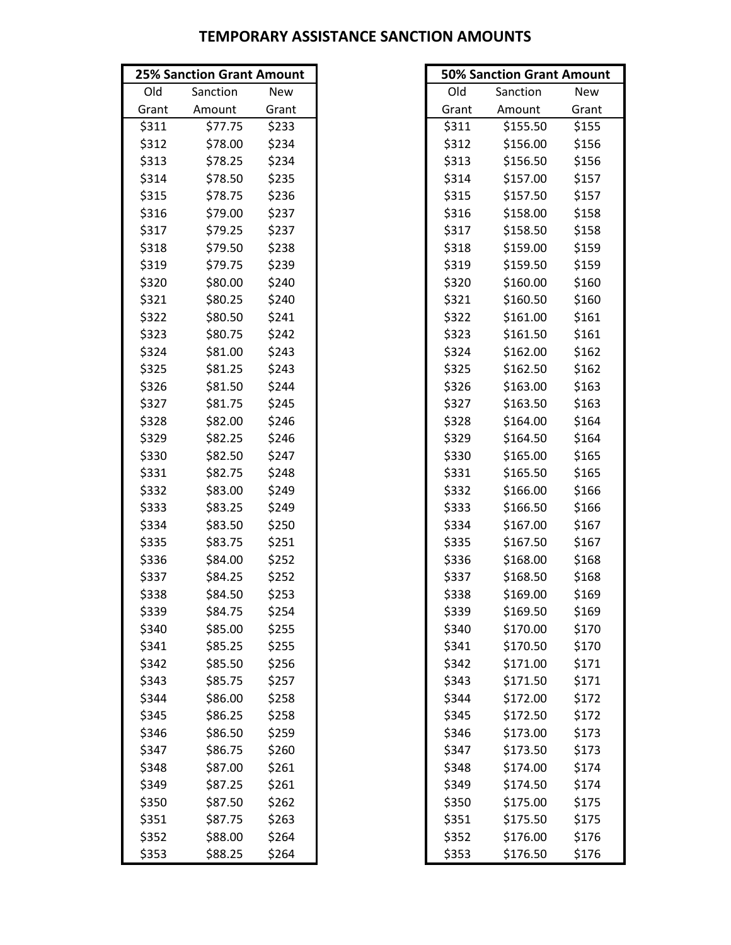|       | <b>25% Sanction Grant Amount</b> |       |       | <b>50% Sanction Grant Amount</b> |       |
|-------|----------------------------------|-------|-------|----------------------------------|-------|
| Old   | Sanction                         | New   | Old   | Sanction                         | New   |
| Grant | Amount                           | Grant | Grant | Amount                           | Grant |
| \$311 | \$77.75                          | \$233 | \$311 | \$155.50                         | \$155 |
| \$312 | \$78.00                          | \$234 | \$312 | \$156.00                         | \$156 |
| \$313 | \$78.25                          | \$234 | \$313 | \$156.50                         | \$156 |
| \$314 | \$78.50                          | \$235 | \$314 | \$157.00                         | \$157 |
| \$315 | \$78.75                          | \$236 | \$315 | \$157.50                         | \$157 |
| \$316 | \$79.00                          | \$237 | \$316 | \$158.00                         | \$158 |
| \$317 | \$79.25                          | \$237 | \$317 | \$158.50                         | \$158 |
| \$318 | \$79.50                          | \$238 | \$318 | \$159.00                         | \$159 |
| \$319 | \$79.75                          | \$239 | \$319 | \$159.50                         | \$159 |
| \$320 | \$80.00                          | \$240 | \$320 | \$160.00                         | \$160 |
| \$321 | \$80.25                          | \$240 | \$321 | \$160.50                         | \$160 |
| \$322 | \$80.50                          | \$241 | \$322 | \$161.00                         | \$161 |
| \$323 | \$80.75                          | \$242 | \$323 | \$161.50                         | \$161 |
| \$324 | \$81.00                          | \$243 | \$324 | \$162.00                         | \$162 |
| \$325 | \$81.25                          | \$243 | \$325 | \$162.50                         | \$162 |
| \$326 | \$81.50                          | \$244 | \$326 | \$163.00                         | \$163 |
| \$327 | \$81.75                          | \$245 | \$327 | \$163.50                         | \$163 |
| \$328 | \$82.00                          | \$246 | \$328 | \$164.00                         | \$164 |
| \$329 | \$82.25                          | \$246 | \$329 | \$164.50                         | \$164 |
| \$330 | \$82.50                          | \$247 | \$330 | \$165.00                         | \$165 |
| \$331 | \$82.75                          | \$248 | \$331 | \$165.50                         | \$165 |
| \$332 | \$83.00                          | \$249 | \$332 | \$166.00                         | \$166 |
| \$333 | \$83.25                          | \$249 | \$333 | \$166.50                         | \$166 |
| \$334 | \$83.50                          | \$250 | \$334 | \$167.00                         | \$167 |
| \$335 | \$83.75                          | \$251 | \$335 | \$167.50                         | \$167 |
| \$336 | \$84.00                          | \$252 | \$336 | \$168.00                         | \$168 |
| \$337 | \$84.25                          | \$252 | \$337 | \$168.50                         | \$168 |
| \$338 | \$84.50                          | \$253 | \$338 | \$169.00                         | \$169 |
| \$339 | \$84.75                          | \$254 | \$339 | \$169.50                         | \$169 |
| \$340 | \$85.00                          | \$255 | \$340 | \$170.00                         | \$170 |
| \$341 | \$85.25                          | \$255 | \$341 | \$170.50                         | \$170 |
| \$342 | \$85.50                          | \$256 | \$342 | \$171.00                         | \$171 |
| \$343 | \$85.75                          | \$257 | \$343 | \$171.50                         | \$171 |
| \$344 | \$86.00                          | \$258 | \$344 | \$172.00                         | \$172 |
| \$345 | \$86.25                          | \$258 | \$345 | \$172.50                         | \$172 |
| \$346 | \$86.50                          | \$259 | \$346 | \$173.00                         | \$173 |
| \$347 | \$86.75                          | \$260 | \$347 | \$173.50                         | \$173 |
| \$348 | \$87.00                          | \$261 | \$348 | \$174.00                         | \$174 |
| \$349 | \$87.25                          | \$261 | \$349 | \$174.50                         | \$174 |
| \$350 | \$87.50                          | \$262 | \$350 | \$175.00                         | \$175 |
| \$351 | \$87.75                          | \$263 | \$351 | \$175.50                         | \$175 |
| \$352 | \$88.00                          | \$264 | \$352 | \$176.00                         | \$176 |
| \$353 | \$88.25                          | \$264 | \$353 | \$176.50                         | \$176 |

| <b>50% Sanction Grant Amount</b> |          |            |  |  |  |  |  |
|----------------------------------|----------|------------|--|--|--|--|--|
| Old                              | Sanction | <b>New</b> |  |  |  |  |  |
| Grant                            | Amount   | Grant      |  |  |  |  |  |
| \$311                            | \$155.50 | \$155      |  |  |  |  |  |
| \$312                            | \$156.00 | \$156      |  |  |  |  |  |
| \$313                            | \$156.50 | \$156      |  |  |  |  |  |
| \$314                            | \$157.00 | \$157      |  |  |  |  |  |
| \$315                            | \$157.50 | \$157      |  |  |  |  |  |
| \$316                            | \$158.00 | \$158      |  |  |  |  |  |
| \$317                            | \$158.50 | \$158      |  |  |  |  |  |
| \$318                            | \$159.00 | \$159      |  |  |  |  |  |
| \$319                            | \$159.50 | \$159      |  |  |  |  |  |
| \$320                            | \$160.00 | \$160      |  |  |  |  |  |
| \$321                            | \$160.50 | \$160      |  |  |  |  |  |
| \$322                            | \$161.00 | \$161      |  |  |  |  |  |
| \$323                            | \$161.50 | \$161      |  |  |  |  |  |
| \$324                            | \$162.00 | \$162      |  |  |  |  |  |
| \$325                            | \$162.50 | \$162      |  |  |  |  |  |
| \$326                            | \$163.00 | \$163      |  |  |  |  |  |
| \$327                            | \$163.50 | \$163      |  |  |  |  |  |
| \$328                            | \$164.00 | \$164      |  |  |  |  |  |
| \$329                            | \$164.50 | \$164      |  |  |  |  |  |
| \$330                            | \$165.00 | \$165      |  |  |  |  |  |
| \$331                            | \$165.50 | \$165      |  |  |  |  |  |
| \$332                            | \$166.00 | \$166      |  |  |  |  |  |
| \$333                            | \$166.50 | \$166      |  |  |  |  |  |
| \$334                            | \$167.00 | \$167      |  |  |  |  |  |
| \$335                            | \$167.50 | \$167      |  |  |  |  |  |
| \$336                            | \$168.00 | \$168      |  |  |  |  |  |
| \$337                            | \$168.50 | \$168      |  |  |  |  |  |
| \$338                            | \$169.00 | \$169      |  |  |  |  |  |
| \$339                            | \$169.50 | \$169      |  |  |  |  |  |
| \$340                            | \$170.00 | \$170      |  |  |  |  |  |
| \$341                            | \$170.50 | \$170      |  |  |  |  |  |
| \$342                            | \$171.00 | \$171      |  |  |  |  |  |
| \$343                            | \$171.50 | \$171      |  |  |  |  |  |
| \$344                            | \$172.00 | \$172      |  |  |  |  |  |
| \$345                            | \$172.50 | \$172      |  |  |  |  |  |
| \$346                            | \$173.00 | \$173      |  |  |  |  |  |
| \$347                            | \$173.50 | \$173      |  |  |  |  |  |
| \$348                            | \$174.00 | \$174      |  |  |  |  |  |
| \$349                            | \$174.50 | \$174      |  |  |  |  |  |
| \$350                            | \$175.00 | \$175      |  |  |  |  |  |
| \$351                            | \$175.50 | \$175      |  |  |  |  |  |
| \$352                            | \$176.00 | \$176      |  |  |  |  |  |
| \$353                            | \$176.50 | \$176      |  |  |  |  |  |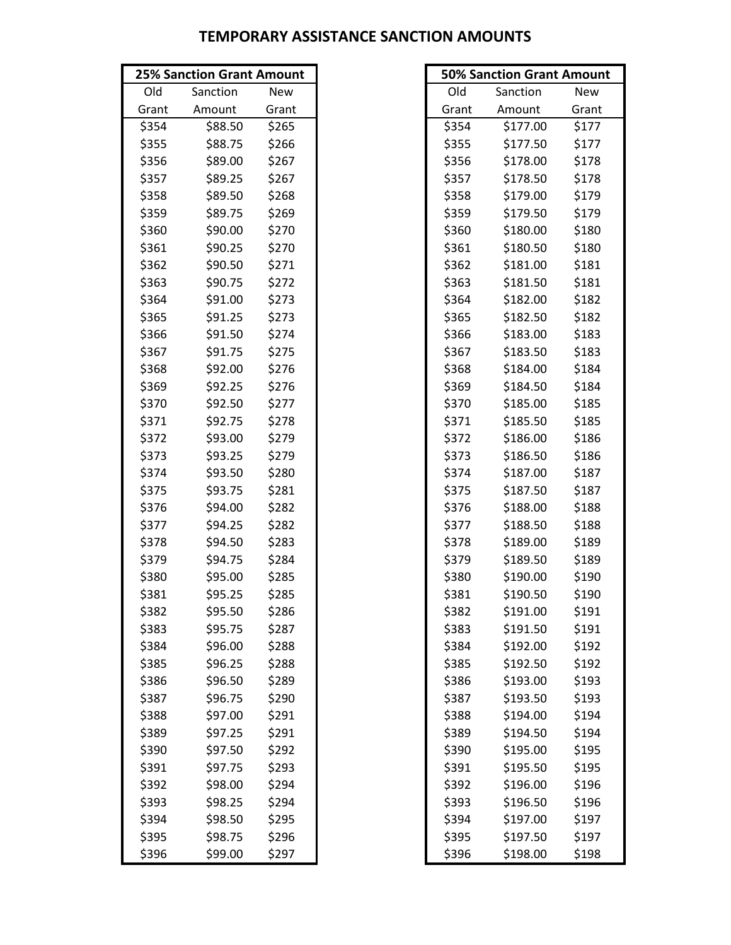| <b>25% Sanction Grant Amount</b> |          | <b>50% Sanction Grant Amount</b> |       |          |       |
|----------------------------------|----------|----------------------------------|-------|----------|-------|
| Old                              | Sanction | New                              | Old   | Sanction | New   |
| Grant                            | Amount   | Grant                            | Grant | Amount   | Grant |
| \$354                            | \$88.50  | \$265                            | \$354 | \$177.00 | \$177 |
| \$355                            | \$88.75  | \$266                            | \$355 | \$177.50 | \$177 |
| \$356                            | \$89.00  | \$267                            | \$356 | \$178.00 | \$178 |
| \$357                            | \$89.25  | \$267                            | \$357 | \$178.50 | \$178 |
| \$358                            | \$89.50  | \$268                            | \$358 | \$179.00 | \$179 |
| \$359                            | \$89.75  | \$269                            | \$359 | \$179.50 | \$179 |
| \$360                            | \$90.00  | \$270                            | \$360 | \$180.00 | \$180 |
| \$361                            | \$90.25  | \$270                            | \$361 | \$180.50 | \$180 |
| \$362                            | \$90.50  | \$271                            | \$362 | \$181.00 | \$181 |
| \$363                            | \$90.75  | \$272                            | \$363 | \$181.50 | \$181 |
| \$364                            | \$91.00  | \$273                            | \$364 | \$182.00 | \$182 |
| \$365                            | \$91.25  | \$273                            | \$365 | \$182.50 | \$182 |
| \$366                            | \$91.50  | \$274                            | \$366 | \$183.00 | \$183 |
| \$367                            | \$91.75  | \$275                            | \$367 | \$183.50 | \$183 |
| \$368                            | \$92.00  | \$276                            | \$368 | \$184.00 | \$184 |
| \$369                            | \$92.25  | \$276                            | \$369 | \$184.50 | \$184 |
| \$370                            | \$92.50  | \$277                            | \$370 | \$185.00 | \$185 |
| \$371                            | \$92.75  | \$278                            | \$371 | \$185.50 | \$185 |
| \$372                            | \$93.00  | \$279                            | \$372 | \$186.00 | \$186 |
| \$373                            | \$93.25  | \$279                            | \$373 | \$186.50 | \$186 |
| \$374                            | \$93.50  | \$280                            | \$374 | \$187.00 | \$187 |
| \$375                            | \$93.75  | \$281                            | \$375 | \$187.50 | \$187 |
| \$376                            | \$94.00  | \$282                            | \$376 | \$188.00 | \$188 |
| \$377                            | \$94.25  | \$282                            | \$377 | \$188.50 | \$188 |
| \$378                            | \$94.50  | \$283                            | \$378 | \$189.00 | \$189 |
| \$379                            | \$94.75  | \$284                            | \$379 | \$189.50 | \$189 |
| \$380                            | \$95.00  | \$285                            | \$380 | \$190.00 | \$190 |
| \$381                            | \$95.25  | \$285                            | \$381 | \$190.50 | \$190 |
| \$382                            | \$95.50  | \$286                            | \$382 | \$191.00 | \$191 |
| \$383                            | \$95.75  | \$287                            | \$383 | \$191.50 | \$191 |
| \$384                            | \$96.00  | \$288                            | \$384 | \$192.00 | \$192 |
| \$385                            | \$96.25  | \$288                            | \$385 | \$192.50 | \$192 |
| \$386                            | \$96.50  | \$289                            | \$386 | \$193.00 | \$193 |
| \$387                            | \$96.75  | \$290                            | \$387 | \$193.50 | \$193 |
| \$388                            | \$97.00  | \$291                            | \$388 | \$194.00 | \$194 |
| \$389                            | \$97.25  | \$291                            | \$389 | \$194.50 | \$194 |
| \$390                            | \$97.50  | \$292                            | \$390 | \$195.00 | \$195 |
| \$391                            | \$97.75  | \$293                            | \$391 | \$195.50 | \$195 |
| \$392                            | \$98.00  | \$294                            | \$392 | \$196.00 | \$196 |
| \$393                            | \$98.25  | \$294                            | \$393 | \$196.50 | \$196 |
| \$394                            | \$98.50  | \$295                            | \$394 | \$197.00 | \$197 |
| \$395                            | \$98.75  | \$296                            | \$395 | \$197.50 | \$197 |
| \$396                            | \$99.00  | \$297                            | \$396 | \$198.00 | \$198 |

| <b>50% Sanction Grant Amount</b> |          |            |  |  |  |  |  |
|----------------------------------|----------|------------|--|--|--|--|--|
| Old                              | Sanction | <b>New</b> |  |  |  |  |  |
| Grant                            | Amount   | Grant      |  |  |  |  |  |
| \$354                            | \$177.00 | \$177      |  |  |  |  |  |
| \$355                            | \$177.50 | \$177      |  |  |  |  |  |
| \$356                            | \$178.00 | \$178      |  |  |  |  |  |
| \$357                            | \$178.50 | \$178      |  |  |  |  |  |
| \$358                            | \$179.00 | \$179      |  |  |  |  |  |
| \$359                            | \$179.50 | \$179      |  |  |  |  |  |
| \$360                            | \$180.00 | \$180      |  |  |  |  |  |
| \$361                            | \$180.50 | \$180      |  |  |  |  |  |
| \$362                            | \$181.00 | \$181      |  |  |  |  |  |
| \$363                            | \$181.50 | \$181      |  |  |  |  |  |
| \$364                            | \$182.00 | \$182      |  |  |  |  |  |
| \$365                            | \$182.50 | \$182      |  |  |  |  |  |
| \$366                            | \$183.00 | \$183      |  |  |  |  |  |
| \$367                            | \$183.50 | \$183      |  |  |  |  |  |
| \$368                            | \$184.00 | \$184      |  |  |  |  |  |
| \$369                            | \$184.50 | \$184      |  |  |  |  |  |
| \$370                            | \$185.00 | \$185      |  |  |  |  |  |
| \$371                            | \$185.50 | \$185      |  |  |  |  |  |
| \$372                            | \$186.00 | \$186      |  |  |  |  |  |
| \$373                            | \$186.50 | \$186      |  |  |  |  |  |
| \$374                            | \$187.00 | \$187      |  |  |  |  |  |
| \$375                            | \$187.50 | \$187      |  |  |  |  |  |
| \$376                            | \$188.00 | \$188      |  |  |  |  |  |
| \$377                            | \$188.50 | \$188      |  |  |  |  |  |
| \$378                            | \$189.00 | \$189      |  |  |  |  |  |
| \$379                            | \$189.50 | \$189      |  |  |  |  |  |
| \$380                            | \$190.00 | \$190      |  |  |  |  |  |
| \$381                            | \$190.50 | \$190      |  |  |  |  |  |
| \$382                            | \$191.00 | \$191      |  |  |  |  |  |
| \$383                            | \$191.50 | \$191      |  |  |  |  |  |
| \$384                            | \$192.00 | \$192      |  |  |  |  |  |
| \$385                            | \$192.50 | \$192      |  |  |  |  |  |
| \$386                            | \$193.00 | \$193      |  |  |  |  |  |
| \$387                            | \$193.50 | \$193      |  |  |  |  |  |
| \$388                            | \$194.00 | \$194      |  |  |  |  |  |
| \$389                            | \$194.50 | \$194      |  |  |  |  |  |
| \$390                            | \$195.00 | \$195      |  |  |  |  |  |
| \$391                            | \$195.50 | \$195      |  |  |  |  |  |
| \$392                            | \$196.00 | \$196      |  |  |  |  |  |
| \$393                            | \$196.50 | \$196      |  |  |  |  |  |
| \$394                            | \$197.00 | \$197      |  |  |  |  |  |
| \$395                            | \$197.50 | \$197      |  |  |  |  |  |
| \$396                            | \$198.00 | \$198      |  |  |  |  |  |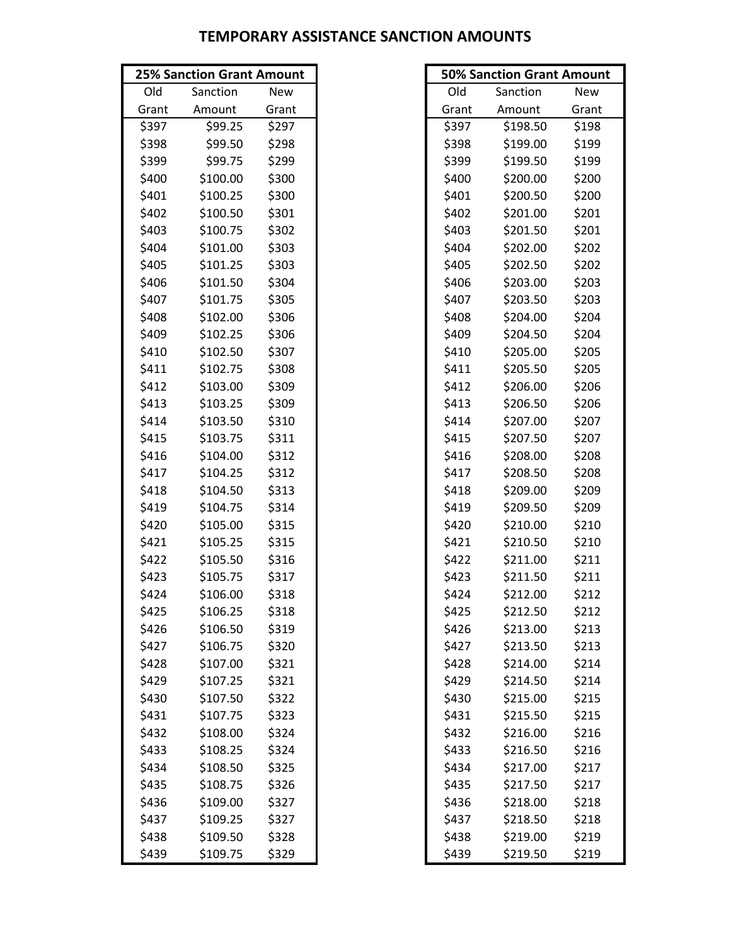|       | <b>25% Sanction Grant Amount</b> |       |       | <b>50% Sanction Grant Amour</b> |            |
|-------|----------------------------------|-------|-------|---------------------------------|------------|
| Old   | Sanction                         | New   | Old   | Sanction                        | <b>New</b> |
| Grant | Amount                           | Grant | Grant | Amount                          | Grant      |
| \$397 | \$99.25                          | \$297 | \$397 | \$198.50                        | \$198      |
| \$398 | \$99.50                          | \$298 | \$398 | \$199.00                        | \$199      |
| \$399 | \$99.75                          | \$299 | \$399 | \$199.50                        | \$199      |
| \$400 | \$100.00                         | \$300 | \$400 | \$200.00                        | \$200      |
| \$401 | \$100.25                         | \$300 | \$401 | \$200.50                        | \$200      |
| \$402 | \$100.50                         | \$301 | \$402 | \$201.00                        | \$201      |
| \$403 | \$100.75                         | \$302 | \$403 | \$201.50                        | \$201      |
| \$404 | \$101.00                         | \$303 | \$404 | \$202.00                        | \$202      |
| \$405 | \$101.25                         | \$303 | \$405 | \$202.50                        | \$202      |
| \$406 | \$101.50                         | \$304 | \$406 | \$203.00                        | \$203      |
| \$407 | \$101.75                         | \$305 | \$407 | \$203.50                        | \$203      |
| \$408 | \$102.00                         | \$306 | \$408 | \$204.00                        | \$204      |
| \$409 | \$102.25                         | \$306 | \$409 | \$204.50                        | \$204      |
| \$410 | \$102.50                         | \$307 | \$410 | \$205.00                        | \$205      |
| \$411 | \$102.75                         | \$308 | \$411 | \$205.50                        | \$205      |
| \$412 | \$103.00                         | \$309 | \$412 | \$206.00                        | \$206      |
| \$413 | \$103.25                         | \$309 | \$413 | \$206.50                        | \$206      |
| \$414 | \$103.50                         | \$310 | \$414 | \$207.00                        | \$207      |
| \$415 | \$103.75                         | \$311 | \$415 | \$207.50                        | \$207      |
| \$416 | \$104.00                         | \$312 | \$416 | \$208.00                        | \$208      |
| \$417 | \$104.25                         | \$312 | \$417 | \$208.50                        | \$208      |
| \$418 | \$104.50                         | \$313 | \$418 | \$209.00                        | \$209      |
| \$419 | \$104.75                         | \$314 | \$419 | \$209.50                        | \$209      |
| \$420 | \$105.00                         | \$315 | \$420 | \$210.00                        | \$210      |
| \$421 | \$105.25                         | \$315 | \$421 | \$210.50                        | \$210      |
| \$422 | \$105.50                         | \$316 | \$422 | \$211.00                        | \$211      |
| \$423 | \$105.75                         | \$317 | \$423 | \$211.50                        | \$211      |
| \$424 | \$106.00                         | \$318 | \$424 | \$212.00                        | \$212      |
| \$425 | \$106.25                         | \$318 | \$425 | \$212.50                        | \$212      |
| \$426 | \$106.50                         | \$319 | \$426 | \$213.00                        | \$213      |
| \$427 | \$106.75                         | \$320 | \$427 | \$213.50                        | \$213      |
| \$428 | \$107.00                         | \$321 | \$428 | \$214.00                        | \$214      |
| \$429 | \$107.25                         | \$321 | \$429 | \$214.50                        | \$214      |
| \$430 | \$107.50                         | \$322 | \$430 | \$215.00                        | \$215      |
| \$431 | \$107.75                         | \$323 | \$431 | \$215.50                        | \$215      |
| \$432 | \$108.00                         | \$324 | \$432 | \$216.00                        | \$216      |
| \$433 | \$108.25                         | \$324 | \$433 | \$216.50                        | \$216      |
| \$434 | \$108.50                         | \$325 | \$434 | \$217.00                        | \$217      |
| \$435 | \$108.75                         | \$326 | \$435 | \$217.50                        | \$217      |
| \$436 | \$109.00                         | \$327 | \$436 | \$218.00                        | \$218      |
| \$437 | \$109.25                         | \$327 | \$437 | \$218.50                        | \$218      |
| \$438 | \$109.50                         | \$328 | \$438 | \$219.00                        | \$219      |
| \$439 | \$109.75                         | \$329 | \$439 | \$219.50                        | \$219      |

| <b>25% Sanction Grant Amount</b> |          |       |       | <b>50% Sanction Grant Amount</b> |            |
|----------------------------------|----------|-------|-------|----------------------------------|------------|
| Old                              | Sanction | New   | Old   | Sanction                         | <b>New</b> |
| Grant                            | Amount   | Grant | Grant | Amount                           | Grant      |
| \$397                            | \$99.25  | \$297 | \$397 | \$198.50                         | \$198      |
| \$398                            | \$99.50  | \$298 | \$398 | \$199.00                         | \$199      |
| \$399                            | \$99.75  | \$299 | \$399 | \$199.50                         | \$199      |
| \$400                            | \$100.00 | \$300 | \$400 | \$200.00                         | \$200      |
| \$401                            | \$100.25 | \$300 | \$401 | \$200.50                         | \$200      |
| \$402                            | \$100.50 | \$301 | \$402 | \$201.00                         | \$201      |
| \$403                            | \$100.75 | \$302 | \$403 | \$201.50                         | \$201      |
| \$404                            | \$101.00 | \$303 | \$404 | \$202.00                         | \$202      |
| \$405                            | \$101.25 | \$303 | \$405 | \$202.50                         | \$202      |
| \$406                            | \$101.50 | \$304 | \$406 | \$203.00                         | \$203      |
| \$407                            | \$101.75 | \$305 | \$407 | \$203.50                         | \$203      |
| \$408                            | \$102.00 | \$306 | \$408 | \$204.00                         | \$204      |
| \$409                            | \$102.25 | \$306 | \$409 | \$204.50                         | \$204      |
| \$410                            | \$102.50 | \$307 | \$410 | \$205.00                         | \$205      |
| \$411                            | \$102.75 | \$308 | \$411 | \$205.50                         | \$205      |
| \$412                            | \$103.00 | \$309 | \$412 | \$206.00                         | \$206      |
| \$413                            | \$103.25 | \$309 | \$413 | \$206.50                         | \$206      |
| \$414                            | \$103.50 | \$310 | \$414 | \$207.00                         | \$207      |
| \$415                            | \$103.75 | \$311 | \$415 | \$207.50                         | \$207      |
| \$416                            | \$104.00 | \$312 | \$416 | \$208.00                         | \$208      |
| \$417                            | \$104.25 | \$312 | \$417 | \$208.50                         | \$208      |
| \$418                            | \$104.50 | \$313 | \$418 | \$209.00                         | \$209      |
| \$419                            | \$104.75 | \$314 | \$419 | \$209.50                         | \$209      |
| \$420                            | \$105.00 | \$315 | \$420 | \$210.00                         | \$210      |
| \$421                            | \$105.25 | \$315 | \$421 | \$210.50                         | \$210      |
| \$422                            | \$105.50 | \$316 | \$422 | \$211.00                         | \$211      |
| \$423                            | \$105.75 | \$317 | \$423 | \$211.50                         | \$211      |
| \$424                            | \$106.00 | \$318 | \$424 | \$212.00                         | \$212      |
| \$425                            | \$106.25 | \$318 | \$425 | \$212.50                         | \$212      |
| \$426                            | \$106.50 | \$319 | \$426 | \$213.00                         | \$213      |
| \$427                            | \$106.75 | \$320 | \$427 | \$213.50                         | \$213      |
| \$428                            | \$107.00 | \$321 | \$428 | \$214.00                         | \$214      |
| \$429                            | \$107.25 | \$321 | \$429 | \$214.50                         | \$214      |
| \$430                            | \$107.50 | \$322 | \$430 | \$215.00                         | \$215      |
| \$431                            | \$107.75 | \$323 | \$431 | \$215.50                         | \$215      |
| \$432                            | \$108.00 | \$324 | \$432 | \$216.00                         | \$216      |
| \$433                            | \$108.25 | \$324 | \$433 | \$216.50                         | \$216      |
| \$434                            | \$108.50 | \$325 | \$434 | \$217.00                         | \$217      |
| \$435                            | \$108.75 | \$326 | \$435 | \$217.50                         | \$217      |
| \$436                            | \$109.00 | \$327 | \$436 | \$218.00                         | \$218      |
| \$437                            | \$109.25 | \$327 | \$437 | \$218.50                         | \$218      |
| \$438                            | \$109.50 | \$328 | \$438 | \$219.00                         | \$219      |
| \$439                            | \$109.75 | \$329 | \$439 | \$219.50                         | \$219      |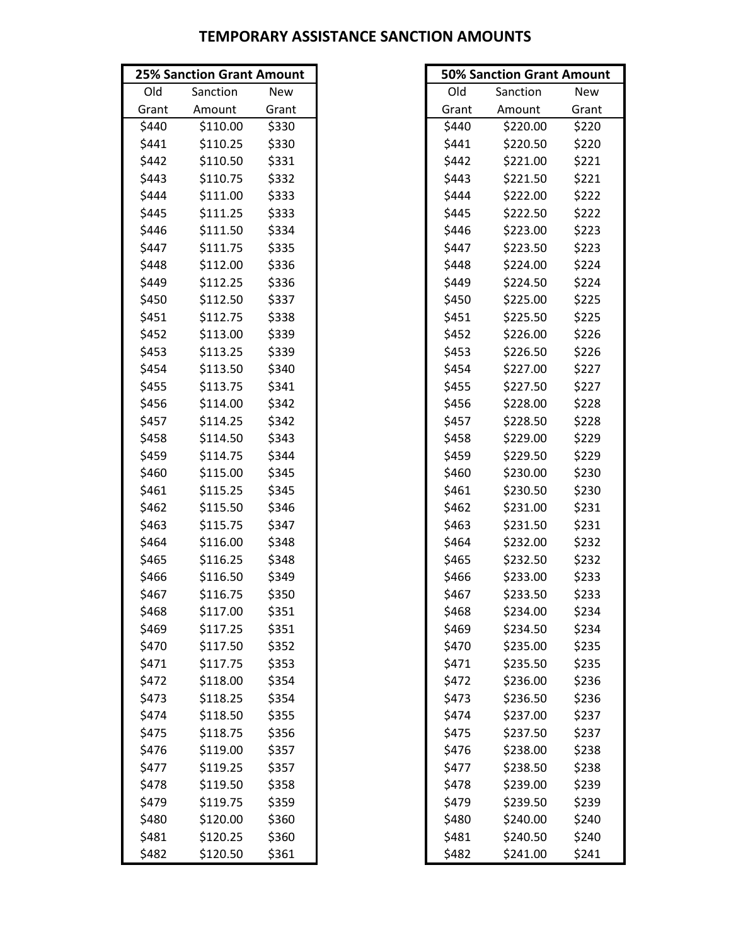|       | <b>25% Sanction Grant Amount</b> |       |       | <b>50% Sanction Grant Amour</b> |            |
|-------|----------------------------------|-------|-------|---------------------------------|------------|
| Old   | Sanction                         | New   | Old   | Sanction                        | <b>New</b> |
| Grant | Amount                           | Grant | Grant | Amount                          | Grant      |
| \$440 | \$110.00                         | \$330 | \$440 | \$220.00                        | \$220      |
| \$441 | \$110.25                         | \$330 | \$441 | \$220.50                        | \$220      |
| \$442 | \$110.50                         | \$331 | \$442 | \$221.00                        | \$221      |
| \$443 | \$110.75                         | \$332 | \$443 | \$221.50                        | \$221      |
| \$444 | \$111.00                         | \$333 | \$444 | \$222.00                        | \$222      |
| \$445 | \$111.25                         | \$333 | \$445 | \$222.50                        | \$222      |
| \$446 | \$111.50                         | \$334 | \$446 | \$223.00                        | \$223      |
| \$447 | \$111.75                         | \$335 | \$447 | \$223.50                        | \$223      |
| \$448 | \$112.00                         | \$336 | \$448 | \$224.00                        | \$224      |
| \$449 | \$112.25                         | \$336 | \$449 | \$224.50                        | \$224      |
| \$450 | \$112.50                         | \$337 | \$450 | \$225.00                        | \$225      |
| \$451 | \$112.75                         | \$338 | \$451 | \$225.50                        | \$225      |
| \$452 | \$113.00                         | \$339 | \$452 | \$226.00                        | \$226      |
| \$453 | \$113.25                         | \$339 | \$453 | \$226.50                        | \$226      |
| \$454 | \$113.50                         | \$340 | \$454 | \$227.00                        | \$227      |
| \$455 | \$113.75                         | \$341 | \$455 | \$227.50                        | \$227      |
| \$456 | \$114.00                         | \$342 | \$456 | \$228.00                        | \$228      |
| \$457 | \$114.25                         | \$342 | \$457 | \$228.50                        | \$228      |
| \$458 | \$114.50                         | \$343 | \$458 | \$229.00                        | \$229      |
| \$459 | \$114.75                         | \$344 | \$459 | \$229.50                        | \$229      |
| \$460 | \$115.00                         | \$345 | \$460 | \$230.00                        | \$230      |
| \$461 | \$115.25                         | \$345 | \$461 | \$230.50                        | \$230      |
| \$462 | \$115.50                         | \$346 | \$462 | \$231.00                        | \$231      |
| \$463 | \$115.75                         | \$347 | \$463 | \$231.50                        | \$231      |
| \$464 | \$116.00                         | \$348 | \$464 | \$232.00                        | \$232      |
| \$465 | \$116.25                         | \$348 | \$465 | \$232.50                        | \$232      |
| \$466 | \$116.50                         | \$349 | \$466 | \$233.00                        | \$233      |
| \$467 | \$116.75                         | \$350 | \$467 | \$233.50                        | \$233      |
| \$468 | \$117.00                         | \$351 | \$468 | \$234.00                        | \$234      |
| \$469 | \$117.25                         | \$351 | \$469 | \$234.50                        | \$234      |
| \$470 | \$117.50                         | \$352 | \$470 | \$235.00                        | \$235      |
| \$471 | \$117.75                         | \$353 | \$471 | \$235.50                        | \$235      |
| \$472 | \$118.00                         | \$354 | \$472 | \$236.00                        | \$236      |
| \$473 | \$118.25                         | \$354 | \$473 | \$236.50                        | \$236      |
| \$474 | \$118.50                         | \$355 | \$474 | \$237.00                        | \$237      |
| \$475 | \$118.75                         | \$356 | \$475 | \$237.50                        | \$237      |
| \$476 | \$119.00                         | \$357 | \$476 | \$238.00                        | \$238      |
| \$477 | \$119.25                         | \$357 | \$477 | \$238.50                        | \$238      |
| \$478 | \$119.50                         | \$358 | \$478 | \$239.00                        | \$239      |
| \$479 | \$119.75                         | \$359 | \$479 | \$239.50                        | \$239      |
| \$480 | \$120.00                         | \$360 | \$480 | \$240.00                        | \$240      |
| \$481 | \$120.25                         | \$360 | \$481 | \$240.50                        | \$240      |
| \$482 | \$120.50                         | \$361 | \$482 | \$241.00                        | \$241      |

| <b>25% Sanction Grant Amount</b> |          |       | <b>50% Sanction Grant Amount</b> |          |       |
|----------------------------------|----------|-------|----------------------------------|----------|-------|
| Old                              | Sanction | New   | Old                              | Sanction | New   |
| Grant                            | Amount   | Grant | Grant                            | Amount   | Grant |
| \$440                            | \$110.00 | \$330 | \$440                            | \$220.00 | \$220 |
| \$441                            | \$110.25 | \$330 | \$441                            | \$220.50 | \$220 |
| \$442                            | \$110.50 | \$331 | \$442                            | \$221.00 | \$221 |
| \$443                            | \$110.75 | \$332 | \$443                            | \$221.50 | \$221 |
| \$444                            | \$111.00 | \$333 | \$444                            | \$222.00 | \$222 |
| \$445                            | \$111.25 | \$333 | \$445                            | \$222.50 | \$222 |
| \$446                            | \$111.50 | \$334 | \$446                            | \$223.00 | \$223 |
| \$447                            | \$111.75 | \$335 | \$447                            | \$223.50 | \$223 |
| \$448                            | \$112.00 | \$336 | \$448                            | \$224.00 | \$224 |
| \$449                            | \$112.25 | \$336 | \$449                            | \$224.50 | \$224 |
| \$450                            | \$112.50 | \$337 | \$450                            | \$225.00 | \$225 |
| \$451                            | \$112.75 | \$338 | \$451                            | \$225.50 | \$225 |
| \$452                            | \$113.00 | \$339 | \$452                            | \$226.00 | \$226 |
| \$453                            | \$113.25 | \$339 | \$453                            | \$226.50 | \$226 |
| \$454                            | \$113.50 | \$340 | \$454                            | \$227.00 | \$227 |
| \$455                            | \$113.75 | \$341 | \$455                            | \$227.50 | \$227 |
| \$456                            | \$114.00 | \$342 | \$456                            | \$228.00 | \$228 |
| \$457                            | \$114.25 | \$342 | \$457                            | \$228.50 | \$228 |
| \$458                            | \$114.50 | \$343 | \$458                            | \$229.00 | \$229 |
| \$459                            | \$114.75 | \$344 | \$459                            | \$229.50 | \$229 |
| \$460                            | \$115.00 | \$345 | \$460                            | \$230.00 | \$230 |
| \$461                            | \$115.25 | \$345 | \$461                            | \$230.50 | \$230 |
| \$462                            | \$115.50 | \$346 | \$462                            | \$231.00 | \$231 |
| \$463                            | \$115.75 | \$347 | \$463                            | \$231.50 | \$231 |
| \$464                            | \$116.00 | \$348 | \$464                            | \$232.00 | \$232 |
| \$465                            | \$116.25 | \$348 | \$465                            | \$232.50 | \$232 |
| \$466                            | \$116.50 | \$349 | \$466                            | \$233.00 | \$233 |
| \$467                            | \$116.75 | \$350 | \$467                            | \$233.50 | \$233 |
| \$468                            | \$117.00 | \$351 | \$468                            | \$234.00 | \$234 |
| \$469                            | \$117.25 | \$351 | \$469                            | \$234.50 | \$234 |
| \$470                            | \$117.50 | \$352 | \$470                            | \$235.00 | \$235 |
| \$471                            | \$117.75 | \$353 | \$471                            | \$235.50 | \$235 |
| \$472                            | \$118.00 | \$354 | \$472                            | \$236.00 | \$236 |
| \$473                            | \$118.25 | \$354 | \$473                            | \$236.50 | \$236 |
| \$474                            | \$118.50 | \$355 | \$474                            | \$237.00 | \$237 |
| \$475                            | \$118.75 | \$356 | \$475                            | \$237.50 | \$237 |
| \$476                            | \$119.00 | \$357 | \$476                            | \$238.00 | \$238 |
| \$477                            | \$119.25 | \$357 | \$477                            | \$238.50 | \$238 |
| \$478                            | \$119.50 | \$358 | \$478                            | \$239.00 | \$239 |
| \$479                            | \$119.75 | \$359 | \$479                            | \$239.50 | \$239 |
| \$480                            | \$120.00 | \$360 | \$480                            | \$240.00 | \$240 |
| \$481                            | \$120.25 | \$360 | \$481                            | \$240.50 | \$240 |
| \$482                            | \$120.50 | \$361 | \$482                            | \$241.00 | \$241 |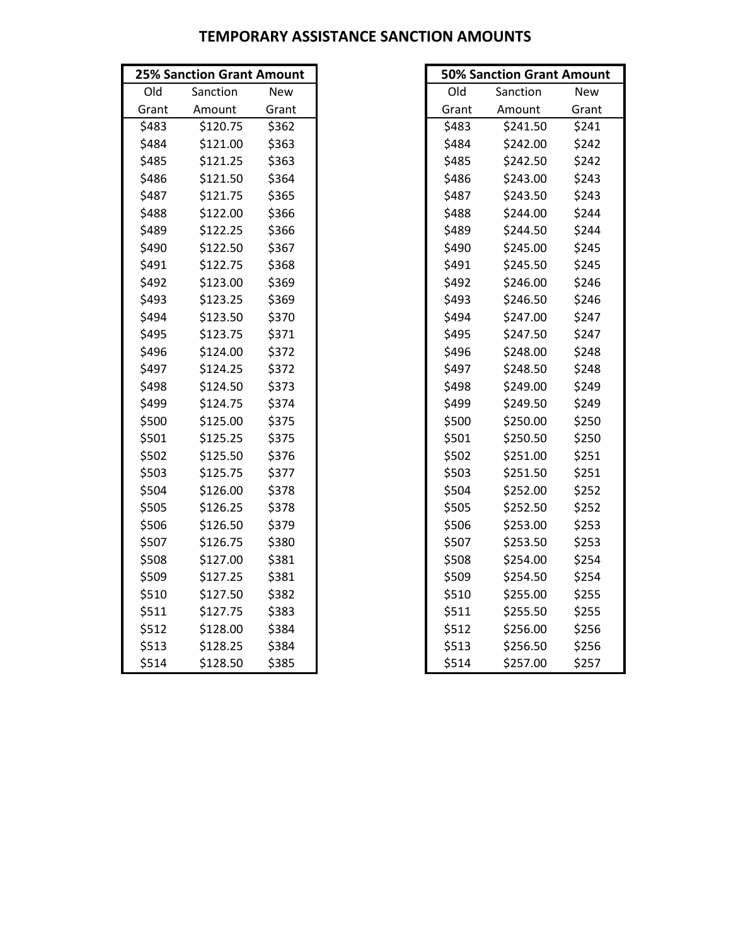|       | <b>25% Sanction Grant Amount</b> |            |
|-------|----------------------------------|------------|
| Old   | Sanction                         | <b>New</b> |
| Grant | Amount                           | Grant      |
| \$483 | \$120.75                         | \$362      |
| \$484 | \$121.00                         | \$363      |
| \$485 | \$121.25                         | \$363      |
| \$486 | \$121.50                         | \$364      |
| \$487 | \$121.75                         | \$365      |
| \$488 | \$122.00                         | \$366      |
| \$489 | \$122.25                         | \$366      |
| \$490 | \$122.50                         | \$367      |
| \$491 | \$122.75                         | \$368      |
| \$492 | \$123.00                         | \$369      |
| \$493 | \$123.25                         | \$369      |
| \$494 | \$123.50                         | \$370      |
| \$495 | \$123.75                         | \$371      |
| \$496 | \$124.00                         | \$372      |
| \$497 | \$124.25                         | \$372      |
| \$498 | \$124.50                         | \$373      |
| \$499 | \$124.75                         | \$374      |
| \$500 | \$125.00                         | \$375      |
| \$501 | \$125.25                         | \$375      |
| \$502 | \$125.50                         | \$376      |
| \$503 | \$125.75                         | \$377      |
| \$504 | \$126.00                         | \$378      |
| \$505 | \$126.25                         | \$378      |
| \$506 | \$126.50                         | \$379      |
| \$507 | \$126.75                         | \$380      |
| \$508 | \$127.00                         | \$381      |
| \$509 | \$127.25                         | \$381      |
| \$510 | \$127.50                         | \$382      |
| \$511 | \$127.75                         | \$383      |
| \$512 | \$128.00                         | \$384      |
| \$513 | \$128.25                         | \$384      |
| \$514 | \$128.50                         | \$385      |

| <b>25% Sanction Grant Amount</b> |          |            |       | <b>50% Sanction Grant Amount</b> |            |
|----------------------------------|----------|------------|-------|----------------------------------|------------|
| Old                              | Sanction | <b>New</b> | Old   | Sanction                         | <b>New</b> |
| Grant                            | Amount   | Grant      | Grant | Amount                           | Grant      |
| \$483                            | \$120.75 | \$362      | \$483 | \$241.50                         | \$241      |
| \$484                            | \$121.00 | \$363      | \$484 | \$242.00                         | \$242      |
| \$485                            | \$121.25 | \$363      | \$485 | \$242.50                         | \$242      |
| \$486                            | \$121.50 | \$364      | \$486 | \$243.00                         | \$243      |
| \$487                            | \$121.75 | \$365      | \$487 | \$243.50                         | \$243      |
| \$488                            | \$122.00 | \$366      | \$488 | \$244.00                         | \$244      |
| \$489                            | \$122.25 | \$366      | \$489 | \$244.50                         | \$244      |
| \$490                            | \$122.50 | \$367      | \$490 | \$245.00                         | \$245      |
| \$491                            | \$122.75 | \$368      | \$491 | \$245.50                         | \$245      |
| \$492                            | \$123.00 | \$369      | \$492 | \$246.00                         | \$246      |
| \$493                            | \$123.25 | \$369      | \$493 | \$246.50                         | \$246      |
| \$494                            | \$123.50 | \$370      | \$494 | \$247.00                         | \$247      |
| \$495                            | \$123.75 | \$371      | \$495 | \$247.50                         | \$247      |
| \$496                            | \$124.00 | \$372      | \$496 | \$248.00                         | \$248      |
| \$497                            | \$124.25 | \$372      | \$497 | \$248.50                         | \$248      |
| \$498                            | \$124.50 | \$373      | \$498 | \$249.00                         | \$249      |
| \$499                            | \$124.75 | \$374      | \$499 | \$249.50                         | \$249      |
| \$500                            | \$125.00 | \$375      | \$500 | \$250.00                         | \$250      |
| \$501                            | \$125.25 | \$375      | \$501 | \$250.50                         | \$250      |
| \$502                            | \$125.50 | \$376      | \$502 | \$251.00                         | \$251      |
| \$503                            | \$125.75 | \$377      | \$503 | \$251.50                         | \$251      |
| \$504                            | \$126.00 | \$378      | \$504 | \$252.00                         | \$252      |
| \$505                            | \$126.25 | \$378      | \$505 | \$252.50                         | \$252      |
| \$506                            | \$126.50 | \$379      | \$506 | \$253.00                         | \$253      |
| \$507                            | \$126.75 | \$380      | \$507 | \$253.50                         | \$253      |
| \$508                            | \$127.00 | \$381      | \$508 | \$254.00                         | \$254      |
| \$509                            | \$127.25 | \$381      | \$509 | \$254.50                         | \$254      |
| \$510                            | \$127.50 | \$382      | \$510 | \$255.00                         | \$255      |
| \$511                            | \$127.75 | \$383      | \$511 | \$255.50                         | \$255      |
| \$512                            | \$128.00 | \$384      | \$512 | \$256.00                         | \$256      |
| \$513                            | \$128.25 | \$384      | \$513 | \$256.50                         | \$256      |
| \$514                            | \$128.50 | \$385      | \$514 | \$257.00                         | \$257      |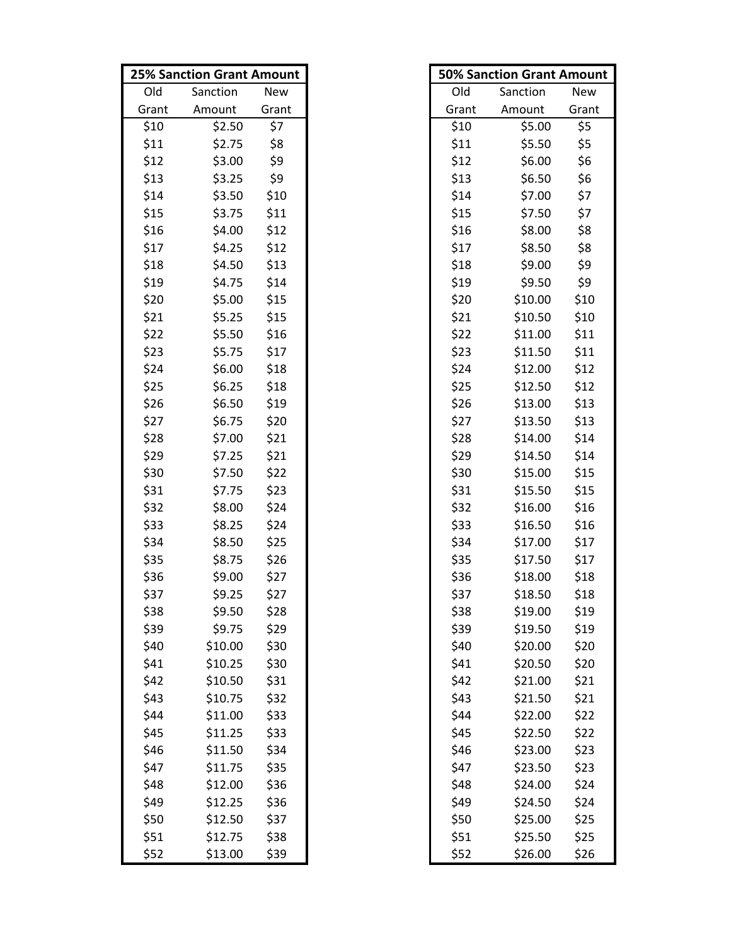|       | <b>25% Sanction Grant Amount</b> |       |       | <b>50% Sanction Grant Amount</b> |       |
|-------|----------------------------------|-------|-------|----------------------------------|-------|
| Old   | Sanction                         | New   | Old   | Sanction                         | New   |
| Grant | Amount                           | Grant | Grant | Amount                           | Grant |
| \$10  | \$2.50                           | \$7   | \$10  | \$5.00                           | \$5   |
| \$11  | \$2.75                           | \$8   | \$11  | \$5.50                           | \$5   |
| \$12  | \$3.00                           | \$9   | \$12  | \$6.00                           | \$6   |
| \$13  | \$3.25                           | \$9   | \$13  | \$6.50                           | \$6   |
| \$14  | \$3.50                           | \$10  | \$14  | \$7.00                           | \$7   |
| \$15  | \$3.75                           | \$11  | \$15  | \$7.50                           | \$7   |
| \$16  | \$4.00                           | \$12  | \$16  | \$8.00                           | \$8   |
| \$17  | \$4.25                           | \$12  | \$17  | \$8.50                           | \$8   |
| \$18  | \$4.50                           | \$13  | \$18  | \$9.00                           | \$9   |
| \$19  | \$4.75                           | \$14  | \$19  | \$9.50                           | \$9   |
| \$20  | \$5.00                           | \$15  | \$20  | \$10.00                          | \$10  |
| \$21  | \$5.25                           | \$15  | \$21  | \$10.50                          | \$10  |
| \$22  | \$5.50                           | \$16  | \$22  | \$11.00                          | \$11  |
| \$23  | \$5.75                           | \$17  | \$23  | \$11.50                          | \$11  |
| \$24  | \$6.00                           | \$18  | \$24  | \$12.00                          | \$12  |
| \$25  | \$6.25                           | \$18  | \$25  | \$12.50                          | \$12  |
| \$26  | \$6.50                           | \$19  | \$26  | \$13.00                          | \$13  |
| \$27  | \$6.75                           | \$20  | \$27  | \$13.50                          | \$13  |
| \$28  | \$7.00                           | \$21  | \$28  | \$14.00                          | \$14  |
| \$29  | \$7.25                           | \$21  | \$29  | \$14.50                          | \$14  |
| \$30  | \$7.50                           | \$22  | \$30  | \$15.00                          | \$15  |
| \$31  | \$7.75                           | \$23  | \$31  | \$15.50                          | \$15  |
| \$32  | \$8.00                           | \$24  | \$32  | \$16.00                          | \$16  |
| \$33  | \$8.25                           | \$24  | \$33  | \$16.50                          | \$16  |
| \$34  | \$8.50                           | \$25  | \$34  | \$17.00                          | \$17  |
| \$35  | \$8.75                           | \$26  | \$35  | \$17.50                          | \$17  |
| \$36  | \$9.00                           | \$27  | \$36  | \$18.00                          | \$18  |
| \$37  | \$9.25                           | \$27  | \$37  | \$18.50                          | \$18  |
| \$38  | \$9.50                           | \$28  | \$38  | \$19.00                          | \$19  |
| \$39  | \$9.75                           | \$29  | \$39  | \$19.50                          | \$19  |
| \$40  | \$10.00                          | \$30  | \$40  | \$20.00                          | \$20  |
| \$41  | \$10.25                          | \$30  | \$41  | \$20.50                          | \$20  |
| \$42  | \$10.50                          | \$31  | \$42  | \$21.00                          | \$21  |
| \$43  | \$10.75                          | \$32  | \$43  | \$21.50                          | \$21  |
| \$44  | \$11.00                          | \$33  | \$44  | \$22.00                          | \$22  |
| \$45  | \$11.25                          | \$33  | \$45  | \$22.50                          | \$22  |
| \$46  | \$11.50                          | \$34  | \$46  | \$23.00                          | \$23  |
| \$47  | \$11.75                          | \$35  | \$47  | \$23.50                          | \$23  |
| \$48  | \$12.00                          | \$36  | \$48  | \$24.00                          | \$24  |
| \$49  | \$12.25                          | \$36  | \$49  | \$24.50                          | \$24  |
| \$50  | \$12.50                          | \$37  | \$50  | \$25.00                          | \$25  |
| \$51  | \$12.75                          | \$38  | \$51  | \$25.50                          | \$25  |
| \$52  | \$13.00                          | \$39  | \$52  | \$26.00                          | \$26  |

| <b>50% Sanction Grant Amount</b> |          |            |  |  |
|----------------------------------|----------|------------|--|--|
| Old                              | Sanction | <b>New</b> |  |  |
| Grant                            | Amount   | Grant      |  |  |
| \$10                             | \$5.00   | \$5        |  |  |
| \$11                             | \$5.50   | \$5        |  |  |
| \$12                             | \$6.00   | \$6        |  |  |
| \$13                             | \$6.50   | \$6        |  |  |
| \$14                             | \$7.00   | \$7        |  |  |
| \$15                             | \$7.50   | \$7        |  |  |
| \$16                             | \$8.00   | \$8        |  |  |
| \$17                             | \$8.50   | \$8        |  |  |
| \$18                             | \$9.00   | \$9        |  |  |
| \$19                             | \$9.50   | \$9        |  |  |
| \$20                             | \$10.00  | \$10       |  |  |
| \$21                             | \$10.50  | \$10       |  |  |
| \$22                             | \$11.00  | \$11       |  |  |
| \$23                             | \$11.50  | \$11       |  |  |
| \$24                             | \$12.00  | \$12       |  |  |
| \$25                             | \$12.50  | \$12       |  |  |
| \$26                             | \$13.00  | \$13       |  |  |
| \$27                             | \$13.50  | \$13       |  |  |
| \$28                             | \$14.00  | \$14       |  |  |
| \$29                             | \$14.50  | \$14       |  |  |
| \$30                             | \$15.00  | \$15       |  |  |
| \$31                             | \$15.50  | \$15       |  |  |
| \$32                             | \$16.00  | \$16       |  |  |
| \$33                             | \$16.50  | \$16       |  |  |
| \$34                             | \$17.00  | \$17       |  |  |
| \$35                             | \$17.50  | \$17       |  |  |
| \$36                             | \$18.00  | \$18       |  |  |
| \$37                             | \$18.50  | \$18       |  |  |
| \$38                             | \$19.00  | \$19       |  |  |
| \$39                             | \$19.50  | \$19       |  |  |
| \$40                             | \$20.00  | \$20       |  |  |
| \$41                             | \$20.50  | \$20       |  |  |
| \$42                             | \$21.00  | \$21       |  |  |
| \$43                             | \$21.50  | \$21       |  |  |
| \$44                             | \$22.00  | \$22       |  |  |
| \$45                             | \$22.50  | \$22       |  |  |
| \$46                             | \$23.00  | \$23       |  |  |
| \$47                             | \$23.50  | \$23       |  |  |
| \$48                             | \$24.00  | \$24       |  |  |
| \$49                             | \$24.50  | \$24       |  |  |
| \$50                             | \$25.00  | \$25       |  |  |
| \$51                             | \$25.50  | \$25       |  |  |
| \$52                             | \$26.00  | \$26       |  |  |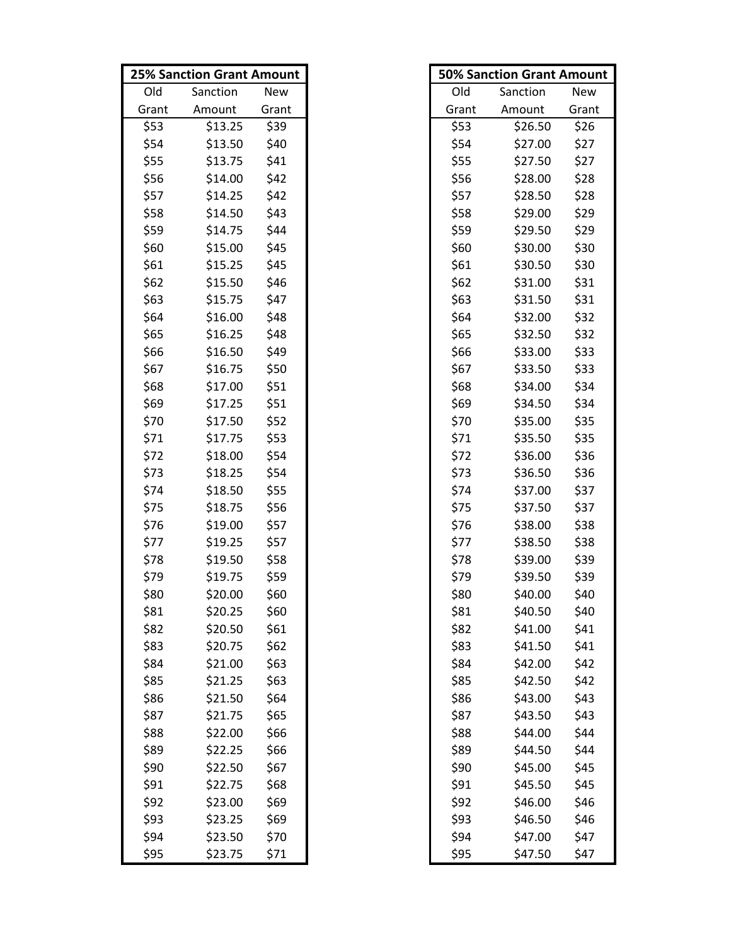|       | <b>25% Sanction Grant Amount</b> |            |       | <b>50% Sanction Grant Amount</b> |       |
|-------|----------------------------------|------------|-------|----------------------------------|-------|
| Old   | Sanction                         | <b>New</b> | Old   | Sanction                         | New   |
| Grant | Amount                           | Grant      | Grant | Amount                           | Grant |
| \$53  | \$13.25                          | \$39       | \$53  | \$26.50                          | \$26  |
| \$54  | \$13.50                          | \$40       | \$54  | \$27.00                          | \$27  |
| \$55  | \$13.75                          | \$41       | \$55  | \$27.50                          | \$27  |
| \$56  | \$14.00                          | \$42       | \$56  | \$28.00                          | \$28  |
| \$57  | \$14.25                          | \$42       | \$57  | \$28.50                          | \$28  |
| \$58  | \$14.50                          | \$43       | \$58  | \$29.00                          | \$29  |
| \$59  | \$14.75                          | \$44       | \$59  | \$29.50                          | \$29  |
| \$60  | \$15.00                          | \$45       | \$60  | \$30.00                          | \$30  |
| \$61  | \$15.25                          | \$45       | \$61  | \$30.50                          | \$30  |
| \$62  | \$15.50                          | \$46       | \$62  | \$31.00                          | \$31  |
| \$63  | \$15.75                          | \$47       | \$63  | \$31.50                          | \$31  |
| \$64  | \$16.00                          | \$48       | \$64  | \$32.00                          | \$32  |
| \$65  | \$16.25                          | \$48       | \$65  | \$32.50                          | \$32  |
| \$66  | \$16.50                          | \$49       | \$66  | \$33.00                          | \$33  |
| \$67  | \$16.75                          | \$50       | \$67  | \$33.50                          | \$33  |
| \$68  | \$17.00                          | \$51       | \$68  | \$34.00                          | \$34  |
| \$69  | \$17.25                          | \$51       | \$69  | \$34.50                          | \$34  |
| \$70  | \$17.50                          | \$52       | \$70  | \$35.00                          | \$35  |
| \$71  | \$17.75                          | \$53       | \$71  | \$35.50                          | \$35  |
| \$72  | \$18.00                          | \$54       | \$72  | \$36.00                          | \$36  |
| \$73  | \$18.25                          | \$54       | \$73  | \$36.50                          | \$36  |
| \$74  | \$18.50                          | \$55       | \$74  | \$37.00                          | \$37  |
| \$75  | \$18.75                          | \$56       | \$75  | \$37.50                          | \$37  |
| \$76  | \$19.00                          | \$57       | \$76  | \$38.00                          | \$38  |
| \$77  | \$19.25                          | \$57       | \$77  | \$38.50                          | \$38  |
| \$78  | \$19.50                          | \$58       | \$78  | \$39.00                          | \$39  |
| \$79  | \$19.75                          | \$59       | \$79  | \$39.50                          | \$39  |
| \$80  | \$20.00                          | \$60       | \$80  | \$40.00                          | \$40  |
| \$81  | \$20.25                          | \$60       | \$81  | \$40.50                          | \$40  |
| \$82  | \$20.50                          | \$61       | \$82  | \$41.00                          | \$41  |
| \$83  | \$20.75                          | \$62       | \$83  | \$41.50                          | \$41  |
| \$84  | \$21.00                          | \$63       | \$84  | \$42.00                          | \$42  |
| \$85  | \$21.25                          | \$63       | \$85  | \$42.50                          | \$42  |
| \$86  | \$21.50                          | \$64       | \$86  | \$43.00                          | \$43  |
| \$87  | \$21.75                          | \$65       | \$87  | \$43.50                          | \$43  |
| \$88  | \$22.00                          | \$66       | \$88  | \$44.00                          | \$44  |
| \$89  | \$22.25                          | \$66       | \$89  | \$44.50                          | \$44  |
| \$90  | \$22.50                          | \$67       | \$90  | \$45.00                          | \$45  |
| \$91  | \$22.75                          | \$68       | \$91  | \$45.50                          | \$45  |
| \$92  | \$23.00                          | \$69       | \$92  | \$46.00                          | \$46  |
| \$93  | \$23.25                          | \$69       | \$93  | \$46.50                          | \$46  |
| \$94  | \$23.50                          | \$70       | \$94  | \$47.00                          | \$47  |
| \$95  | \$23.75                          | \$71       | \$95  | \$47.50                          | \$47  |

|       | <b>50% Sanction Grant Amount</b> |       |
|-------|----------------------------------|-------|
| Old   | Sanction                         | New   |
| Grant | Amount                           | Grant |
| \$53  | \$26.50                          | \$26  |
| \$54  | \$27.00                          | \$27  |
| \$55  | \$27.50                          | \$27  |
| \$56  | \$28.00                          | \$28  |
| \$57  | \$28.50                          | \$28  |
| \$58  | \$29.00                          | \$29  |
| \$59  | \$29.50                          | \$29  |
| \$60  | \$30.00                          | \$30  |
| \$61  | \$30.50                          | \$30  |
| \$62  | \$31.00                          | \$31  |
| \$63  | \$31.50                          | \$31  |
| \$64  | \$32.00                          | \$32  |
| \$65  | \$32.50                          | \$32  |
| \$66  | \$33.00                          | \$33  |
| \$67  | \$33.50                          | \$33  |
| \$68  | \$34.00                          | \$34  |
| \$69  | \$34.50                          | \$34  |
| \$70  | \$35.00                          | \$35  |
| \$71  | \$35.50                          | \$35  |
| \$72  | \$36.00                          | \$36  |
| \$73  | \$36.50                          | \$36  |
| \$74  | \$37.00                          | \$37  |
| \$75  | \$37.50                          | \$37  |
| \$76  | \$38.00                          | \$38  |
| \$77  | \$38.50                          | \$38  |
| \$78  | \$39.00                          | \$39  |
| \$79  | \$39.50                          | \$39  |
| \$80  | \$40.00                          | \$40  |
| \$81  | \$40.50                          | \$40  |
| \$82  | \$41.00                          | \$41  |
| \$83  | \$41.50                          | \$41  |
| \$84  | \$42.00                          | \$42  |
| \$85  | \$42.50                          | \$42  |
| \$86  | \$43.00                          | \$43  |
| \$87  | \$43.50                          | \$43  |
| \$88  | \$44.00                          | \$44  |
| \$89  | \$44.50                          | \$44  |
| \$90  | \$45.00                          | \$45  |
| \$91  | \$45.50                          | \$45  |
| \$92  | \$46.00                          | \$46  |
| \$93  | \$46.50                          | \$46  |
| \$94  | \$47.00                          | \$47  |
| \$95  | \$47.50                          | \$47  |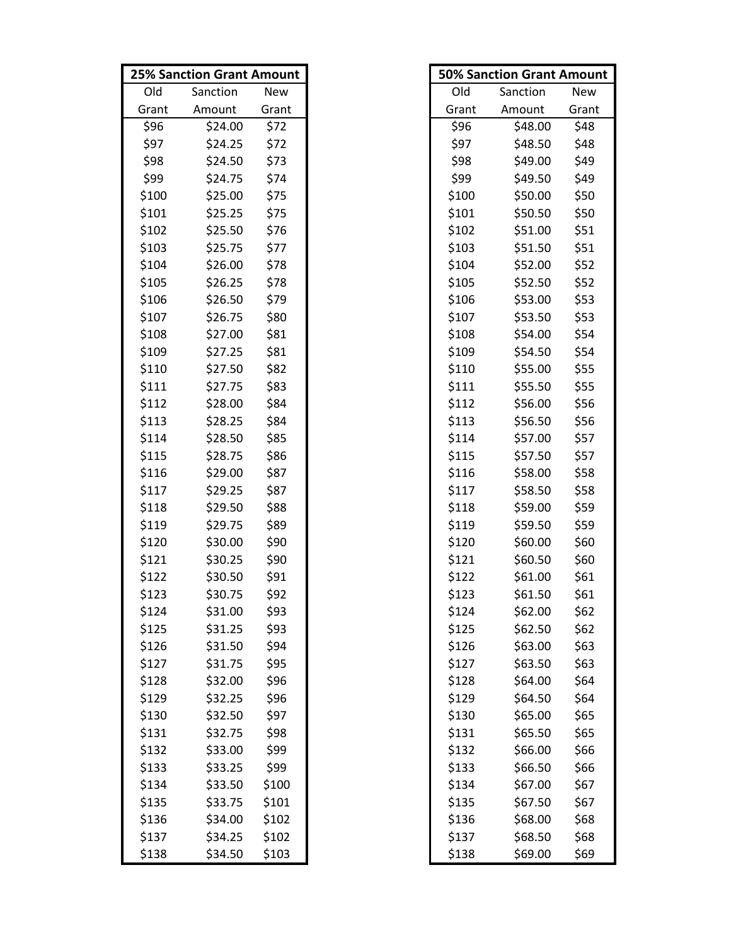|       | <b>25% Sanction Grant Amount</b> |       |       | <b>50% Sanction Grant Amount</b> |       |
|-------|----------------------------------|-------|-------|----------------------------------|-------|
| Old   | Sanction                         | New   | Old   | Sanction                         | New   |
| Grant | Amount                           | Grant | Grant | Amount                           | Grant |
| \$96  | \$24.00                          | \$72  | \$96  | \$48.00                          | \$48  |
| \$97  | \$24.25                          | \$72  | \$97  | \$48.50                          | \$48  |
| \$98  | \$24.50                          | \$73  | \$98  | \$49.00                          | \$49  |
| \$99  | \$24.75                          | \$74  | \$99  | \$49.50                          | \$49  |
| \$100 | \$25.00                          | \$75  | \$100 | \$50.00                          | \$50  |
| \$101 | \$25.25                          | \$75  | \$101 | \$50.50                          | \$50  |
| \$102 | \$25.50                          | \$76  | \$102 | \$51.00                          | \$51  |
| \$103 | \$25.75                          | \$77  | \$103 | \$51.50                          | \$51  |
| \$104 | \$26.00                          | \$78  | \$104 | \$52.00                          | \$52  |
| \$105 | \$26.25                          | \$78  | \$105 | \$52.50                          | \$52  |
| \$106 | \$26.50                          | \$79  | \$106 | \$53.00                          | \$53  |
| \$107 | \$26.75                          | \$80  | \$107 | \$53.50                          | \$53  |
| \$108 | \$27.00                          | \$81  | \$108 | \$54.00                          | \$54  |
| \$109 | \$27.25                          | \$81  | \$109 | \$54.50                          | \$54  |
| \$110 | \$27.50                          | \$82  | \$110 | \$55.00                          | \$55  |
| \$111 | \$27.75                          | \$83  | \$111 | \$55.50                          | \$55  |
| \$112 | \$28.00                          | \$84  | \$112 | \$56.00                          | \$56  |
| \$113 | \$28.25                          | \$84  | \$113 | \$56.50                          | \$56  |
| \$114 | \$28.50                          | \$85  | \$114 | \$57.00                          | \$57  |
| \$115 | \$28.75                          | \$86  | \$115 | \$57.50                          | \$57  |
| \$116 | \$29.00                          | \$87  | \$116 | \$58.00                          | \$58  |
| \$117 | \$29.25                          | \$87  | \$117 | \$58.50                          | \$58  |
| \$118 | \$29.50                          | \$88  | \$118 | \$59.00                          | \$59  |
| \$119 | \$29.75                          | \$89  | \$119 | \$59.50                          | \$59  |
| \$120 | \$30.00                          | \$90  | \$120 | \$60.00                          | \$60  |
| \$121 | \$30.25                          | \$90  | \$121 | \$60.50                          | \$60  |
| \$122 | \$30.50                          | \$91  | \$122 | \$61.00                          | \$61  |
| \$123 | \$30.75                          | \$92  | \$123 | \$61.50                          | \$61  |
| \$124 | \$31.00                          | \$93  | \$124 | \$62.00                          | \$62  |
| \$125 | \$31.25                          | \$93  | \$125 | \$62.50                          | \$62  |
| \$126 | \$31.50                          | \$94  | \$126 | \$63.00                          | \$63  |
| \$127 | \$31.75                          | \$95  | \$127 | \$63.50                          | \$63  |
| \$128 | \$32.00                          | \$96  | \$128 | \$64.00                          | \$64  |
| \$129 | \$32.25                          | \$96  | \$129 | \$64.50                          | \$64  |
| \$130 | \$32.50                          | \$97  | \$130 | \$65.00                          | \$65  |
| \$131 | \$32.75                          | \$98  | \$131 | \$65.50                          | \$65  |
| \$132 | \$33.00                          | \$99  | \$132 | \$66.00                          | \$66  |
| \$133 | \$33.25                          | \$99  | \$133 | \$66.50                          | \$66  |
| \$134 | \$33.50                          | \$100 | \$134 | \$67.00                          | \$67  |
| \$135 | \$33.75                          | \$101 | \$135 | \$67.50                          | \$67  |
| \$136 | \$34.00                          | \$102 | \$136 | \$68.00                          | \$68  |
| \$137 | \$34.25                          | \$102 | \$137 | \$68.50                          | \$68  |
| \$138 | \$34.50                          | \$103 | \$138 | \$69.00                          | \$69  |

|       | <b>50% Sanction Grant Amount</b> |       |
|-------|----------------------------------|-------|
| Old   | Sanction                         | New   |
| Grant | Amount                           | Grant |
| \$96  | \$48.00                          | \$48  |
| \$97  | \$48.50                          | \$48  |
| \$98  | \$49.00                          | \$49  |
| \$99  | \$49.50                          | \$49  |
| \$100 | \$50.00                          | \$50  |
| \$101 | \$50.50                          | \$50  |
| \$102 | \$51.00                          | \$51  |
| \$103 | \$51.50                          | \$51  |
| \$104 | \$52.00                          | \$52  |
| \$105 | \$52.50                          | \$52  |
| \$106 | \$53.00                          | \$53  |
| \$107 | \$53.50                          | \$53  |
| \$108 | \$54.00                          | \$54  |
| \$109 | \$54.50                          | \$54  |
| \$110 | \$55.00                          | \$55  |
| \$111 | \$55.50                          | \$55  |
| \$112 | \$56.00                          | \$56  |
| \$113 | \$56.50                          | \$56  |
| \$114 | \$57.00                          | \$57  |
| \$115 | \$57.50                          | \$57  |
| \$116 | \$58.00                          | \$58  |
| \$117 | \$58.50                          | \$58  |
| \$118 | \$59.00                          | \$59  |
| \$119 | \$59.50                          | \$59  |
| \$120 | \$60.00                          | \$60  |
| \$121 | \$60.50                          | \$60  |
| \$122 | \$61.00                          | \$61  |
| \$123 | \$61.50                          | \$61  |
| \$124 | \$62.00                          | \$62  |
| \$125 | \$62.50                          | \$62  |
| \$126 | \$63.00                          | \$63  |
| \$127 | \$63.50                          | \$63  |
| \$128 | \$64.00                          | \$64  |
| \$129 | \$64.50                          | \$64  |
| \$130 | \$65.00                          | \$65  |
| \$131 | \$65.50                          | \$65  |
| \$132 | \$66.00                          | \$66  |
| \$133 | \$66.50                          | \$66  |
| \$134 | \$67.00                          | \$67  |
| \$135 | \$67.50                          | \$67  |
| \$136 | \$68.00                          | \$68  |
| \$137 | \$68.50                          | \$68  |
| \$138 | \$69.00                          | \$69  |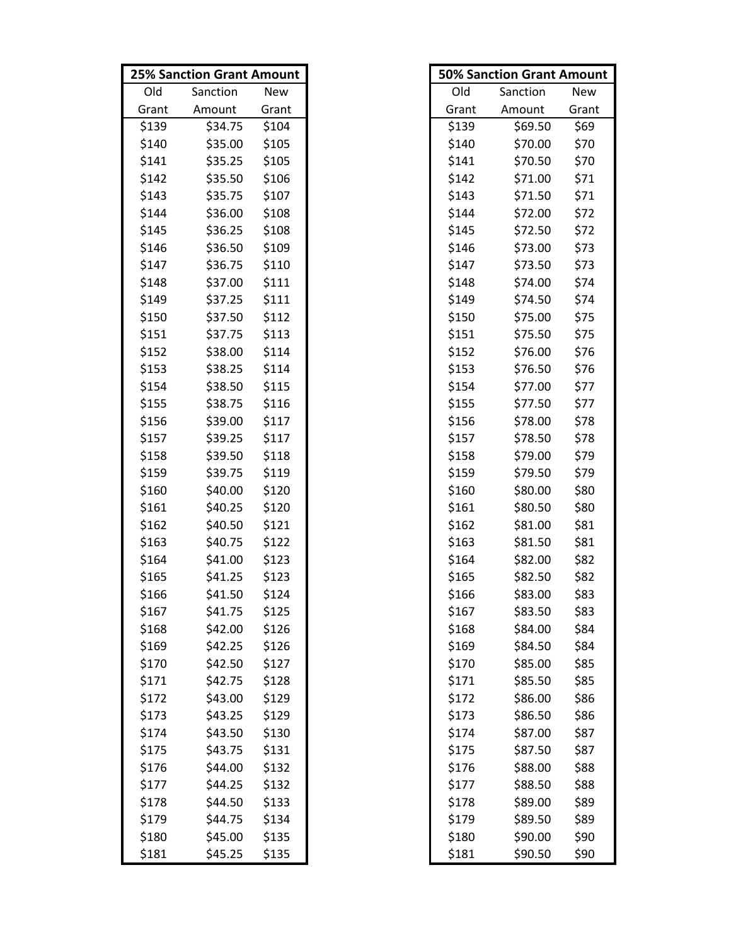|       | <b>25% Sanction Grant Amount</b> |       |       | <b>50% Sanction Grant Amount</b> |       |
|-------|----------------------------------|-------|-------|----------------------------------|-------|
| Old   | Sanction                         | New   | Old   | Sanction                         | New   |
| Grant | Amount                           | Grant | Grant | Amount                           | Grant |
| \$139 | \$34.75                          | \$104 | \$139 | \$69.50                          | \$69  |
| \$140 | \$35.00                          | \$105 | \$140 | \$70.00                          | \$70  |
| \$141 | \$35.25                          | \$105 | \$141 | \$70.50                          | \$70  |
| \$142 | \$35.50                          | \$106 | \$142 | \$71.00                          | \$71  |
| \$143 | \$35.75                          | \$107 | \$143 | \$71.50                          | \$71  |
| \$144 | \$36.00                          | \$108 | \$144 | \$72.00                          | \$72  |
| \$145 | \$36.25                          | \$108 | \$145 | \$72.50                          | \$72  |
| \$146 | \$36.50                          | \$109 | \$146 | \$73.00                          | \$73  |
| \$147 | \$36.75                          | \$110 | \$147 | \$73.50                          | \$73  |
| \$148 | \$37.00                          | \$111 | \$148 | \$74.00                          | \$74  |
| \$149 | \$37.25                          | \$111 | \$149 | \$74.50                          | \$74  |
| \$150 | \$37.50                          | \$112 | \$150 | \$75.00                          | \$75  |
| \$151 | \$37.75                          | \$113 | \$151 | \$75.50                          | \$75  |
| \$152 | \$38.00                          | \$114 | \$152 | \$76.00                          | \$76  |
| \$153 | \$38.25                          | \$114 | \$153 | \$76.50                          | \$76  |
| \$154 | \$38.50                          | \$115 | \$154 | \$77.00                          | \$77  |
| \$155 | \$38.75                          | \$116 | \$155 | \$77.50                          | \$77  |
| \$156 | \$39.00                          | \$117 | \$156 | \$78.00                          | \$78  |
| \$157 | \$39.25                          | \$117 | \$157 | \$78.50                          | \$78  |
| \$158 | \$39.50                          | \$118 | \$158 | \$79.00                          | \$79  |
| \$159 | \$39.75                          | \$119 | \$159 | \$79.50                          | \$79  |
| \$160 | \$40.00                          | \$120 | \$160 | \$80.00                          | \$80  |
| \$161 | \$40.25                          | \$120 | \$161 | \$80.50                          | \$80  |
| \$162 | \$40.50                          | \$121 | \$162 | \$81.00                          | \$81  |
| \$163 | \$40.75                          | \$122 | \$163 | \$81.50                          | \$81  |
| \$164 | \$41.00                          | \$123 | \$164 | \$82.00                          | \$82  |
| \$165 | \$41.25                          | \$123 | \$165 | \$82.50                          | \$82  |
| \$166 | \$41.50                          | \$124 | \$166 | \$83.00                          | \$83  |
| \$167 | \$41.75                          | \$125 | \$167 | \$83.50                          | \$83  |
| \$168 | \$42.00                          | \$126 | \$168 | \$84.00                          | \$84  |
| \$169 | \$42.25                          | \$126 | \$169 | \$84.50                          | \$84  |
| \$170 | \$42.50                          | \$127 | \$170 | \$85.00                          | \$85  |
| \$171 | \$42.75                          | \$128 | \$171 | \$85.50                          | \$85  |
| \$172 | \$43.00                          | \$129 | \$172 | \$86.00                          | \$86  |
| \$173 | \$43.25                          | \$129 | \$173 | \$86.50                          | \$86  |
| \$174 | \$43.50                          | \$130 | \$174 | \$87.00                          | \$87  |
| \$175 | \$43.75                          | \$131 | \$175 | \$87.50                          | \$87  |
| \$176 | \$44.00                          | \$132 | \$176 | \$88.00                          | \$88  |
| \$177 | \$44.25                          | \$132 | \$177 | \$88.50                          | \$88  |
| \$178 | \$44.50                          | \$133 | \$178 | \$89.00                          | \$89  |
| \$179 | \$44.75                          | \$134 | \$179 | \$89.50                          | \$89  |
| \$180 | \$45.00                          | \$135 | \$180 | \$90.00                          | \$90  |
| \$181 | \$45.25                          | \$135 | \$181 | \$90.50                          | \$90  |

|       | <b>50% Sanction Grant Amount</b> |       |
|-------|----------------------------------|-------|
| Old   | Sanction                         | New   |
| Grant | Amount                           | Grant |
| \$139 | \$69.50                          | \$69  |
| \$140 | \$70.00                          | \$70  |
| \$141 | \$70.50                          | \$70  |
| \$142 | \$71.00                          | \$71  |
| \$143 | \$71.50                          | \$71  |
| \$144 | \$72.00                          | \$72  |
| \$145 | \$72.50                          | \$72  |
| \$146 | \$73.00                          | \$73  |
| \$147 | \$73.50                          | \$73  |
| \$148 | \$74.00                          | \$74  |
| \$149 | \$74.50                          | \$74  |
| \$150 | \$75.00                          | \$75  |
| \$151 | \$75.50                          | \$75  |
| \$152 | \$76.00                          | \$76  |
| \$153 | \$76.50                          | \$76  |
| \$154 | \$77.00                          | \$77  |
| \$155 | \$77.50                          | \$77  |
| \$156 | \$78.00                          | \$78  |
| \$157 | \$78.50                          | \$78  |
| \$158 | \$79.00                          | \$79  |
| \$159 | \$79.50                          | \$79  |
| \$160 | \$80.00                          | \$80  |
| \$161 | \$80.50                          | \$80  |
| \$162 | \$81.00                          | \$81  |
| \$163 | \$81.50                          | \$81  |
| \$164 | \$82.00                          | \$82  |
| \$165 | \$82.50                          | \$82  |
| \$166 | \$83.00                          | \$83  |
| \$167 | \$83.50                          | \$83  |
| \$168 | \$84.00                          | \$84  |
| \$169 | \$84.50                          | \$84  |
| \$170 | \$85.00                          | \$85  |
| \$171 | \$85.50                          | \$85  |
| \$172 | \$86.00                          | \$86  |
| \$173 | \$86.50                          | \$86  |
| \$174 | \$87.00                          | \$87  |
| \$175 | \$87.50                          | \$87  |
| \$176 | \$88.00                          | \$88  |
| \$177 | \$88.50                          | \$88  |
| \$178 | \$89.00                          | \$89  |
| \$179 | \$89.50                          | \$89  |
| \$180 | \$90.00                          | \$90  |
| \$181 | \$90.50                          | \$90  |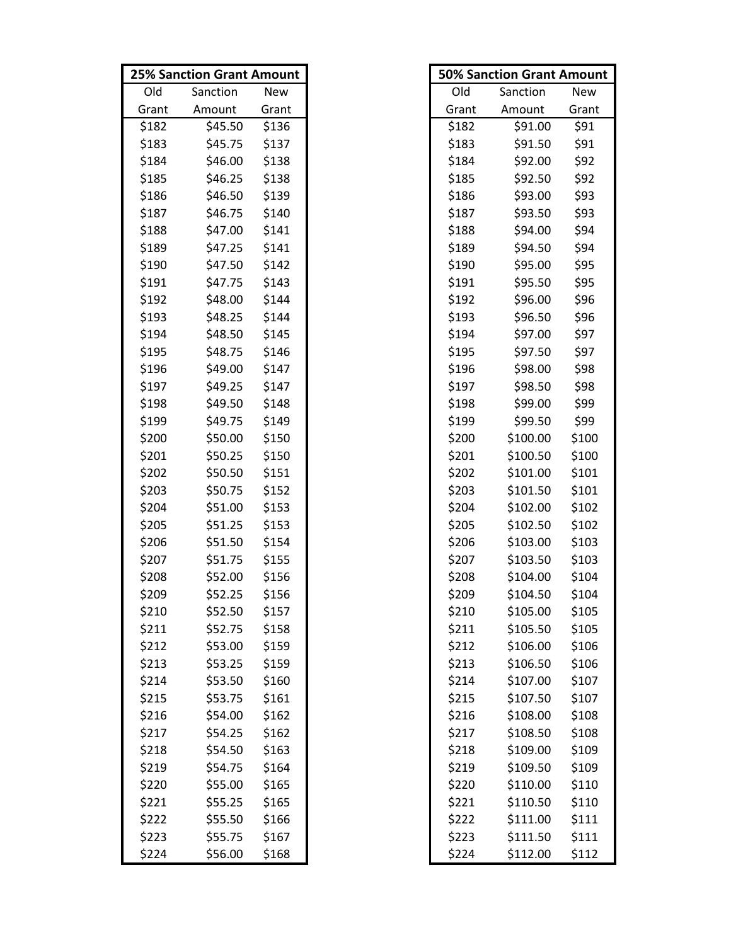|       | <b>25% Sanction Grant Amount</b> |       |       | <b>50% Sanction Grant Amount</b> |       |
|-------|----------------------------------|-------|-------|----------------------------------|-------|
| Old   | Sanction                         | New   | Old   | Sanction                         | New   |
| Grant | Amount                           | Grant | Grant | Amount                           | Grant |
| \$182 | \$45.50                          | \$136 | \$182 | \$91.00                          | \$91  |
| \$183 | \$45.75                          | \$137 | \$183 | \$91.50                          | \$91  |
| \$184 | \$46.00                          | \$138 | \$184 | \$92.00                          | \$92  |
| \$185 | \$46.25                          | \$138 | \$185 | \$92.50                          | \$92  |
| \$186 | \$46.50                          | \$139 | \$186 | \$93.00                          | \$93  |
| \$187 | \$46.75                          | \$140 | \$187 | \$93.50                          | \$93  |
| \$188 | \$47.00                          | \$141 | \$188 | \$94.00                          | \$94  |
| \$189 | \$47.25                          | \$141 | \$189 | \$94.50                          | \$94  |
| \$190 | \$47.50                          | \$142 | \$190 | \$95.00                          | \$95  |
| \$191 | \$47.75                          | \$143 | \$191 | \$95.50                          | \$95  |
| \$192 | \$48.00                          | \$144 | \$192 | \$96.00                          | \$96  |
| \$193 | \$48.25                          | \$144 | \$193 | \$96.50                          | \$96  |
| \$194 | \$48.50                          | \$145 | \$194 | \$97.00                          | \$97  |
| \$195 | \$48.75                          | \$146 | \$195 | \$97.50                          | \$97  |
| \$196 | \$49.00                          | \$147 | \$196 | \$98.00                          | \$98  |
| \$197 | \$49.25                          | \$147 | \$197 | \$98.50                          | \$98  |
| \$198 | \$49.50                          | \$148 | \$198 | \$99.00                          | \$99  |
| \$199 | \$49.75                          | \$149 | \$199 | \$99.50                          | \$99  |
| \$200 | \$50.00                          | \$150 | \$200 | \$100.00                         | \$100 |
| \$201 | \$50.25                          | \$150 | \$201 | \$100.50                         | \$100 |
| \$202 | \$50.50                          | \$151 | \$202 | \$101.00                         | \$101 |
| \$203 | \$50.75                          | \$152 | \$203 | \$101.50                         | \$101 |
| \$204 | \$51.00                          | \$153 | \$204 | \$102.00                         | \$102 |
| \$205 | \$51.25                          | \$153 | \$205 | \$102.50                         | \$102 |
| \$206 | \$51.50                          | \$154 | \$206 | \$103.00                         | \$103 |
| \$207 | \$51.75                          | \$155 | \$207 | \$103.50                         | \$103 |
| \$208 | \$52.00                          | \$156 | \$208 | \$104.00                         | \$104 |
| \$209 | \$52.25                          | \$156 | \$209 | \$104.50                         | \$104 |
| \$210 | \$52.50                          | \$157 | \$210 | \$105.00                         | \$105 |
| \$211 | \$52.75                          | \$158 | \$211 | \$105.50                         | \$105 |
| \$212 | \$53.00                          | \$159 | \$212 | \$106.00                         | \$106 |
| \$213 | \$53.25                          | \$159 | \$213 | \$106.50                         | \$106 |
| \$214 | \$53.50                          | \$160 | \$214 | \$107.00                         | \$107 |
| \$215 | \$53.75                          | \$161 | \$215 | \$107.50                         | \$107 |
| \$216 | \$54.00                          | \$162 | \$216 | \$108.00                         | \$108 |
| \$217 | \$54.25                          | \$162 | \$217 | \$108.50                         | \$108 |
| \$218 | \$54.50                          | \$163 | \$218 | \$109.00                         | \$109 |
| \$219 | \$54.75                          | \$164 | \$219 | \$109.50                         | \$109 |
| \$220 | \$55.00                          | \$165 | \$220 | \$110.00                         | \$110 |
| \$221 | \$55.25                          | \$165 | \$221 | \$110.50                         | \$110 |
| \$222 | \$55.50                          | \$166 | \$222 | \$111.00                         | \$111 |
| \$223 | \$55.75                          | \$167 | \$223 | \$111.50                         | \$111 |
| \$224 | \$56.00                          | \$168 | \$224 | \$112.00                         | \$112 |

|       | <b>50% Sanction Grant Amount</b> |            |
|-------|----------------------------------|------------|
| Old   | Sanction                         | <b>New</b> |
| Grant | Amount                           | Grant      |
| \$182 | \$91.00                          | \$91       |
| \$183 | \$91.50                          | \$91       |
| \$184 | \$92.00                          | \$92       |
| \$185 | \$92.50                          | \$92       |
| \$186 | \$93.00                          | \$93       |
| \$187 | \$93.50                          | \$93       |
| \$188 | \$94.00                          | \$94       |
| \$189 | \$94.50                          | \$94       |
| \$190 | \$95.00                          | \$95       |
| \$191 | \$95.50                          | \$95       |
| \$192 | \$96.00                          | \$96       |
| \$193 | \$96.50                          | \$96       |
| \$194 | \$97.00                          | \$97       |
| \$195 | \$97.50                          | \$97       |
| \$196 | \$98.00                          | \$98       |
| \$197 | \$98.50                          | \$98       |
| \$198 | \$99.00                          | \$99       |
| \$199 | \$99.50                          | \$99       |
| \$200 | \$100.00                         | \$100      |
| \$201 | \$100.50                         | \$100      |
| \$202 | \$101.00                         | \$101      |
| \$203 | \$101.50                         | \$101      |
| \$204 | \$102.00                         | \$102      |
| \$205 | \$102.50                         | \$102      |
| \$206 | \$103.00                         | \$103      |
| \$207 | \$103.50                         | \$103      |
| \$208 | \$104.00                         | \$104      |
| \$209 | \$104.50                         | \$104      |
| \$210 | \$105.00                         | \$105      |
| \$211 | \$105.50                         | \$105      |
| \$212 | \$106.00                         | \$106      |
| \$213 | \$106.50                         | \$106      |
| \$214 | \$107.00                         | \$107      |
| \$215 | \$107.50                         | \$107      |
| \$216 | \$108.00                         | \$108      |
| \$217 | \$108.50                         | \$108      |
| \$218 | \$109.00                         | \$109      |
| \$219 | \$109.50                         | \$109      |
| \$220 | \$110.00                         | \$110      |
| \$221 | \$110.50                         | \$110      |
| \$222 | \$111.00                         | \$111      |
| \$223 | \$111.50                         | \$111      |
| \$224 | \$112.00                         | \$112      |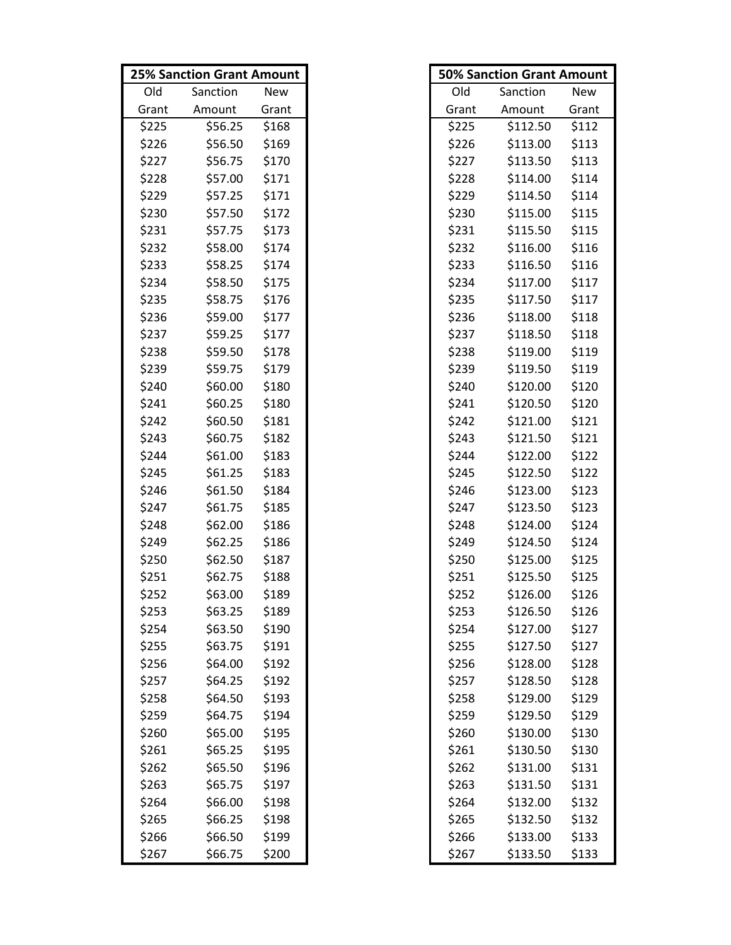|       | <b>25% Sanction Grant Amount</b> |       |       | <b>50% Sanction Grant Amount</b> |       |
|-------|----------------------------------|-------|-------|----------------------------------|-------|
| Old   | Sanction                         | New   | Old   | Sanction                         | New   |
| Grant | Amount                           | Grant | Grant | Amount                           | Grant |
| \$225 | \$56.25                          | \$168 | \$225 | \$112.50                         | \$112 |
| \$226 | \$56.50                          | \$169 | \$226 | \$113.00                         | \$113 |
| \$227 | \$56.75                          | \$170 | \$227 | \$113.50                         | \$113 |
| \$228 | \$57.00                          | \$171 | \$228 | \$114.00                         | \$114 |
| \$229 | \$57.25                          | \$171 | \$229 | \$114.50                         | \$114 |
| \$230 | \$57.50                          | \$172 | \$230 | \$115.00                         | \$115 |
| \$231 | \$57.75                          | \$173 | \$231 | \$115.50                         | \$115 |
| \$232 | \$58.00                          | \$174 | \$232 | \$116.00                         | \$116 |
| \$233 | \$58.25                          | \$174 | \$233 | \$116.50                         | \$116 |
| \$234 | \$58.50                          | \$175 | \$234 | \$117.00                         | \$117 |
| \$235 | \$58.75                          | \$176 | \$235 | \$117.50                         | \$117 |
| \$236 | \$59.00                          | \$177 | \$236 | \$118.00                         | \$118 |
| \$237 | \$59.25                          | \$177 | \$237 | \$118.50                         | \$118 |
| \$238 | \$59.50                          | \$178 | \$238 | \$119.00                         | \$119 |
| \$239 | \$59.75                          | \$179 | \$239 | \$119.50                         | \$119 |
| \$240 | \$60.00                          | \$180 | \$240 | \$120.00                         | \$120 |
| \$241 | \$60.25                          | \$180 | \$241 | \$120.50                         | \$120 |
| \$242 | \$60.50                          | \$181 | \$242 | \$121.00                         | \$121 |
| \$243 | \$60.75                          | \$182 | \$243 | \$121.50                         | \$121 |
| \$244 | \$61.00                          | \$183 | \$244 | \$122.00                         | \$122 |
| \$245 | \$61.25                          | \$183 | \$245 | \$122.50                         | \$122 |
| \$246 | \$61.50                          | \$184 | \$246 | \$123.00                         | \$123 |
| \$247 | \$61.75                          | \$185 | \$247 | \$123.50                         | \$123 |
| \$248 | \$62.00                          | \$186 | \$248 | \$124.00                         | \$124 |
| \$249 | \$62.25                          | \$186 | \$249 | \$124.50                         | \$124 |
| \$250 | \$62.50                          | \$187 | \$250 | \$125.00                         | \$125 |
| \$251 | \$62.75                          | \$188 | \$251 | \$125.50                         | \$125 |
| \$252 | \$63.00                          | \$189 | \$252 | \$126.00                         | \$126 |
| \$253 | \$63.25                          | \$189 | \$253 | \$126.50                         | \$126 |
| \$254 | \$63.50                          | \$190 | \$254 | \$127.00                         | \$127 |
| \$255 | \$63.75                          | \$191 | \$255 | \$127.50                         | \$127 |
| \$256 | \$64.00                          | \$192 | \$256 | \$128.00                         | \$128 |
| \$257 | \$64.25                          | \$192 | \$257 | \$128.50                         | \$128 |
| \$258 | \$64.50                          | \$193 | \$258 | \$129.00                         | \$129 |
| \$259 | \$64.75                          | \$194 | \$259 | \$129.50                         | \$129 |
| \$260 | \$65.00                          | \$195 | \$260 | \$130.00                         | \$130 |
| \$261 | \$65.25                          | \$195 | \$261 | \$130.50                         | \$130 |
| \$262 | \$65.50                          | \$196 | \$262 | \$131.00                         | \$131 |
| \$263 | \$65.75                          | \$197 | \$263 | \$131.50                         | \$131 |
| \$264 | \$66.00                          | \$198 | \$264 | \$132.00                         | \$132 |
| \$265 | \$66.25                          | \$198 | \$265 | \$132.50                         | \$132 |
| \$266 | \$66.50                          | \$199 | \$266 | \$133.00                         | \$133 |
| \$267 | \$66.75                          | \$200 | \$267 | \$133.50                         | \$133 |

|       | <b>50% Sanction Grant Amount</b> |            |
|-------|----------------------------------|------------|
| Old   | Sanction                         | <b>New</b> |
| Grant | Amount                           | Grant      |
| \$225 | \$112.50                         | \$112      |
| \$226 | \$113.00                         | \$113      |
| \$227 | \$113.50                         | \$113      |
| \$228 | \$114.00                         | \$114      |
| \$229 | \$114.50                         | \$114      |
| \$230 | \$115.00                         | \$115      |
| \$231 | \$115.50                         | \$115      |
| \$232 | \$116.00                         | \$116      |
| \$233 | \$116.50                         | \$116      |
| \$234 | \$117.00                         | \$117      |
| \$235 | \$117.50                         | \$117      |
| \$236 | \$118.00                         | \$118      |
| \$237 | \$118.50                         | \$118      |
| \$238 | \$119.00                         | \$119      |
| \$239 | \$119.50                         | \$119      |
| \$240 | \$120.00                         | \$120      |
| \$241 | \$120.50                         | \$120      |
| \$242 | \$121.00                         | \$121      |
| \$243 | \$121.50                         | \$121      |
| \$244 | \$122.00                         | \$122      |
| \$245 | \$122.50                         | \$122      |
| \$246 | \$123.00                         | \$123      |
| \$247 | \$123.50                         | \$123      |
| \$248 | \$124.00                         | \$124      |
| \$249 | \$124.50                         | \$124      |
| \$250 | \$125.00                         | \$125      |
| \$251 | \$125.50                         | \$125      |
| \$252 | \$126.00                         | \$126      |
| \$253 | \$126.50                         | \$126      |
| \$254 | \$127.00                         | \$127      |
| \$255 | \$127.50                         | \$127      |
| \$256 | \$128.00                         | \$128      |
| \$257 | \$128.50                         | \$128      |
| \$258 | \$129.00                         | \$129      |
| \$259 | \$129.50                         | \$129      |
| \$260 | \$130.00                         | \$130      |
| \$261 | \$130.50                         | \$130      |
| \$262 | \$131.00                         | \$131      |
| \$263 | \$131.50                         | \$131      |
| \$264 | \$132.00                         | \$132      |
| \$265 | \$132.50                         | \$132      |
| \$266 | \$133.00                         | \$133      |
| \$267 | \$133.50                         | \$133      |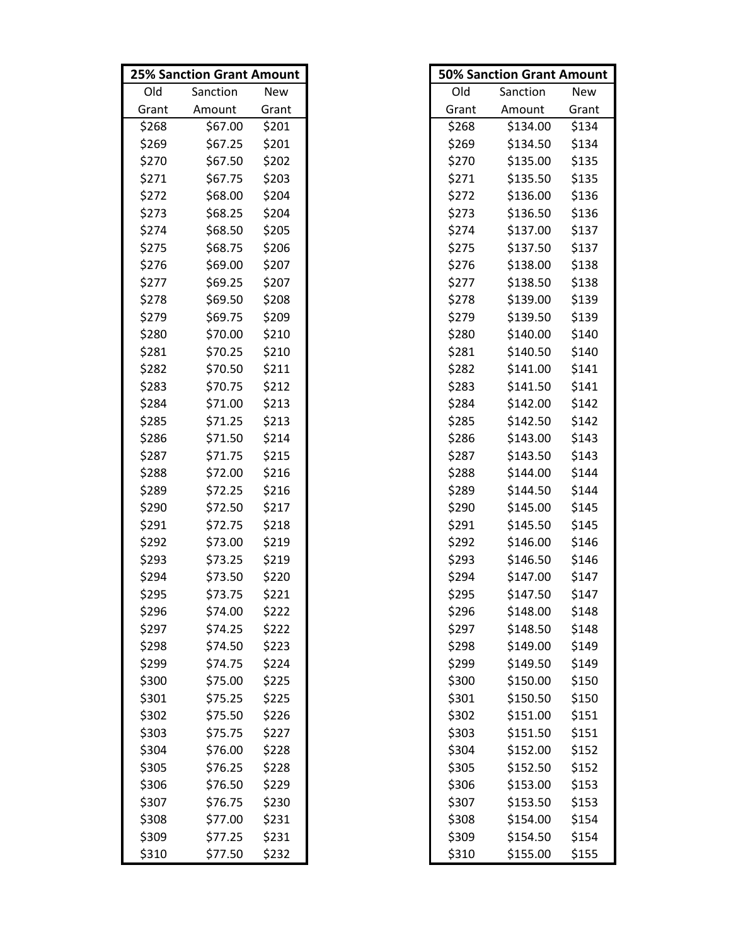|       | <b>25% Sanction Grant Amount</b> |       |       | <b>50% Sanction Grant Amount</b> |       |
|-------|----------------------------------|-------|-------|----------------------------------|-------|
| Old   | Sanction                         | New   | Old   | Sanction                         | New   |
| Grant | Amount                           | Grant | Grant | Amount                           | Grant |
| \$268 | \$67.00                          | \$201 | \$268 | \$134.00                         | \$134 |
| \$269 | \$67.25                          | \$201 | \$269 | \$134.50                         | \$134 |
| \$270 | \$67.50                          | \$202 | \$270 | \$135.00                         | \$135 |
| \$271 | \$67.75                          | \$203 | \$271 | \$135.50                         | \$135 |
| \$272 | \$68.00                          | \$204 | \$272 | \$136.00                         | \$136 |
| \$273 | \$68.25                          | \$204 | \$273 | \$136.50                         | \$136 |
| \$274 | \$68.50                          | \$205 | \$274 | \$137.00                         | \$137 |
| \$275 | \$68.75                          | \$206 | \$275 | \$137.50                         | \$137 |
| \$276 | \$69.00                          | \$207 | \$276 | \$138.00                         | \$138 |
| \$277 | \$69.25                          | \$207 | \$277 | \$138.50                         | \$138 |
| \$278 | \$69.50                          | \$208 | \$278 | \$139.00                         | \$139 |
| \$279 | \$69.75                          | \$209 | \$279 | \$139.50                         | \$139 |
| \$280 | \$70.00                          | \$210 | \$280 | \$140.00                         | \$140 |
| \$281 | \$70.25                          | \$210 | \$281 | \$140.50                         | \$140 |
| \$282 | \$70.50                          | \$211 | \$282 | \$141.00                         | \$141 |
| \$283 | \$70.75                          | \$212 | \$283 | \$141.50                         | \$141 |
| \$284 | \$71.00                          | \$213 | \$284 | \$142.00                         | \$142 |
| \$285 | \$71.25                          | \$213 | \$285 | \$142.50                         | \$142 |
| \$286 | \$71.50                          | \$214 | \$286 | \$143.00                         | \$143 |
| \$287 | \$71.75                          | \$215 | \$287 | \$143.50                         | \$143 |
| \$288 | \$72.00                          | \$216 | \$288 | \$144.00                         | \$144 |
| \$289 | \$72.25                          | \$216 | \$289 | \$144.50                         | \$144 |
| \$290 | \$72.50                          | \$217 | \$290 | \$145.00                         | \$145 |
| \$291 | \$72.75                          | \$218 | \$291 | \$145.50                         | \$145 |
| \$292 | \$73.00                          | \$219 | \$292 | \$146.00                         | \$146 |
| \$293 | \$73.25                          | \$219 | \$293 | \$146.50                         | \$146 |
| \$294 | \$73.50                          | \$220 | \$294 | \$147.00                         | \$147 |
| \$295 | \$73.75                          | \$221 | \$295 | \$147.50                         | \$147 |
| \$296 | \$74.00                          | \$222 | \$296 | \$148.00                         | \$148 |
| \$297 | \$74.25                          | \$222 | \$297 | \$148.50                         | \$148 |
| \$298 | \$74.50                          | \$223 | \$298 | \$149.00                         | \$149 |
| \$299 | \$74.75                          | \$224 | \$299 | \$149.50                         | \$149 |
| \$300 | \$75.00                          | \$225 | \$300 | \$150.00                         | \$150 |
| \$301 | \$75.25                          | \$225 | \$301 | \$150.50                         | \$150 |
| \$302 | \$75.50                          | \$226 | \$302 | \$151.00                         | \$151 |
| \$303 | \$75.75                          | \$227 | \$303 | \$151.50                         | \$151 |
| \$304 | \$76.00                          | \$228 | \$304 | \$152.00                         | \$152 |
| \$305 | \$76.25                          | \$228 | \$305 | \$152.50                         | \$152 |
| \$306 | \$76.50                          | \$229 | \$306 | \$153.00                         | \$153 |
| \$307 | \$76.75                          | \$230 | \$307 | \$153.50                         | \$153 |
| \$308 | \$77.00                          | \$231 | \$308 | \$154.00                         | \$154 |
| \$309 | \$77.25                          | \$231 | \$309 | \$154.50                         | \$154 |
| \$310 | \$77.50                          | \$232 | \$310 | \$155.00                         | \$155 |

|       | <b>50% Sanction Grant Amount</b> |            |
|-------|----------------------------------|------------|
| Old   | Sanction                         | <b>New</b> |
| Grant | Amount                           | Grant      |
| \$268 | \$134.00                         | \$134      |
| \$269 | \$134.50                         | \$134      |
| \$270 | \$135.00                         | \$135      |
| \$271 | \$135.50                         | \$135      |
| \$272 | \$136.00                         | \$136      |
| \$273 | \$136.50                         | \$136      |
| \$274 | \$137.00                         | \$137      |
| \$275 | \$137.50                         | \$137      |
| \$276 | \$138.00                         | \$138      |
| \$277 | \$138.50                         | \$138      |
| \$278 | \$139.00                         | \$139      |
| \$279 | \$139.50                         | \$139      |
| \$280 | \$140.00                         | \$140      |
| \$281 | \$140.50                         | \$140      |
| \$282 | \$141.00                         | \$141      |
| \$283 | \$141.50                         | \$141      |
| \$284 | \$142.00                         | \$142      |
| \$285 | \$142.50                         | \$142      |
| \$286 | \$143.00                         | \$143      |
| \$287 | \$143.50                         | \$143      |
| \$288 | \$144.00                         | \$144      |
| \$289 | \$144.50                         | \$144      |
| \$290 | \$145.00                         | \$145      |
| \$291 | \$145.50                         | \$145      |
| \$292 | \$146.00                         | \$146      |
| \$293 | \$146.50                         | \$146      |
| \$294 | \$147.00                         | \$147      |
| \$295 | \$147.50                         | \$147      |
| \$296 | \$148.00                         | \$148      |
| \$297 | \$148.50                         | \$148      |
| \$298 | \$149.00                         | \$149      |
| \$299 | \$149.50                         | \$149      |
| \$300 | \$150.00                         | \$150      |
| \$301 | \$150.50                         | \$150      |
| \$302 | \$151.00                         | \$151      |
| \$303 | \$151.50                         | \$151      |
| \$304 | \$152.00                         | \$152      |
| \$305 | \$152.50                         | \$152      |
| \$306 | \$153.00                         | \$153      |
| \$307 | \$153.50                         | \$153      |
| \$308 | \$154.00                         | \$154      |
| \$309 | \$154.50                         | \$154      |
| \$310 | \$155.00                         | \$155      |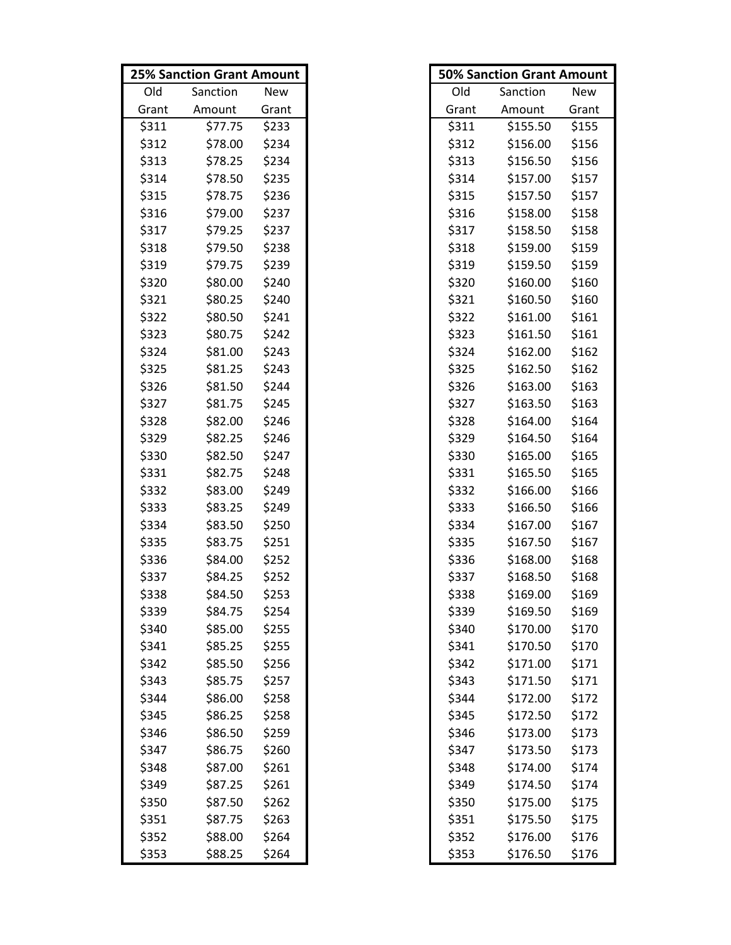|       | <b>25% Sanction Grant Amount</b> |       |       | <b>50% Sanction Grant Amount</b> |       |
|-------|----------------------------------|-------|-------|----------------------------------|-------|
| Old   | Sanction                         | New   | Old   | Sanction                         | New   |
| Grant | Amount                           | Grant | Grant | Amount                           | Grant |
| \$311 | \$77.75                          | \$233 | \$311 | \$155.50                         | \$155 |
| \$312 | \$78.00                          | \$234 | \$312 | \$156.00                         | \$156 |
| \$313 | \$78.25                          | \$234 | \$313 | \$156.50                         | \$156 |
| \$314 | \$78.50                          | \$235 | \$314 | \$157.00                         | \$157 |
| \$315 | \$78.75                          | \$236 | \$315 | \$157.50                         | \$157 |
| \$316 | \$79.00                          | \$237 | \$316 | \$158.00                         | \$158 |
| \$317 | \$79.25                          | \$237 | \$317 | \$158.50                         | \$158 |
| \$318 | \$79.50                          | \$238 | \$318 | \$159.00                         | \$159 |
| \$319 | \$79.75                          | \$239 | \$319 | \$159.50                         | \$159 |
| \$320 | \$80.00                          | \$240 | \$320 | \$160.00                         | \$160 |
| \$321 | \$80.25                          | \$240 | \$321 | \$160.50                         | \$160 |
| \$322 | \$80.50                          | \$241 | \$322 | \$161.00                         | \$161 |
| \$323 | \$80.75                          | \$242 | \$323 | \$161.50                         | \$161 |
| \$324 | \$81.00                          | \$243 | \$324 | \$162.00                         | \$162 |
| \$325 | \$81.25                          | \$243 | \$325 | \$162.50                         | \$162 |
| \$326 | \$81.50                          | \$244 | \$326 | \$163.00                         | \$163 |
| \$327 | \$81.75                          | \$245 | \$327 | \$163.50                         | \$163 |
| \$328 | \$82.00                          | \$246 | \$328 | \$164.00                         | \$164 |
| \$329 | \$82.25                          | \$246 | \$329 | \$164.50                         | \$164 |
| \$330 | \$82.50                          | \$247 | \$330 | \$165.00                         | \$165 |
| \$331 | \$82.75                          | \$248 | \$331 | \$165.50                         | \$165 |
| \$332 | \$83.00                          | \$249 | \$332 | \$166.00                         | \$166 |
| \$333 | \$83.25                          | \$249 | \$333 | \$166.50                         | \$166 |
| \$334 | \$83.50                          | \$250 | \$334 | \$167.00                         | \$167 |
| \$335 | \$83.75                          | \$251 | \$335 | \$167.50                         | \$167 |
| \$336 | \$84.00                          | \$252 | \$336 | \$168.00                         | \$168 |
| \$337 | \$84.25                          | \$252 | \$337 | \$168.50                         | \$168 |
| \$338 | \$84.50                          | \$253 | \$338 | \$169.00                         | \$169 |
| \$339 | \$84.75                          | \$254 | \$339 | \$169.50                         | \$169 |
| \$340 | \$85.00                          | \$255 | \$340 | \$170.00                         | \$170 |
| \$341 | \$85.25                          | \$255 | \$341 | \$170.50                         | \$170 |
| \$342 | \$85.50                          | \$256 | \$342 | \$171.00                         | \$171 |
| \$343 | \$85.75                          | \$257 | \$343 | \$171.50                         | \$171 |
| \$344 | \$86.00                          | \$258 | \$344 | \$172.00                         | \$172 |
| \$345 | \$86.25                          | \$258 | \$345 | \$172.50                         | \$172 |
| \$346 | \$86.50                          | \$259 | \$346 | \$173.00                         | \$173 |
| \$347 | \$86.75                          | \$260 | \$347 | \$173.50                         | \$173 |
| \$348 | \$87.00                          | \$261 | \$348 | \$174.00                         | \$174 |
| \$349 | \$87.25                          | \$261 | \$349 | \$174.50                         | \$174 |
| \$350 | \$87.50                          | \$262 | \$350 | \$175.00                         | \$175 |
| \$351 | \$87.75                          | \$263 | \$351 | \$175.50                         | \$175 |
| \$352 | \$88.00                          | \$264 | \$352 | \$176.00                         | \$176 |
| \$353 | \$88.25                          | \$264 | \$353 | \$176.50                         | \$176 |

|       | <b>50% Sanction Grant Amount</b> |            |
|-------|----------------------------------|------------|
| Old   | Sanction                         | <b>New</b> |
| Grant | Amount                           | Grant      |
| \$311 | \$155.50                         | \$155      |
| \$312 | \$156.00                         | \$156      |
| \$313 | \$156.50                         | \$156      |
| \$314 | \$157.00                         | \$157      |
| \$315 | \$157.50                         | \$157      |
| \$316 | \$158.00                         | \$158      |
| \$317 | \$158.50                         | \$158      |
| \$318 | \$159.00                         | \$159      |
| \$319 | \$159.50                         | \$159      |
| \$320 | \$160.00                         | \$160      |
| \$321 | \$160.50                         | \$160      |
| \$322 | \$161.00                         | \$161      |
| \$323 | \$161.50                         | \$161      |
| \$324 | \$162.00                         | \$162      |
| \$325 | \$162.50                         | \$162      |
| \$326 | \$163.00                         | \$163      |
| \$327 | \$163.50                         | \$163      |
| \$328 | \$164.00                         | \$164      |
| \$329 | \$164.50                         | \$164      |
| \$330 | \$165.00                         | \$165      |
| \$331 | \$165.50                         | \$165      |
| \$332 | \$166.00                         | \$166      |
| \$333 | \$166.50                         | \$166      |
| \$334 | \$167.00                         | \$167      |
| \$335 | \$167.50                         | \$167      |
| \$336 | \$168.00                         | \$168      |
| \$337 | \$168.50                         | \$168      |
| \$338 | \$169.00                         | \$169      |
| \$339 | \$169.50                         | \$169      |
| \$340 | \$170.00                         | \$170      |
| \$341 | \$170.50                         | \$170      |
| \$342 | \$171.00                         | \$171      |
| \$343 | \$171.50                         | \$171      |
| \$344 | \$172.00                         | \$172      |
| \$345 | \$172.50                         | \$172      |
| \$346 | \$173.00                         | \$173      |
| \$347 | \$173.50                         | \$173      |
| \$348 | \$174.00                         | \$174      |
| \$349 | \$174.50                         | \$174      |
| \$350 | \$175.00                         | \$175      |
| \$351 | \$175.50                         | \$175      |
| \$352 | \$176.00                         | \$176      |
| \$353 | \$176.50                         | \$176      |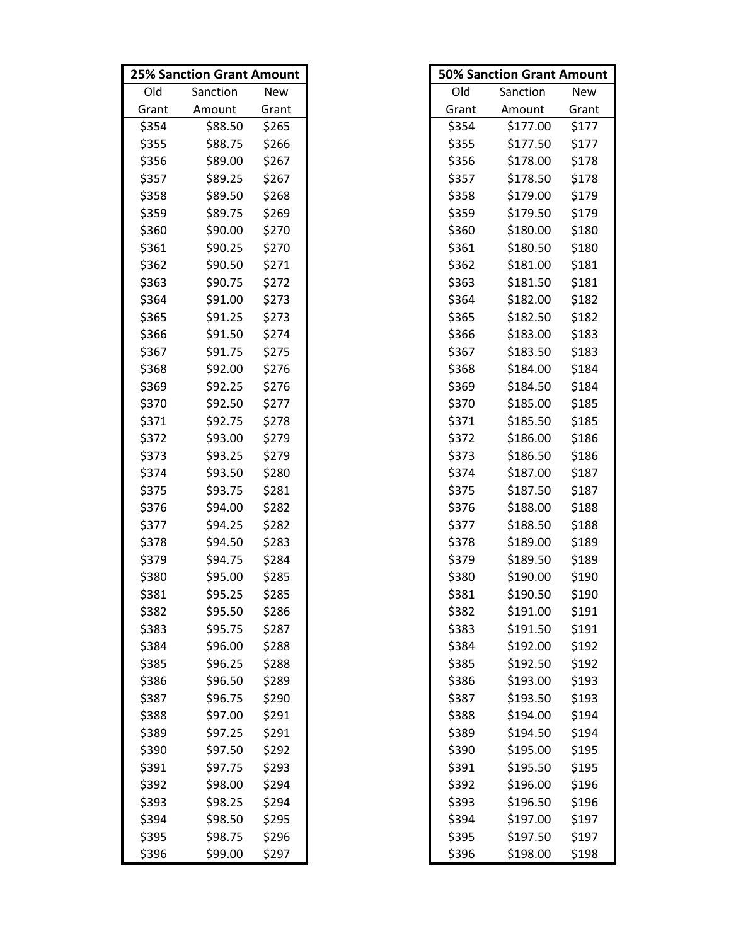|       | <b>25% Sanction Grant Amount</b> |       |       | <b>50% Sanction Grant Amount</b> |       |
|-------|----------------------------------|-------|-------|----------------------------------|-------|
| Old   | Sanction                         | New   | Old   | Sanction                         | New   |
| Grant | Amount                           | Grant | Grant | Amount                           | Grant |
| \$354 | \$88.50                          | \$265 | \$354 | \$177.00                         | \$177 |
| \$355 | \$88.75                          | \$266 | \$355 | \$177.50                         | \$177 |
| \$356 | \$89.00                          | \$267 | \$356 | \$178.00                         | \$178 |
| \$357 | \$89.25                          | \$267 | \$357 | \$178.50                         | \$178 |
| \$358 | \$89.50                          | \$268 | \$358 | \$179.00                         | \$179 |
| \$359 | \$89.75                          | \$269 | \$359 | \$179.50                         | \$179 |
| \$360 | \$90.00                          | \$270 | \$360 | \$180.00                         | \$180 |
| \$361 | \$90.25                          | \$270 | \$361 | \$180.50                         | \$180 |
| \$362 | \$90.50                          | \$271 | \$362 | \$181.00                         | \$181 |
| \$363 | \$90.75                          | \$272 | \$363 | \$181.50                         | \$181 |
| \$364 | \$91.00                          | \$273 | \$364 | \$182.00                         | \$182 |
| \$365 | \$91.25                          | \$273 | \$365 | \$182.50                         | \$182 |
| \$366 | \$91.50                          | \$274 | \$366 | \$183.00                         | \$183 |
| \$367 | \$91.75                          | \$275 | \$367 | \$183.50                         | \$183 |
| \$368 | \$92.00                          | \$276 | \$368 | \$184.00                         | \$184 |
| \$369 | \$92.25                          | \$276 | \$369 | \$184.50                         | \$184 |
| \$370 | \$92.50                          | \$277 | \$370 | \$185.00                         | \$185 |
| \$371 | \$92.75                          | \$278 | \$371 | \$185.50                         | \$185 |
| \$372 | \$93.00                          | \$279 | \$372 | \$186.00                         | \$186 |
| \$373 | \$93.25                          | \$279 | \$373 | \$186.50                         | \$186 |
| \$374 | \$93.50                          | \$280 | \$374 | \$187.00                         | \$187 |
| \$375 | \$93.75                          | \$281 | \$375 | \$187.50                         | \$187 |
| \$376 | \$94.00                          | \$282 | \$376 | \$188.00                         | \$188 |
| \$377 | \$94.25                          | \$282 | \$377 | \$188.50                         | \$188 |
| \$378 | \$94.50                          | \$283 | \$378 | \$189.00                         | \$189 |
| \$379 | \$94.75                          | \$284 | \$379 | \$189.50                         | \$189 |
| \$380 | \$95.00                          | \$285 | \$380 | \$190.00                         | \$190 |
| \$381 | \$95.25                          | \$285 | \$381 | \$190.50                         | \$190 |
| \$382 | \$95.50                          | \$286 | \$382 | \$191.00                         | \$191 |
| \$383 | \$95.75                          | \$287 | \$383 | \$191.50                         | \$191 |
| \$384 | \$96.00                          | \$288 | \$384 | \$192.00                         | \$192 |
| \$385 | \$96.25                          | \$288 | \$385 | \$192.50                         | \$192 |
| \$386 | \$96.50                          | \$289 | \$386 | \$193.00                         | \$193 |
| \$387 | \$96.75                          | \$290 | \$387 | \$193.50                         | \$193 |
| \$388 | \$97.00                          | \$291 | \$388 | \$194.00                         | \$194 |
| \$389 | \$97.25                          | \$291 | \$389 | \$194.50                         | \$194 |
| \$390 | \$97.50                          | \$292 | \$390 | \$195.00                         | \$195 |
| \$391 | \$97.75                          | \$293 | \$391 | \$195.50                         | \$195 |
| \$392 | \$98.00                          | \$294 | \$392 | \$196.00                         | \$196 |
| \$393 | \$98.25                          | \$294 | \$393 | \$196.50                         | \$196 |
| \$394 | \$98.50                          | \$295 | \$394 | \$197.00                         | \$197 |
| \$395 | \$98.75                          | \$296 | \$395 | \$197.50                         | \$197 |
| \$396 | \$99.00                          | \$297 | \$396 | \$198.00                         | \$198 |

|       | <b>50% Sanction Grant Amount</b> |       |
|-------|----------------------------------|-------|
| Old   | Sanction                         | New   |
| Grant | Amount                           | Grant |
| \$354 | \$177.00                         | \$177 |
| \$355 | \$177.50                         | \$177 |
| \$356 | \$178.00                         | \$178 |
| \$357 | \$178.50                         | \$178 |
| \$358 | \$179.00                         | \$179 |
| \$359 | \$179.50                         | \$179 |
| \$360 | \$180.00                         | \$180 |
| \$361 | \$180.50                         | \$180 |
| \$362 | \$181.00                         | \$181 |
| \$363 | \$181.50                         | \$181 |
| \$364 | \$182.00                         | \$182 |
| \$365 | \$182.50                         | \$182 |
| \$366 | \$183.00                         | \$183 |
| \$367 | \$183.50                         | \$183 |
| \$368 | \$184.00                         | \$184 |
| \$369 | \$184.50                         | \$184 |
| \$370 | \$185.00                         | \$185 |
| \$371 | \$185.50                         | \$185 |
| \$372 | \$186.00                         | \$186 |
| \$373 | \$186.50                         | \$186 |
| \$374 | \$187.00                         | \$187 |
| \$375 | \$187.50                         | \$187 |
| \$376 | \$188.00                         | \$188 |
| \$377 | \$188.50                         | \$188 |
| \$378 | \$189.00                         | \$189 |
| \$379 | \$189.50                         | \$189 |
| \$380 | \$190.00                         | \$190 |
| \$381 | \$190.50                         | \$190 |
| \$382 | \$191.00                         | \$191 |
| \$383 | \$191.50                         | \$191 |
| \$384 | \$192.00                         | \$192 |
| \$385 | \$192.50                         | \$192 |
| \$386 | \$193.00                         | \$193 |
| \$387 | \$193.50                         | \$193 |
| \$388 | \$194.00                         | \$194 |
| \$389 | \$194.50                         | \$194 |
| \$390 | \$195.00                         | \$195 |
| \$391 | \$195.50                         | \$195 |
| \$392 | \$196.00                         | \$196 |
| \$393 | \$196.50                         | \$196 |
| \$394 | \$197.00                         | \$197 |
| \$395 | \$197.50                         | \$197 |
| \$396 | \$198.00                         | \$198 |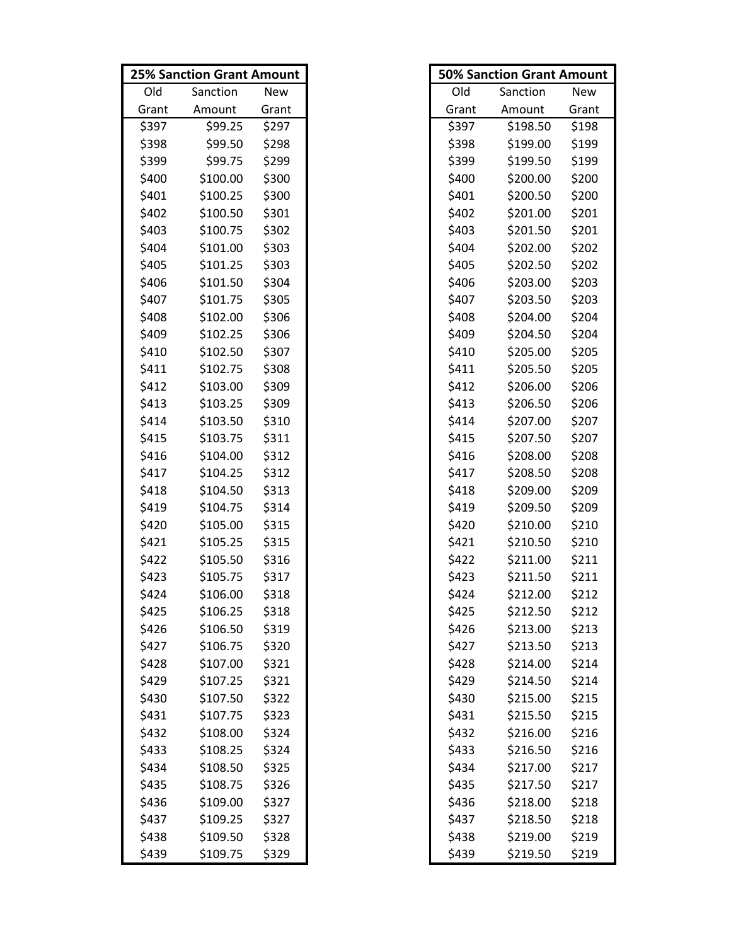|       | <b>25% Sanction Grant Amount</b> |       |       | <b>50% Sanction Grant Amount</b> |       |
|-------|----------------------------------|-------|-------|----------------------------------|-------|
| Old   | Sanction                         | New   | Old   | Sanction                         | New   |
| Grant | Amount                           | Grant | Grant | Amount                           | Grant |
| \$397 | \$99.25                          | \$297 | \$397 | \$198.50                         | \$198 |
| \$398 | \$99.50                          | \$298 | \$398 | \$199.00                         | \$199 |
| \$399 | \$99.75                          | \$299 | \$399 | \$199.50                         | \$199 |
| \$400 | \$100.00                         | \$300 | \$400 | \$200.00                         | \$200 |
| \$401 | \$100.25                         | \$300 | \$401 | \$200.50                         | \$200 |
| \$402 | \$100.50                         | \$301 | \$402 | \$201.00                         | \$201 |
| \$403 | \$100.75                         | \$302 | \$403 | \$201.50                         | \$201 |
| \$404 | \$101.00                         | \$303 | \$404 | \$202.00                         | \$202 |
| \$405 | \$101.25                         | \$303 | \$405 | \$202.50                         | \$202 |
| \$406 | \$101.50                         | \$304 | \$406 | \$203.00                         | \$203 |
| \$407 | \$101.75                         | \$305 | \$407 | \$203.50                         | \$203 |
| \$408 | \$102.00                         | \$306 | \$408 | \$204.00                         | \$204 |
| \$409 | \$102.25                         | \$306 | \$409 | \$204.50                         | \$204 |
| \$410 | \$102.50                         | \$307 | \$410 | \$205.00                         | \$205 |
| \$411 | \$102.75                         | \$308 | \$411 | \$205.50                         | \$205 |
| \$412 | \$103.00                         | \$309 | \$412 | \$206.00                         | \$206 |
| \$413 | \$103.25                         | \$309 | \$413 | \$206.50                         | \$206 |
| \$414 | \$103.50                         | \$310 | \$414 | \$207.00                         | \$207 |
| \$415 | \$103.75                         | \$311 | \$415 | \$207.50                         | \$207 |
| \$416 | \$104.00                         | \$312 | \$416 | \$208.00                         | \$208 |
| \$417 | \$104.25                         | \$312 | \$417 | \$208.50                         | \$208 |
| \$418 | \$104.50                         | \$313 | \$418 | \$209.00                         | \$209 |
| \$419 | \$104.75                         | \$314 | \$419 | \$209.50                         | \$209 |
| \$420 | \$105.00                         | \$315 | \$420 | \$210.00                         | \$210 |
| \$421 | \$105.25                         | \$315 | \$421 | \$210.50                         | \$210 |
| \$422 | \$105.50                         | \$316 | \$422 | \$211.00                         | \$211 |
| \$423 | \$105.75                         | \$317 | \$423 | \$211.50                         | \$211 |
| \$424 | \$106.00                         | \$318 | \$424 | \$212.00                         | \$212 |
| \$425 | \$106.25                         | \$318 | \$425 | \$212.50                         | \$212 |
| \$426 | \$106.50                         | \$319 | \$426 | \$213.00                         | \$213 |
| \$427 | \$106.75                         | \$320 | \$427 | \$213.50                         | \$213 |
| \$428 | \$107.00                         | \$321 | \$428 | \$214.00                         | \$214 |
| \$429 | \$107.25                         | \$321 | \$429 | \$214.50                         | \$214 |
| \$430 | \$107.50                         | \$322 | \$430 | \$215.00                         | \$215 |
| \$431 | \$107.75                         | \$323 | \$431 | \$215.50                         | \$215 |
| \$432 | \$108.00                         | \$324 | \$432 | \$216.00                         | \$216 |
| \$433 | \$108.25                         | \$324 | \$433 | \$216.50                         | \$216 |
| \$434 | \$108.50                         | \$325 | \$434 | \$217.00                         | \$217 |
| \$435 | \$108.75                         | \$326 | \$435 | \$217.50                         | \$217 |
| \$436 | \$109.00                         | \$327 | \$436 | \$218.00                         | \$218 |
| \$437 | \$109.25                         | \$327 | \$437 | \$218.50                         | \$218 |
| \$438 | \$109.50                         | \$328 | \$438 | \$219.00                         | \$219 |
| \$439 | \$109.75                         | \$329 | \$439 | \$219.50                         | \$219 |

|       | <b>50% Sanction Grant Amount</b> |            |  |  |  |
|-------|----------------------------------|------------|--|--|--|
| Old   | Sanction                         | <b>New</b> |  |  |  |
| Grant | Amount                           | Grant      |  |  |  |
| \$397 | \$198.50                         | \$198      |  |  |  |
| \$398 | \$199.00                         | \$199      |  |  |  |
| \$399 | \$199.50                         | \$199      |  |  |  |
| \$400 | \$200.00                         | \$200      |  |  |  |
| \$401 | \$200.50                         | \$200      |  |  |  |
| \$402 | \$201.00                         | \$201      |  |  |  |
| \$403 | \$201.50                         | \$201      |  |  |  |
| \$404 | \$202.00                         | \$202      |  |  |  |
| \$405 | \$202.50                         | \$202      |  |  |  |
| \$406 | \$203.00                         | \$203      |  |  |  |
| \$407 | \$203.50                         | \$203      |  |  |  |
| \$408 | \$204.00                         | \$204      |  |  |  |
| \$409 | \$204.50                         | \$204      |  |  |  |
| \$410 | \$205.00                         | \$205      |  |  |  |
| \$411 | \$205.50                         | \$205      |  |  |  |
| \$412 | \$206.00                         | \$206      |  |  |  |
| \$413 | \$206.50                         | \$206      |  |  |  |
| \$414 | \$207.00                         | \$207      |  |  |  |
| \$415 | \$207.50                         | \$207      |  |  |  |
| \$416 | \$208.00                         | \$208      |  |  |  |
| \$417 | \$208.50                         | \$208      |  |  |  |
| \$418 | \$209.00                         | \$209      |  |  |  |
| \$419 | \$209.50                         | \$209      |  |  |  |
| \$420 | \$210.00                         | \$210      |  |  |  |
| \$421 | \$210.50                         | \$210      |  |  |  |
| \$422 | \$211.00                         | \$211      |  |  |  |
| \$423 | \$211.50                         | \$211      |  |  |  |
| \$424 | \$212.00                         | \$212      |  |  |  |
| \$425 | \$212.50                         | \$212      |  |  |  |
| \$426 | \$213.00                         | \$213      |  |  |  |
| \$427 | \$213.50                         | \$213      |  |  |  |
| \$428 | \$214.00                         | \$214      |  |  |  |
| \$429 | \$214.50                         | \$214      |  |  |  |
| \$430 | \$215.00                         | \$215      |  |  |  |
| \$431 | \$215.50                         | \$215      |  |  |  |
| \$432 | \$216.00                         | \$216      |  |  |  |
| \$433 | \$216.50                         | \$216      |  |  |  |
| \$434 | \$217.00                         | \$217      |  |  |  |
| \$435 | \$217.50                         | \$217      |  |  |  |
| \$436 | \$218.00                         | \$218      |  |  |  |
| \$437 | \$218.50                         | \$218      |  |  |  |
| \$438 | \$219.00                         | \$219      |  |  |  |
| \$439 | \$219.50                         | \$219      |  |  |  |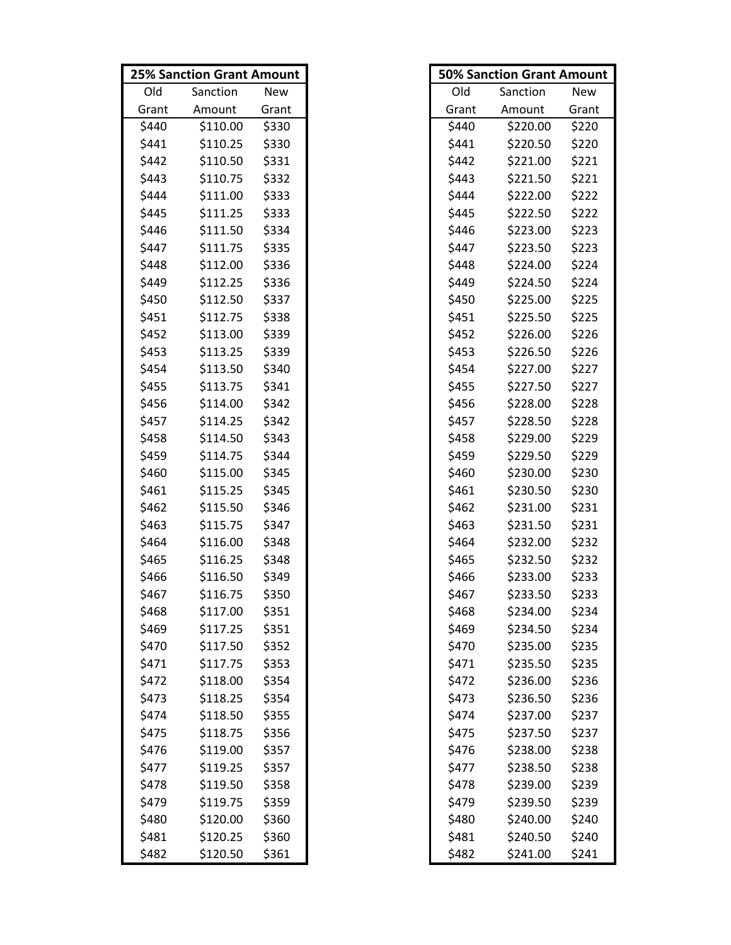|       | <b>25% Sanction Grant Amount</b> |       |       | <b>50% Sanction Grant Amount</b> |       |
|-------|----------------------------------|-------|-------|----------------------------------|-------|
| Old   | Sanction                         | New   | Old   | Sanction                         | New   |
| Grant | Amount                           | Grant | Grant | Amount                           | Grant |
| \$440 | \$110.00                         | \$330 | \$440 | \$220.00                         | \$220 |
| \$441 | \$110.25                         | \$330 | \$441 | \$220.50                         | \$220 |
| \$442 | \$110.50                         | \$331 | \$442 | \$221.00                         | \$221 |
| \$443 | \$110.75                         | \$332 | \$443 | \$221.50                         | \$221 |
| \$444 | \$111.00                         | \$333 | \$444 | \$222.00                         | \$222 |
| \$445 | \$111.25                         | \$333 | \$445 | \$222.50                         | \$222 |
| \$446 | \$111.50                         | \$334 | \$446 | \$223.00                         | \$223 |
| \$447 | \$111.75                         | \$335 | \$447 | \$223.50                         | \$223 |
| \$448 | \$112.00                         | \$336 | \$448 | \$224.00                         | \$224 |
| \$449 | \$112.25                         | \$336 | \$449 | \$224.50                         | \$224 |
| \$450 | \$112.50                         | \$337 | \$450 | \$225.00                         | \$225 |
| \$451 | \$112.75                         | \$338 | \$451 | \$225.50                         | \$225 |
| \$452 | \$113.00                         | \$339 | \$452 | \$226.00                         | \$226 |
| \$453 | \$113.25                         | \$339 | \$453 | \$226.50                         | \$226 |
| \$454 | \$113.50                         | \$340 | \$454 | \$227.00                         | \$227 |
| \$455 | \$113.75                         | \$341 | \$455 | \$227.50                         | \$227 |
| \$456 | \$114.00                         | \$342 | \$456 | \$228.00                         | \$228 |
| \$457 | \$114.25                         | \$342 | \$457 | \$228.50                         | \$228 |
| \$458 | \$114.50                         | \$343 | \$458 | \$229.00                         | \$229 |
| \$459 | \$114.75                         | \$344 | \$459 | \$229.50                         | \$229 |
| \$460 | \$115.00                         | \$345 | \$460 | \$230.00                         | \$230 |
| \$461 | \$115.25                         | \$345 | \$461 | \$230.50                         | \$230 |
| \$462 | \$115.50                         | \$346 | \$462 | \$231.00                         | \$231 |
| \$463 | \$115.75                         | \$347 | \$463 | \$231.50                         | \$231 |
| \$464 | \$116.00                         | \$348 | \$464 | \$232.00                         | \$232 |
| \$465 | \$116.25                         | \$348 | \$465 | \$232.50                         | \$232 |
| \$466 | \$116.50                         | \$349 | \$466 | \$233.00                         | \$233 |
| \$467 | \$116.75                         | \$350 | \$467 | \$233.50                         | \$233 |
| \$468 | \$117.00                         | \$351 | \$468 | \$234.00                         | \$234 |
| \$469 | \$117.25                         | \$351 | \$469 | \$234.50                         | \$234 |
| \$470 | \$117.50                         | \$352 | \$470 | \$235.00                         | \$235 |
| \$471 | \$117.75                         | \$353 | \$471 | \$235.50                         | \$235 |
| \$472 | \$118.00                         | \$354 | \$472 | \$236.00                         | \$236 |
| \$473 | \$118.25                         | \$354 | \$473 | \$236.50                         | \$236 |
| \$474 | \$118.50                         | \$355 | \$474 | \$237.00                         | \$237 |
| \$475 | \$118.75                         | \$356 | \$475 | \$237.50                         | \$237 |
| \$476 | \$119.00                         | \$357 | \$476 | \$238.00                         | \$238 |
| \$477 | \$119.25                         | \$357 | \$477 | \$238.50                         | \$238 |
| \$478 | \$119.50                         | \$358 | \$478 | \$239.00                         | \$239 |
| \$479 | \$119.75                         | \$359 | \$479 | \$239.50                         | \$239 |
| \$480 | \$120.00                         | \$360 | \$480 | \$240.00                         | \$240 |
| \$481 | \$120.25                         | \$360 | \$481 | \$240.50                         | \$240 |
| \$482 | \$120.50                         | \$361 | \$482 | \$241.00                         | \$241 |

|       | <b>50% Sanction Grant Amount</b> |       |
|-------|----------------------------------|-------|
| Old   | Sanction                         | New   |
| Grant | Amount                           | Grant |
| \$440 | \$220.00                         | \$220 |
| \$441 | \$220.50                         | \$220 |
| \$442 | \$221.00                         | \$221 |
| \$443 | \$221.50                         | \$221 |
| \$444 | \$222.00                         | \$222 |
| \$445 | \$222.50                         | \$222 |
| \$446 | \$223.00                         | \$223 |
| \$447 | \$223.50                         | \$223 |
| \$448 | \$224.00                         | \$224 |
| \$449 | \$224.50                         | \$224 |
| \$450 | \$225.00                         | \$225 |
| \$451 | \$225.50                         | \$225 |
| \$452 | \$226.00                         | \$226 |
| \$453 | \$226.50                         | \$226 |
| \$454 | \$227.00                         | \$227 |
| \$455 | \$227.50                         | \$227 |
| \$456 | \$228.00                         | \$228 |
| \$457 | \$228.50                         | \$228 |
| \$458 | \$229.00                         | \$229 |
| \$459 | \$229.50                         | \$229 |
| \$460 | \$230.00                         | \$230 |
| \$461 | \$230.50                         | \$230 |
| \$462 | \$231.00                         | \$231 |
| \$463 | \$231.50                         | \$231 |
| \$464 | \$232.00                         | \$232 |
| \$465 | \$232.50                         | \$232 |
| \$466 | \$233.00                         | \$233 |
| \$467 | \$233.50                         | \$233 |
| \$468 | \$234.00                         | \$234 |
| \$469 | \$234.50                         | \$234 |
| \$470 | \$235.00                         | \$235 |
| \$471 | \$235.50                         | \$235 |
| \$472 | \$236.00                         | \$236 |
| \$473 | \$236.50                         | \$236 |
| \$474 | \$237.00                         | \$237 |
| \$475 | \$237.50                         | \$237 |
| \$476 | \$238.00                         | \$238 |
| \$477 | \$238.50                         | \$238 |
| \$478 | \$239.00                         | \$239 |
| \$479 | \$239.50                         | \$239 |
| \$480 | \$240.00                         | \$240 |
| \$481 | \$240.50                         | \$240 |
| \$482 | \$241.00                         | \$241 |